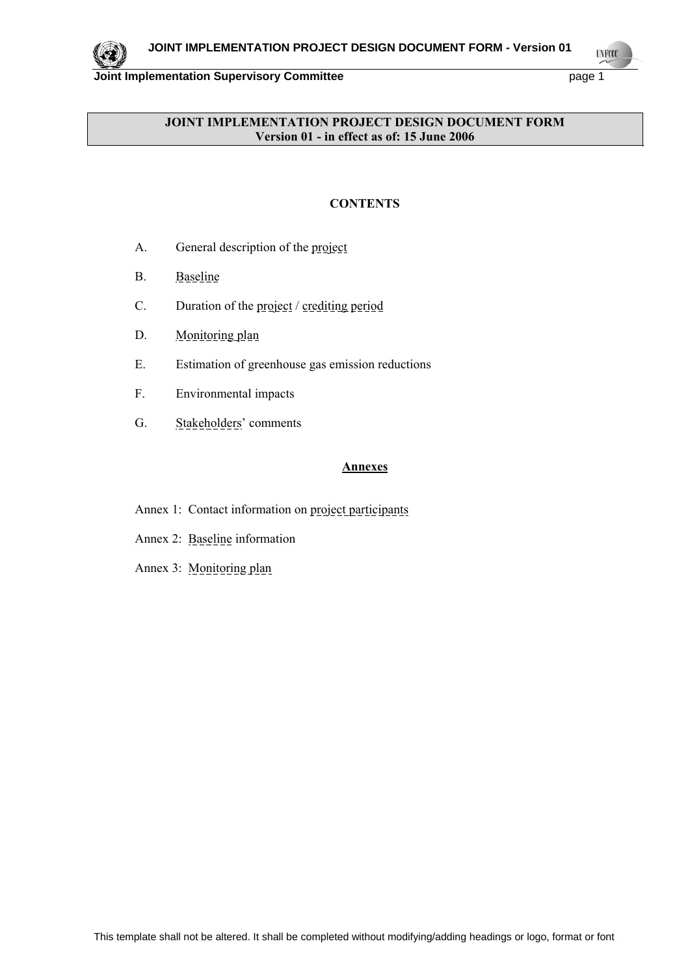

**UNFOOL** 

## **JOINT IMPLEMENTATION PROJECT DESIGN DOCUMENT FORM Version 01 - in effect as of: 15 June 2006**

## **CONTENTS**

- A. General description of the project
- B. Baseline
- C. Duration of the project / crediting period
- D. Monitoring plan
- E. Estimation of greenhouse gas emission reductions
- F. Environmental impacts
- G. Stakeholders' comments

## **Annexes**

- Annex 1: Contact information on project participants
- Annex 2: Baseline information
- <span id="page-0-0"></span>Annex 3: Monitoring plan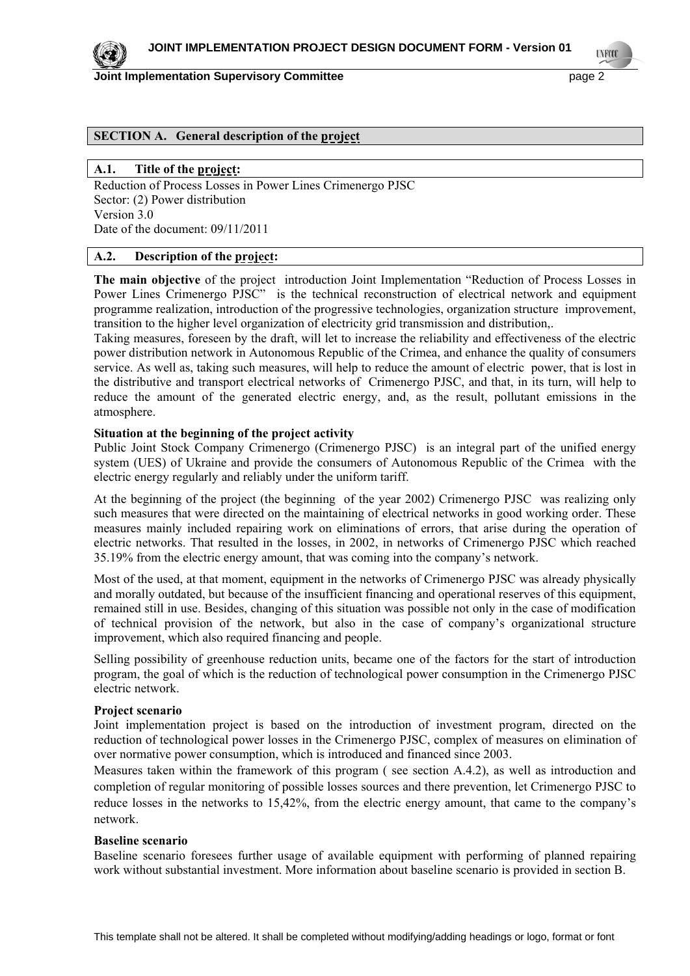

**TNETS** 

## **SECTION A. General description of the project**

#### **A.1. Title of the project:**

Reduction of Process Losses in Power Lines Crimenergo PJSC Sector: (2) Power distribution Version 3.0 Date of the document: 09/11/2011

#### **A.2. Description of the project:**

**The main objective** of the project introduction Joint Implementation "Reduction of Process Losses in Power Lines Crimenergo PJSC" is the technical reconstruction of electrical network and equipment programme realization, introduction of the progressive technologies, organization structure improvement, transition to the higher level organization of electricity grid transmission and distribution,.

Taking measures, foreseen by the draft, will let to increase the reliability and effectiveness of the electric power distribution network in Autonomous Republic of the Crimea, and enhance the quality of consumers service. As well as, taking such measures, will help to reduce the amount of electric power, that is lost in the distributive and transport electrical networks of Crimenergo PJSC, and that, in its turn, will help to reduce the amount of the generated electric energy, and, as the result, pollutant emissions in the atmosphere.

#### **Situation at the beginning of the project activity**

Public Joint Stock Company Crimenergo (Crimenergo PJSC) is an integral part of the unified energy system (UES) of Ukraine and provide the consumers of Autonomous Republic of the Crimea with the electric energy regularly and reliably under the uniform tariff.

At the beginning of the project (the beginning of the year 2002) Crimenergo PJSC was realizing only such measures that were directed on the maintaining of electrical networks in good working order. These measures mainly included repairing work on eliminations of errors, that arise during the operation of electric networks. That resulted in the losses, in 2002, in networks of Crimenergo PJSC which reached 35.19% from the electric energy amount, that was coming into the company's network.

Most of the used, at that moment, equipment in the networks of Crimenergo PJSC was already physically and morally outdated, but because of the insufficient financing and operational reserves of this equipment, remained still in use. Besides, changing of this situation was possible not only in the case of modification of technical provision of the network, but also in the case of company's organizational structure improvement, which also required financing and people.

Selling possibility of greenhouse reduction units, became one of the factors for the start of introduction program, the goal of which is the reduction of technological power consumption in the Crimenergo PJSC electric network.

#### **Project scenario**

Joint implementation project is based on the introduction of investment program, directed on the reduction of technological power losses in the Crimenergo PJSC, complex of measures on elimination of over normative power consumption, which is introduced and financed since 2003.

Measures taken within the framework of this program ( see section A.4.2), as well as introduction and completion of regular monitoring of possible losses sources and there prevention, let Crimenergo PJSC to reduce losses in the networks to 15,42%, from the electric energy amount, that came to the company's network.

#### **Baseline scenario**

Baseline scenario foresees further usage of available equipment with performing of planned repairing work without substantial investment. More information about baseline scenario is provided in section B.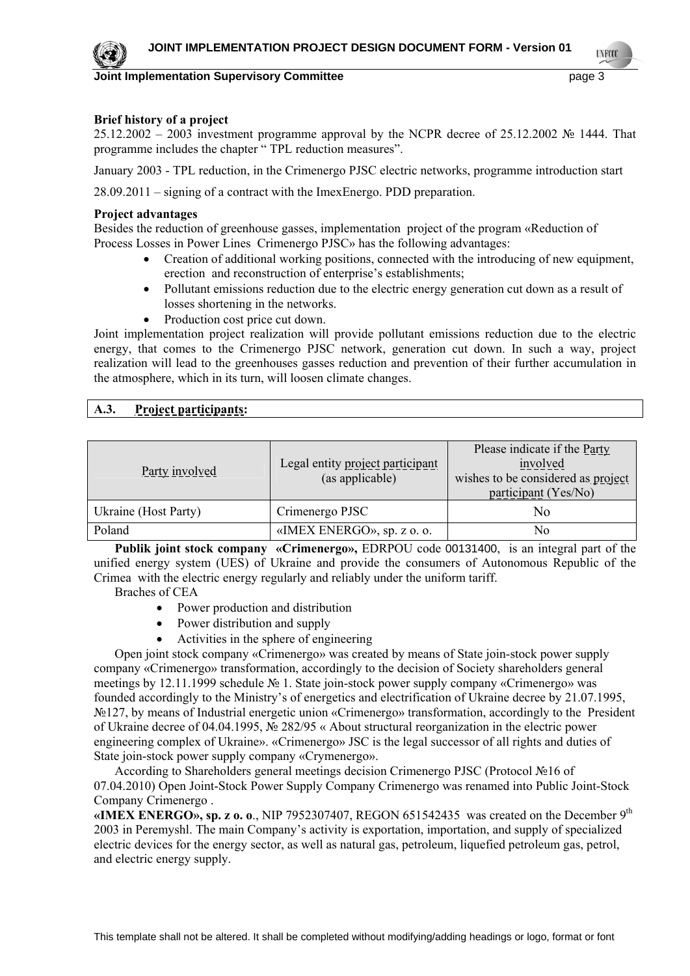

**TNETS** 

#### **Brief history of a project**

25.12.2002 – 2003 investment programme approval by the NCPR decree of 25.12.2002 № 1444. That programme includes the chapter " TPL reduction measures".

January 2003 - TPL reduction, in the Crimenergo PJSC electric networks, programme introduction start

28.09.2011 – signing of a contract with the ImexEnergo. PDD preparation.

#### **Project advantages**

Besides the reduction of greenhouse gasses, implementation project of the program «Reduction of Process Losses in Power Lines Crimenergo PJSC» has the following advantages:

- Creation of additional working positions, connected with the introducing of new equipment, erection and reconstruction of enterprise's establishments;
- Pollutant emissions reduction due to the electric energy generation cut down as a result of losses shortening in the networks.
- Production cost price cut down.

Joint implementation project realization will provide pollutant emissions reduction due to the electric energy, that comes to the Crimenergo PJSC network, generation cut down. In such a way, project realization will lead to the greenhouses gasses reduction and prevention of their further accumulation in the atmosphere, which in its turn, will loosen climate changes.

## **A.3. Project participants:**

| Party involved       | Legal entity project participant<br>(as applicable) | Please indicate if the Party<br>involved<br>wishes to be considered as project<br>participant (Yes/No) |
|----------------------|-----------------------------------------------------|--------------------------------------------------------------------------------------------------------|
| Ukraine (Host Party) | Crimenergo PJSC                                     | No                                                                                                     |
| Poland               | «IMEX ENERGO», sp. z o. o.                          | No                                                                                                     |

**Publik joint stock company «Crimenergo»,** EDRPOU code 00131400, is an integral part of the unified energy system (UES) of Ukraine and provide the consumers of Autonomous Republic of the Crimea with the electric energy regularly and reliably under the uniform tariff.

Braches of CEA

- Power production and distribution
- Power distribution and supply
- Activities in the sphere of engineering

Open joint stock company «Crimenergo» was created by means of State join-stock power supply company «Crimenergo» transformation, accordingly to the decision of Society shareholders general meetings by 12.11.1999 schedule № 1. State join-stock power supply company «Crimenergo» was founded accordingly to the Ministry's of energetics and electrification of Ukraine decree by 21.07.1995, №127, by means of Industrial energetic union «Crimenergo» transformation, accordingly to the President of Ukraine decree of 04.04.1995, № 282/95 « About structural reorganization in the electric power engineering complex of Ukraine». «Crimenergo» JSC is the legal successor of all rights and duties of State join-stock power supply company «Crymenergo».

According to Shareholders general meetings decision Crimenergo PJSC (Protocol №16 of 07.04.2010) Open Joint-Stock Power Supply Company Crimenergo was renamed into Public Joint-Stock Company Crimenergo .

**«IMEX ENERGO», sp. z o. o**., NIP 7952307407, REGON 651542435 was created on the December 9th 2003 in Peremyshl. The main Company's activity is exportation, importation, and supply of specialized electric devices for the energy sector, as well as natural gas, petroleum, liquefied petroleum gas, petrol, and electric energy supply.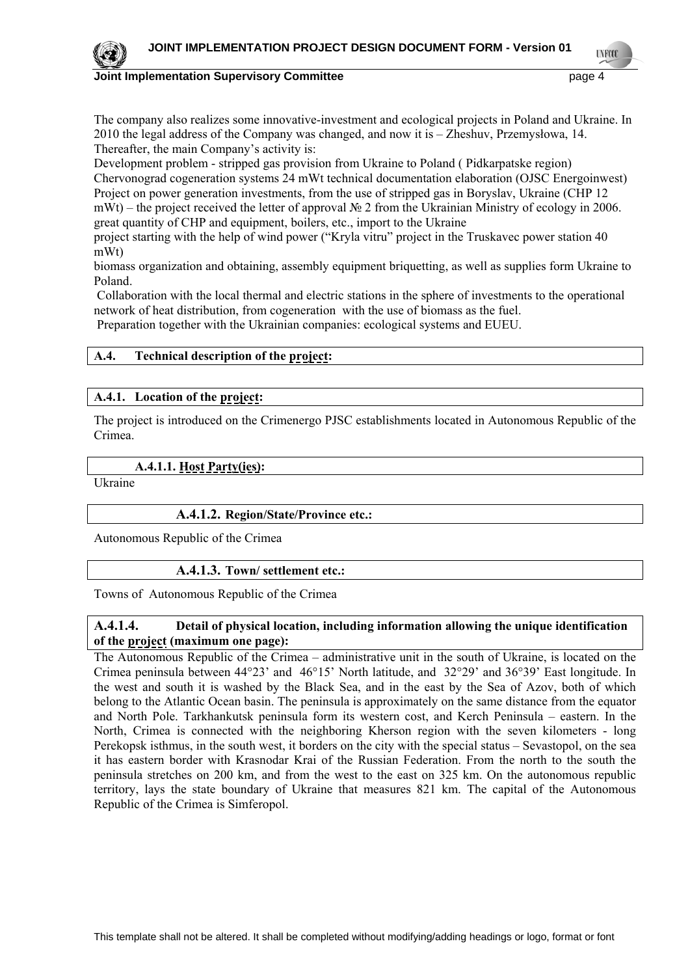

**TNETS** 

The company also realizes some innovative-investment and ecological projects in Poland and Ukraine. In 2010 the legal address of the Company was changed, and now it is – Zheshuv, Przemysłowa, 14. Thereafter, the main Company's activity is:

Development problem - stripped gas provision from Ukraine to Poland ( Pidkarpatske region) Chervonograd cogeneration systems 24 mWt technical documentation elaboration (OJSC Energoinwest) Project on power generation investments, from the use of stripped gas in Boryslav, Ukraine (CHP 12 mWt) – the project received the letter of approval № 2 from the Ukrainian Ministry of ecology in 2006. great quantity of CHP and equipment, boilers, etc., import to the Ukraine

project starting with the help of wind power ("Kryla vitru" project in the Truskavec power station 40 mWt)

biomass organization and obtaining, assembly equipment briquetting, as well as supplies form Ukraine to Poland.

 Collaboration with the local thermal and electric stations in the sphere of investments to the operational network of heat distribution, from cogeneration with the use of biomass as the fuel.

Preparation together with the Ukrainian companies: ecological systems and EUEU.

## **A.4. Technical description of the project:**

#### **A.4.1. Location of the project:**

The project is introduced on the Crimenergo PJSC establishments located in Autonomous Republic of the Crimea.

## **A.4.1.1. Host Party(ies):**

Ukraine

## **A.4.1.2. Region/State/Province etc.:**

Autonomous Republic of the Crimea

#### **A.4.1.3. Town/ settlement etc.:**

Towns of Autonomous Republic of the Crimea

## **A.4.1.4. Detail of physical location, including information allowing the unique identification of the project (maximum one page):**

The Autonomous Republic of the Crimea – administrative unit in the south of Ukraine, is located on the Crimea peninsula between 44°23' and 46°15' North latitude, and 32°29' and 36°39' East longitude. In the west and south it is washed by the Black Sea, and in the east by the Sea of Azov, both of which belong to the Atlantic Ocean basin. The peninsula is approximately on the same distance from the equator and North Pole. Tarkhankutsk peninsula form its western cost, and Kerch Peninsula – eastern. In the North, Crimea is connected with the neighboring Kherson region with the seven kilometers - long Perekopsk isthmus, in the south west, it borders on the city with the special status – Sevastopol, on the sea it has eastern border with Krasnodar Krai of the Russian Federation. From the north to the south the peninsula stretches on 200 km, and from the west to the east on 325 km. On the autonomous republic territory, lays the state boundary of Ukraine that measures 821 km. The capital of the Autonomous Republic of the Crimea is Simferopol.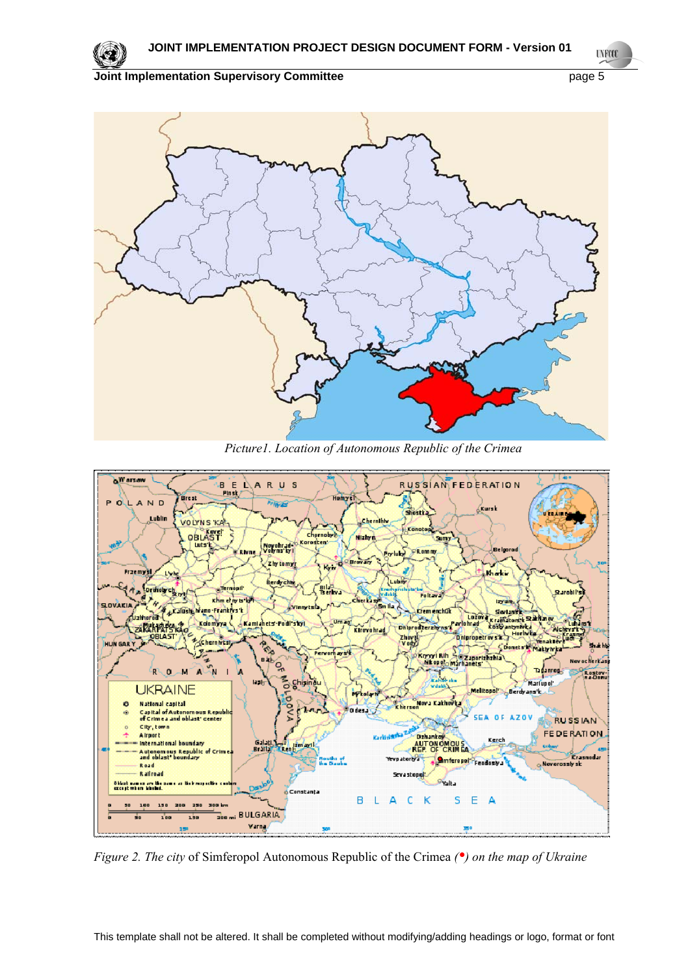

**UNFOCO** 



*Picture1. Location of Autonomous Republic of the Crimea* 



*Figure 2. The city* of Simferopol Autonomous Republic of the Crimea *(•) on the map of Ukraine*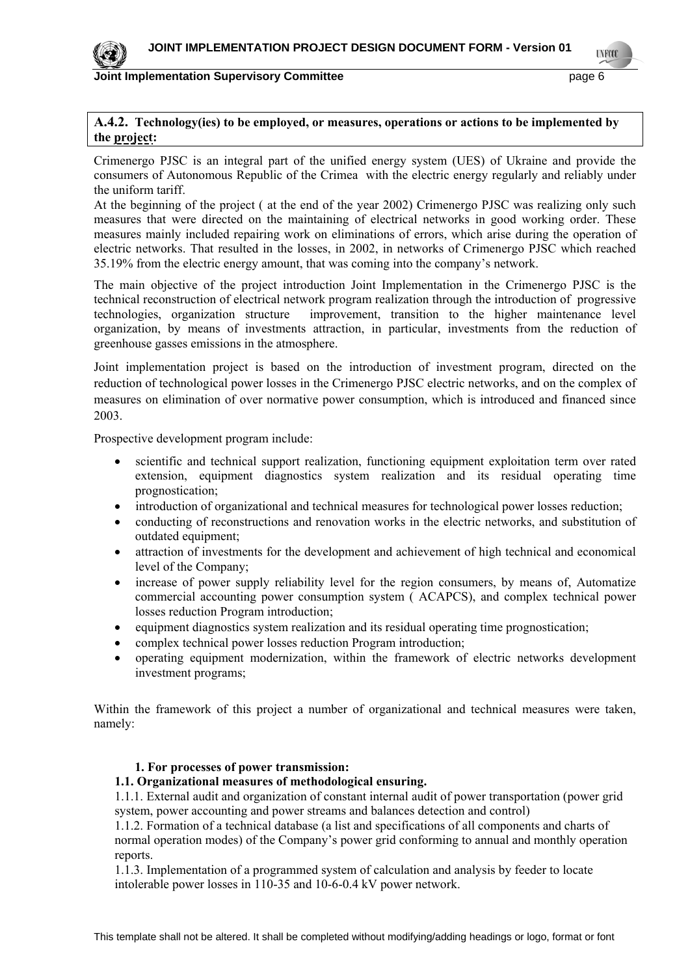

**LYFCO** 

## **Joint Implementation Supervisory Committee** page 6

## **A.4.2. Technology(ies) to be employed, or measures, operations or actions to be implemented by the project:**

Crimenergo PJSC is an integral part of the unified energy system (UES) of Ukraine and provide the consumers of Autonomous Republic of the Crimea with the electric energy regularly and reliably under the uniform tariff.

At the beginning of the project ( at the end of the year 2002) Crimenergo PJSC was realizing only such measures that were directed on the maintaining of electrical networks in good working order. These measures mainly included repairing work on eliminations of errors, which arise during the operation of electric networks. That resulted in the losses, in 2002, in networks of Crimenergo PJSC which reached 35.19% from the electric energy amount, that was coming into the company's network.

The main objective of the project introduction Joint Implementation in the Crimenergo PJSC is the technical reconstruction of electrical network program realization through the introduction of progressive technologies, organization structure improvement, transition to the higher maintenance level organization, by means of investments attraction, in particular, investments from the reduction of greenhouse gasses emissions in the atmosphere.

Joint implementation project is based on the introduction of investment program, directed on the reduction of technological power losses in the Crimenergo PJSC electric networks, and on the complex of measures on elimination of over normative power consumption, which is introduced and financed since 2003.

Prospective development program include:

- scientific and technical support realization, functioning equipment exploitation term over rated extension, equipment diagnostics system realization and its residual operating time prognostication;
- introduction of organizational and technical measures for technological power losses reduction;
- conducting of reconstructions and renovation works in the electric networks, and substitution of outdated equipment;
- attraction of investments for the development and achievement of high technical and economical level of the Company;
- increase of power supply reliability level for the region consumers, by means of, Automatize commercial accounting power consumption system ( ACAPCS), and complex technical power losses reduction Program introduction;
- equipment diagnostics system realization and its residual operating time prognostication;
- complex technical power losses reduction Program introduction;
- operating equipment modernization, within the framework of electric networks development investment programs;

Within the framework of this project a number of organizational and technical measures were taken, namely:

#### **1. For processes of power transmission:**

#### **1.1. Organizational measures of methodological ensuring.**

1.1.1. External audit and organization of constant internal audit of power transportation (power grid system, power accounting and power streams and balances detection and control)

1.1.2. Formation of a technical database (a list and specifications of all components and charts of normal operation modes) of the Company's power grid conforming to annual and monthly operation reports.

1.1.3. Implementation of a programmed system of calculation and analysis by feeder to locate intolerable power losses in 110-35 and 10-6-0.4 kV power network.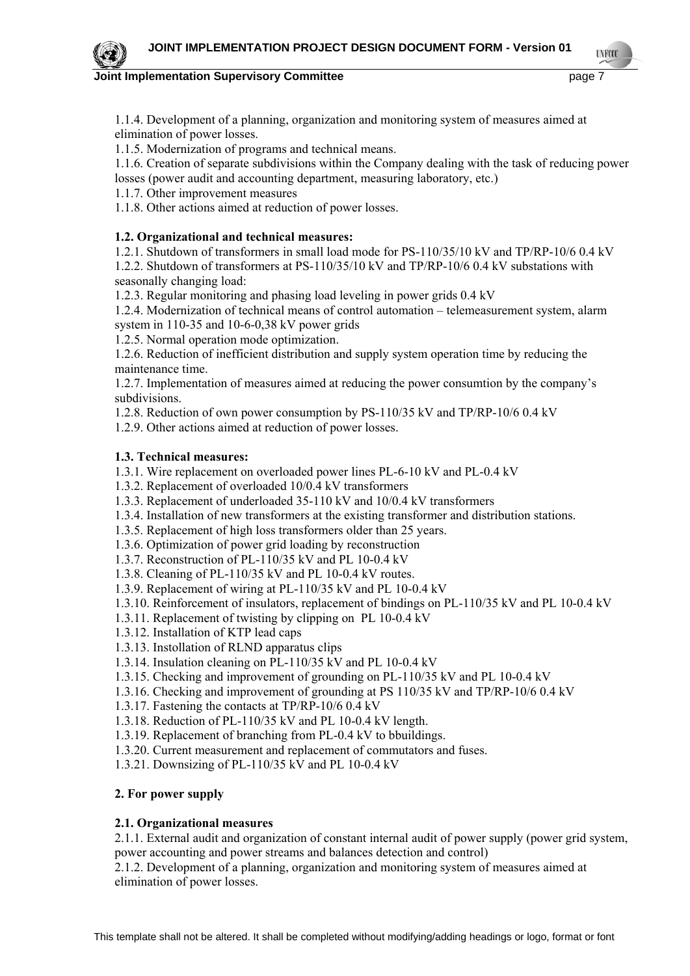**TNETS** 

**Joint Implementation Supervisory Committee** *page 7* **page 7** 

1.1.4. Development of a planning, organization and monitoring system of measures aimed at elimination of power losses.

1.1.5. Modernization of programs and technical means.

1.1.6. Creation of separate subdivisions within the Company dealing with the task of reducing power losses (power audit and accounting department, measuring laboratory, etc.)

1.1.7. Other improvement measures

1.1.8. Other actions aimed at reduction of power losses.

## **1.2. Organizational and technical measures:**

1.2.1. Shutdown of transformers in small load mode for PS-110/35/10 kV and TP/RP-10/6 0.4 kV

1.2.2. Shutdown of transformers at PS-110/35/10 kV and TP/RP-10/6 0.4 kV substations with seasonally changing load:

1.2.3. Regular monitoring and phasing load leveling in power grids 0.4 kV

1.2.4. Modernization of technical means of control automation – telemeasurement system, alarm system in 110-35 and 10-6-0,38 kV power grids

1.2.5. Normal operation mode optimization.

1.2.6. Reduction of inefficient distribution and supply system operation time by reducing the maintenance time.

1.2.7. Implementation of measures aimed at reducing the power consumtion by the company's subdivisions.

1.2.8. Reduction of own power consumption by PS-110/35 kV and TP/RP-10/6 0.4 kV

1.2.9. Other actions aimed at reduction of power losses.

## **1.3. Technical measures:**

1.3.1. Wire replacement on overloaded power lines PL-6-10 kV and PL-0.4 kV

1.3.2. Replacement of overloaded 10/0.4 kV transformers

- 1.3.3. Replacement of underloaded 35-110 kV and 10/0.4 kV transformers
- 1.3.4. Installation of new transformers at the existing transformer and distribution stations.
- 1.3.5. Replacement of high loss transformers older than 25 years.
- 1.3.6. Optimization of power grid loading by reconstruction
- 1.3.7. Reconstruction of PL-110/35 kV and PL 10-0.4 kV
- 1.3.8. Cleaning of PL-110/35 kV and PL 10-0.4 kV routes.
- 1.3.9. Replacement of wiring at PL-110/35 kV and PL 10-0.4 kV
- 1.3.10. Reinforcement of insulators, replacement of bindings on PL-110/35 kV and PL 10-0.4 kV
- 1.3.11. Replacement of twisting by clipping on PL 10-0.4 kV
- 1.3.12. Installation of KTP lead caps
- 1.3.13. Instollation of RLND apparatus clips
- 1.3.14. Insulation cleaning on PL-110/35 kV and PL 10-0.4 kV
- 1.3.15. Checking and improvement of grounding on PL-110/35 kV and PL 10-0.4 kV
- 1.3.16. Checking and improvement of grounding at PS 110/35 kV and TP/RP-10/6 0.4 kV
- 1.3.17. Fastening the contacts at TP/RP-10/6 0.4 kV
- 1.3.18. Reduction of PL-110/35 kV and PL 10-0.4 kV length.
- 1.3.19. Replacement of branching from PL-0.4 kV to bbuildings.
- 1.3.20. Current measurement and replacement of commutators and fuses.
- 1.3.21. Downsizing of PL-110/35 kV and PL 10-0.4 kV

## **2. For power supply**

## **2.1. Organizational measures**

2.1.1. External audit and organization of constant internal audit of power supply (power grid system, power accounting and power streams and balances detection and control)

2.1.2. Development of a planning, organization and monitoring system of measures aimed at elimination of power losses.

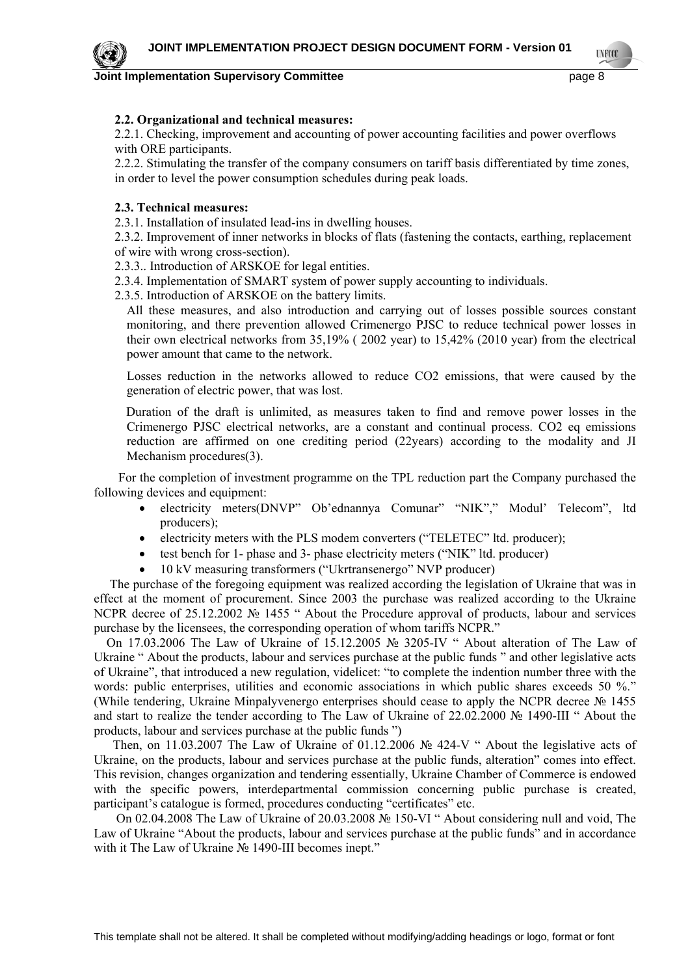**Joint Implementation Supervisory Committee Access 2008 2012 12:30 Page 8** 

## **2.2. Organizational and technical measures:**

2.2.1. Checking, improvement and accounting of power accounting facilities and power overflows with ORE participants.

2.2.2. Stimulating the transfer of the company consumers on tariff basis differentiated by time zones, in order to level the power consumption schedules during peak loads.

## **2.3. Technical measures:**

2.3.1. Installation of insulated lead-ins in dwelling houses.

2.3.2. Improvement of inner networks in blocks of flats (fastening the contacts, earthing, replacement of wire with wrong cross-section).

2.3.3.. Introduction of ARSKOE for legal entities.

2.3.4. Implementation of SMART system of power supply accounting to individuals.

2.3.5. Introduction of ARSKOE on the battery limits.

All these measures, and also introduction and carrying out of losses possible sources constant monitoring, and there prevention allowed Crimenergo PJSC to reduce technical power losses in their own electrical networks from 35,19% ( 2002 year) to 15,42% (2010 year) from the electrical power amount that came to the network.

Losses reduction in the networks allowed to reduce СО2 emissions, that were caused by the generation of electric power, that was lost.

 Duration of the draft is unlimited, as measures taken to find and remove power losses in the Crimenergo PJSC electrical networks, are a constant and continual process. CO2 eq emissions reduction are affirmed on one crediting period (22years) according to the modality and JI Mechanism procedures(3).

For the completion of investment programme on the TPL reduction part the Company purchased the following devices and equipment:

- electricity meters(DNVP" Ob'ednannya Comunar" "NIK"," Modul' Telecom", ltd producers);
- electricity meters with the PLS modem converters ("TELETEC" ltd. producer);
- test bench for 1- phase and 3- phase electricity meters ("NIK" ltd. producer)
- 10 kV measuring transformers ("Ukrtransenergo" NVP producer)

 The purchase of the foregoing equipment was realized according the legislation of Ukraine that was in effect at the moment of procurement. Since 2003 the purchase was realized according to the Ukraine NCPR decree of 25.12.2002 № 1455 " About the Procedure approval of products, labour and services purchase by the licensees, the corresponding operation of whom tariffs NCPR."

 On 17.03.2006 The Law of Ukraine of 15.12.2005 № 3205-IV " About alteration of The Law of Ukraine " About the products, labour and services purchase at the public funds " and other legislative acts of Ukraine", that introduced a new regulation, videlicet: "to complete the indention number three with the words: public enterprises, utilities and economic associations in which public shares exceeds 50 %." (While tendering, Ukraine Minpalyvenergo enterprises should cease to apply the NCPR decree № 1455 and start to realize the tender according to The Law of Ukraine of 22.02.2000 № 1490-III " About the products, labour and services purchase at the public funds ")

 Then, on 11.03.2007 The Law of Ukraine of 01.12.2006 № 424-V " About the legislative acts of Ukraine, on the products, labour and services purchase at the public funds, alteration" comes into effect. This revision, changes organization and tendering essentially, Ukraine Chamber of Commerce is endowed with the specific powers, interdepartmental commission concerning public purchase is created, participant's catalogue is formed, procedures conducting "certificates" etc.

 On 02.04.2008 The Law of Ukraine of 20.03.2008 № 150-VI " About considering null and void, The Law of Ukraine "About the products, labour and services purchase at the public funds" and in accordance with it The Law of Ukraine № 1490-III becomes inept."



**TNETS**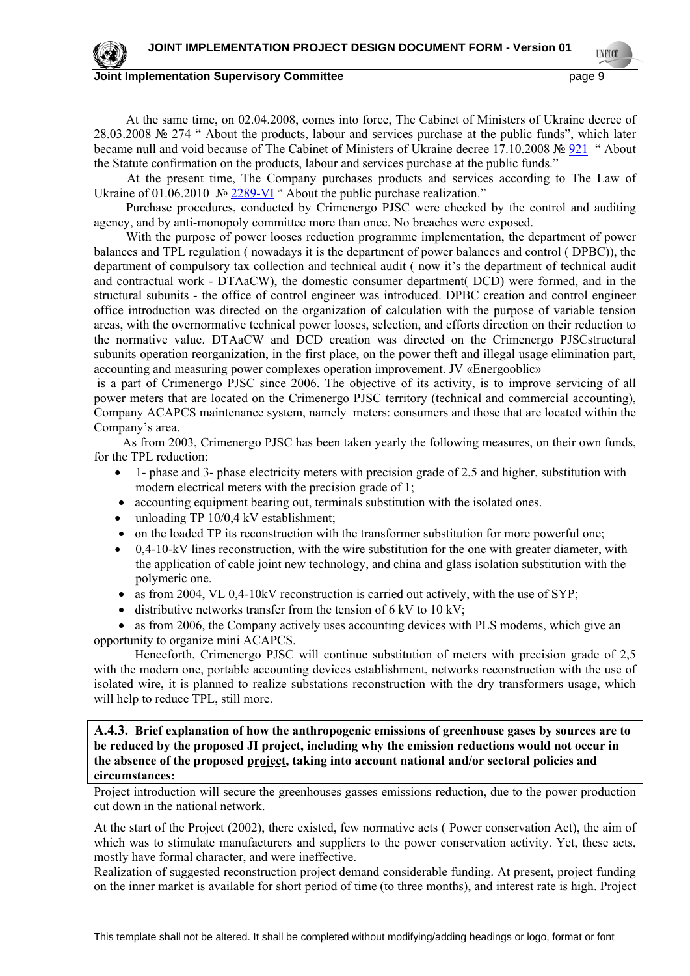

**TNETS** 

At the same time, on 02.04.2008, comes into force, The Cabinet of Ministers of Ukraine decree of 28.03.2008 № 274 " About the products, labour and services purchase at the public funds", which later became null and void because of The Cabinet of Ministers of Ukraine decree 17.10.2008 № [921](javascript:OpenDoc() " About the Statute confirmation on the products, labour and services purchase at the public funds."

At the present time, The Company purchases products and services according to The Law of Ukraine of 01.06.2010 № [2289-VI](javascript:OpenDoc() " About the public purchase realization."

Purchase procedures, conducted by Crimenergo PJSC were checked by the control and auditing agency, and by anti-monopoly committee more than once. No breaches were exposed.

With the purpose of power looses reduction programme implementation, the department of power balances and TPL regulation ( nowadays it is the department of power balances and control ( DPBC)), the department of compulsory tax collection and technical audit ( now it's the department of technical audit and contractual work - DTAaCW), the domestic consumer department( DCD) were formed, and in the structural subunits - the office of control engineer was introduced. DPBC creation and control engineer office introduction was directed on the organization of calculation with the purpose of variable tension areas, with the overnormative technical power looses, selection, and efforts direction on their reduction to the normative value. DTAaCW and DCD creation was directed on the Crimenergo PJSCstructural subunits operation reorganization, in the first place, on the power theft and illegal usage elimination part, accounting and measuring power complexes operation improvement. JV «Energooblic»

 is a part of Crimenergo PJSC since 2006. The objective of its activity, is to improve servicing of all power meters that are located on the Crimenergo PJSC territory (technical and commercial accounting), Company ACAPCS maintenance system, namely meters: consumers and those that are located within the Company's area.

 As from 2003, Crimenergo PJSC has been taken yearly the following measures, on their own funds, for the TPL reduction:

- 1- phase and 3- phase electricity meters with precision grade of 2,5 and higher, substitution with modern electrical meters with the precision grade of 1;
- accounting equipment bearing out, terminals substitution with the isolated ones.
- unloading TP 10/0,4 kV establishment;
- on the loaded TP its reconstruction with the transformer substitution for more powerful one;
- 0,4-10-kV lines reconstruction, with the wire substitution for the one with greater diameter, with the application of cable joint new technology, and china and glass isolation substitution with the polymeric one.
- $\bullet$  as from 2004, VL 0,4-10kV reconstruction is carried out actively, with the use of SYP;
- $\bullet$  distributive networks transfer from the tension of 6 kV to 10 kV;

• as from 2006, the Company actively uses accounting devices with PLS modems, which give an opportunity to organize mini ACAPCS.

 Henceforth, Crimenergo PJSC will continue substitution of meters with precision grade of 2,5 with the modern one, portable accounting devices establishment, networks reconstruction with the use of isolated wire, it is planned to realize substations reconstruction with the dry transformers usage, which will help to reduce TPL, still more.

**A.4.3. Brief explanation of how the anthropogenic emissions of greenhouse gases by sources are to be reduced by the proposed JI project, including why the emission reductions would not occur in the absence of the proposed project, taking into account national and/or sectoral policies and circumstances:** 

Project introduction will secure the greenhouses gasses emissions reduction, due to the power production cut down in the national network.

At the start of the Project (2002), there existed, few normative acts ( Power conservation Act), the aim of which was to stimulate manufacturers and suppliers to the power conservation activity. Yet, these acts, mostly have formal character, and were ineffective.

Realization of suggested reconstruction project demand considerable funding. At present, project funding on the inner market is available for short period of time (to three months), and interest rate is high. Project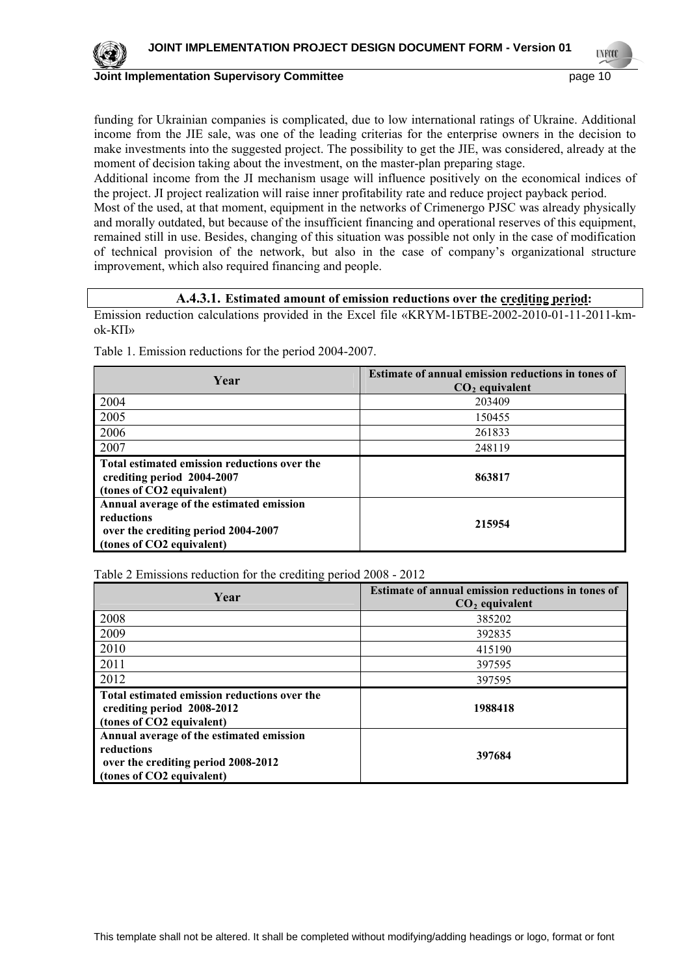

**INFO** 

funding for Ukrainian companies is complicated, due to low international ratings of Ukraine. Additional income from the JIE sale, was one of the leading criterias for the enterprise owners in the decision to make investments into the suggested project. The possibility to get the JIE, was considered, already at the moment of decision taking about the investment, on the master-plan preparing stage.

Additional income from the JI mechanism usage will influence positively on the economical indices of the project. JI project realization will raise inner profitability rate and reduce project payback period.

Most of the used, at that moment, equipment in the networks of Crimenergo PJSC was already physically and morally outdated, but because of the insufficient financing and operational reserves of this equipment, remained still in use. Besides, changing of this situation was possible not only in the case of modification of technical provision of the network, but also in the case of company's organizational structure improvement, which also required financing and people.

#### **A.4.3.1. Estimated amount of emission reductions over the crediting period:**

Emission reduction calculations provided in the Excel file «KRYM-1БТВЕ-2002-2010-01-11-2011-kmok-КП»

| Year                                                                                                                       | Estimate of annual emission reductions in tones of<br>$CO2$ equivalent |
|----------------------------------------------------------------------------------------------------------------------------|------------------------------------------------------------------------|
| 2004                                                                                                                       | 203409                                                                 |
| 2005                                                                                                                       | 150455                                                                 |
| 2006                                                                                                                       | 261833                                                                 |
| 2007                                                                                                                       | 248119                                                                 |
| Total estimated emission reductions over the<br>crediting period 2004-2007<br>(tones of CO2 equivalent)                    | 863817                                                                 |
| Annual average of the estimated emission<br>reductions<br>over the crediting period 2004-2007<br>(tones of CO2 equivalent) | 215954                                                                 |

Table 1. Emission reductions for the period 2004-2007.

Table 2 Emissions reduction for the crediting period 2008 - 2012

| Year                                                                                                                       | Estimate of annual emission reductions in tones of<br>$CO2$ equivalent |
|----------------------------------------------------------------------------------------------------------------------------|------------------------------------------------------------------------|
| 2008                                                                                                                       | 385202                                                                 |
| 2009                                                                                                                       | 392835                                                                 |
| 2010                                                                                                                       | 415190                                                                 |
| 2011                                                                                                                       | 397595                                                                 |
| 2012                                                                                                                       | 397595                                                                 |
| Total estimated emission reductions over the<br>crediting period 2008-2012<br>(tones of CO2 equivalent)                    | 1988418                                                                |
| Annual average of the estimated emission<br>reductions<br>over the crediting period 2008-2012<br>(tones of CO2 equivalent) | 397684                                                                 |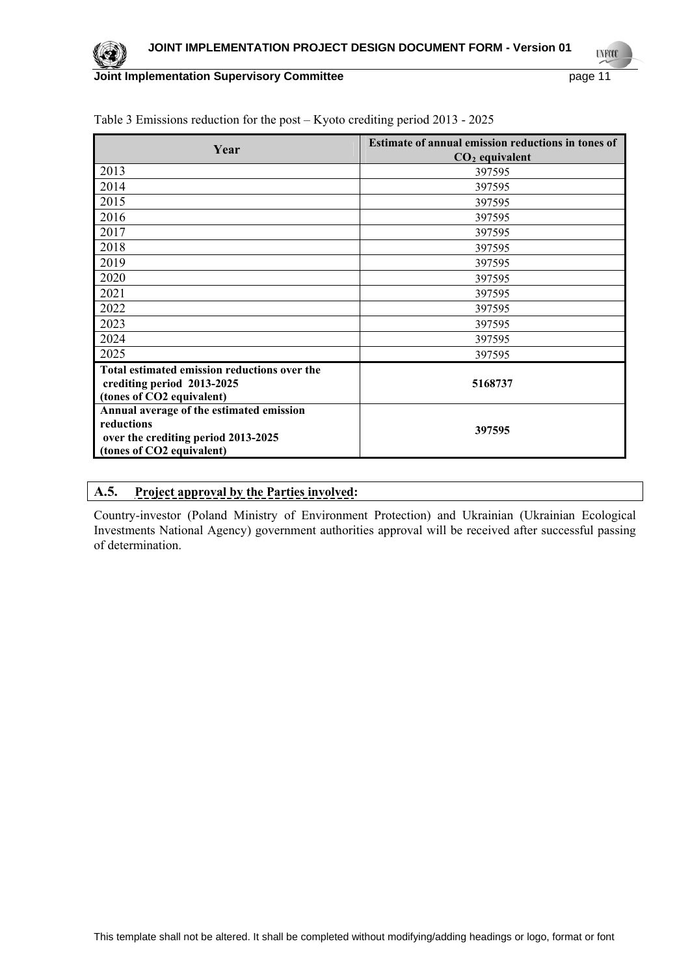

**UNFOOL** 

| Year                                                                                                                       | <b>Estimate of annual emission reductions in tones of</b><br>$CO2$ equivalent |
|----------------------------------------------------------------------------------------------------------------------------|-------------------------------------------------------------------------------|
| 2013                                                                                                                       | 397595                                                                        |
| 2014                                                                                                                       | 397595                                                                        |
| 2015                                                                                                                       | 397595                                                                        |
| 2016                                                                                                                       | 397595                                                                        |
| 2017                                                                                                                       | 397595                                                                        |
| 2018                                                                                                                       | 397595                                                                        |
| 2019                                                                                                                       | 397595                                                                        |
| 2020                                                                                                                       | 397595                                                                        |
| 2021                                                                                                                       | 397595                                                                        |
| 2022                                                                                                                       | 397595                                                                        |
| 2023                                                                                                                       | 397595                                                                        |
| 2024                                                                                                                       | 397595                                                                        |
| 2025                                                                                                                       | 397595                                                                        |
| Total estimated emission reductions over the<br>crediting period 2013-2025<br>(tones of CO2 equivalent)                    | 5168737                                                                       |
| Annual average of the estimated emission<br>reductions<br>over the crediting period 2013-2025<br>(tones of CO2 equivalent) | 397595                                                                        |

Table 3 Emissions reduction for the post – Kyoto crediting period 2013 - 2025

## **A.5. Project approval by the Parties involved:**

Country-investor (Poland Ministry of Environment Protection) and Ukrainian (Ukrainian Ecological Investments National Agency) government authorities approval will be received after successful passing of determination.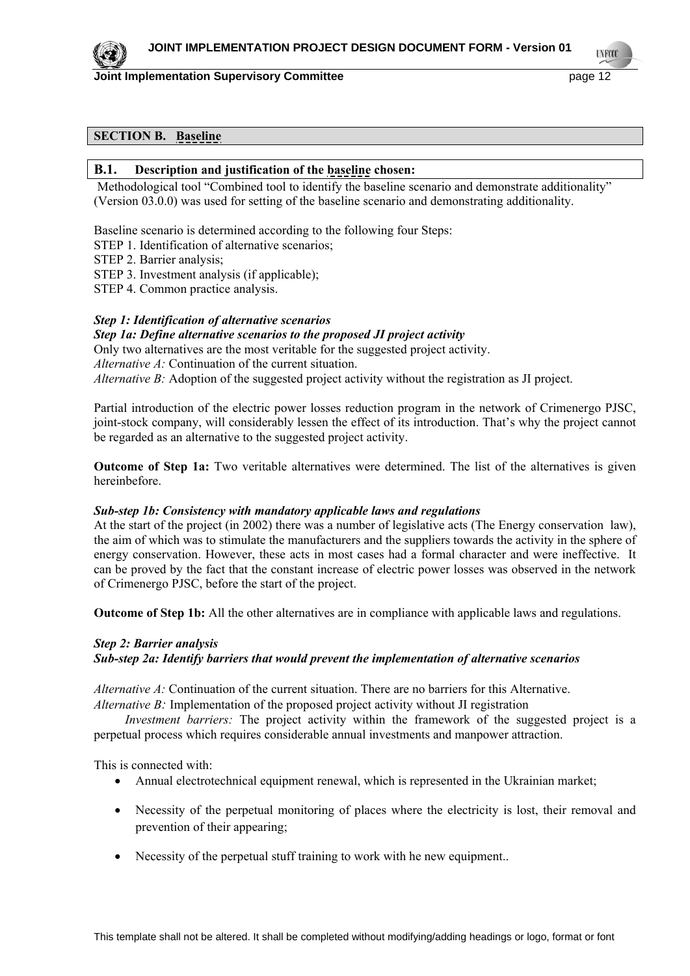

**TYPEO** 

## **SECTION B. Baseline**

#### **B.1. Description and justification of the baseline chosen:**

Methodological tool "Combined tool to identify the baseline scenario and demonstrate additionality" (Version 03.0.0) was used for setting of the baseline scenario and demonstrating additionality.

Baseline scenario is determined according to the following four Steps:

- STEP 1. Identification of alternative scenarios;
- STEP 2. Barrier analysis;

STEP 3. Investment analysis (if applicable);

STEP 4. Common practice analysis.

#### *Step 1: Identification of alternative scenarios*

#### *Step 1a: Define alternative scenarios to the proposed JI project activity*

Only two alternatives are the most veritable for the suggested project activity. *Alternative A:* Continuation of the current situation. *Alternative B:* Adoption of the suggested project activity without the registration as JI project.

Partial introduction of the electric power losses reduction program in the network of Crimenergo PJSC, joint-stock company, will considerably lessen the effect of its introduction. That's why the project cannot be regarded as an alternative to the suggested project activity.

**Outcome of Step 1a:** Two veritable alternatives were determined. The list of the alternatives is given hereinbefore.

#### *Sub-step 1b: Consistency with mandatory applicable laws and regulations*

At the start of the project (in 2002) there was a number of legislative acts (The Energy conservation law), the aim of which was to stimulate the manufacturers and the suppliers towards the activity in the sphere of energy conservation. However, these acts in most cases had a formal character and were ineffective. It can be proved by the fact that the constant increase of electric power losses was observed in the network of Crimenergo PJSC, before the start of the project.

**Outcome of Step 1b:** All the other alternatives are in compliance with applicable laws and regulations.

#### *Step 2: Barrier analysis*

## *Sub-step 2a: Identify barriers that would prevent the implementation of alternative scenarios*

*Alternative A:* Continuation of the current situation. There are no barriers for this Alternative. *Alternative B:* Implementation of the proposed project activity without JI registration

*Investment barriers:* The project activity within the framework of the suggested project is a perpetual process which requires considerable annual investments and manpower attraction.

This is connected with:

- Annual electrotechnical equipment renewal, which is represented in the Ukrainian market;
- Necessity of the perpetual monitoring of places where the electricity is lost, their removal and prevention of their appearing;
- Necessity of the perpetual stuff training to work with he new equipment...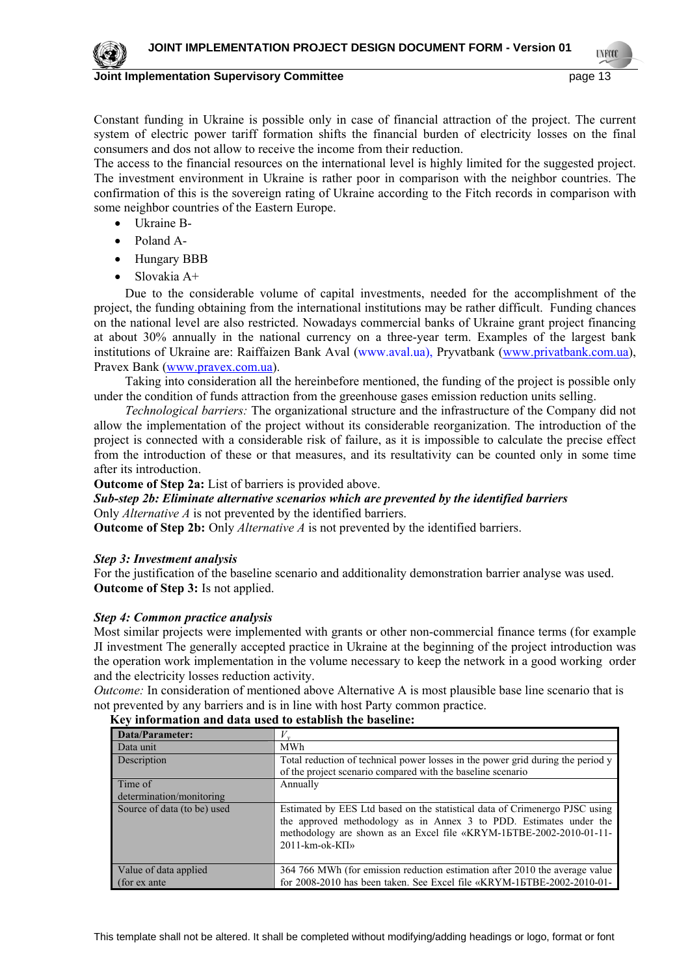

Constant funding in Ukraine is possible only in case of financial attraction of the project. The current system of electric power tariff formation shifts the financial burden of electricity losses on the final consumers and dos not allow to receive the income from their reduction.

The access to the financial resources on the international level is highly limited for the suggested project. The investment environment in Ukraine is rather poor in comparison with the neighbor countries. The confirmation of this is the sovereign rating of Ukraine according to the Fitch records in comparison with some neighbor countries of the Eastern Europe.

- Ukraine B-
- Poland A-
- Hungary BBB
- Slovakia A+

Due to the considerable volume of capital investments, needed for the accomplishment of the project, the funding obtaining from the international institutions may be rather difficult. Funding chances on the national level are also restricted. Nowadays commercial banks of Ukraine grant project financing at about 30% annually in the national currency on a three-year term. Examples of the largest bank institutions of Ukraine are: Raiffaizen Bank Aval (www.aval.ua), Pryvatbank [\(www.privatbank.com.ua\)](http://www.privatbank.com.ua/), Pravex Bank ([www.pravex.com.ua](http://www.pravex.com.ua/)).

Taking into consideration all the hereinbefore mentioned, the funding of the project is possible only under the condition of funds attraction from the greenhouse gases emission reduction units selling.

*Technological barriers:* The organizational structure and the infrastructure of the Company did not allow the implementation of the project without its considerable reorganization. The introduction of the project is connected with a considerable risk of failure, as it is impossible to calculate the precise effect from the introduction of these or that measures, and its resultativity can be counted only in some time after its introduction.

**Outcome of Step 2a:** List of barriers is provided above.

#### *Sub-step 2b: Eliminate alternative scenarios which are prevented by the identified barriers* Only *Alternative A* is not prevented by the identified barriers.

**Outcome of Step 2b:** Only *Alternative A* is not prevented by the identified barriers.

#### *Step 3: Investment analysis*

For the justification of the baseline scenario and additionality demonstration barrier analyse was used. **Outcome of Step 3:** Is not applied.

#### *Step 4: Common practice analysis*

Most similar projects were implemented with grants or other non-commercial finance terms (for example JI investment The generally accepted practice in Ukraine at the beginning of the project introduction was the operation work implementation in the volume necessary to keep the network in a good working order and the electricity losses reduction activity.

*Outcome:* In consideration of mentioned above Alternative A is most plausible base line scenario that is not prevented by any barriers and is in line with host Party common practice.

| Data/Parameter:             |                                                                                                                                                                                                                                                     |
|-----------------------------|-----------------------------------------------------------------------------------------------------------------------------------------------------------------------------------------------------------------------------------------------------|
| Data unit                   | <b>MWh</b>                                                                                                                                                                                                                                          |
| Description                 | Total reduction of technical power losses in the power grid during the period y                                                                                                                                                                     |
|                             | of the project scenario compared with the baseline scenario                                                                                                                                                                                         |
| Time of                     | Annually                                                                                                                                                                                                                                            |
| determination/monitoring    |                                                                                                                                                                                                                                                     |
| Source of data (to be) used | Estimated by EES Ltd based on the statistical data of Crimenergo PJSC using<br>the approved methodology as in Annex 3 to PDD. Estimates under the<br>methodology are shown as an Excel file «KRYM-15TBE-2002-2010-01-11-<br>$2011$ -km-ok-K $\Pi$ » |
| Value of data applied       | 364 766 MWh (for emission reduction estimation after 2010 the average value                                                                                                                                                                         |
| (for ex ante                | for 2008-2010 has been taken. See Excel file «KRYM-15TBE-2002-2010-01-                                                                                                                                                                              |

#### **Key information and data used to establish the baseline:**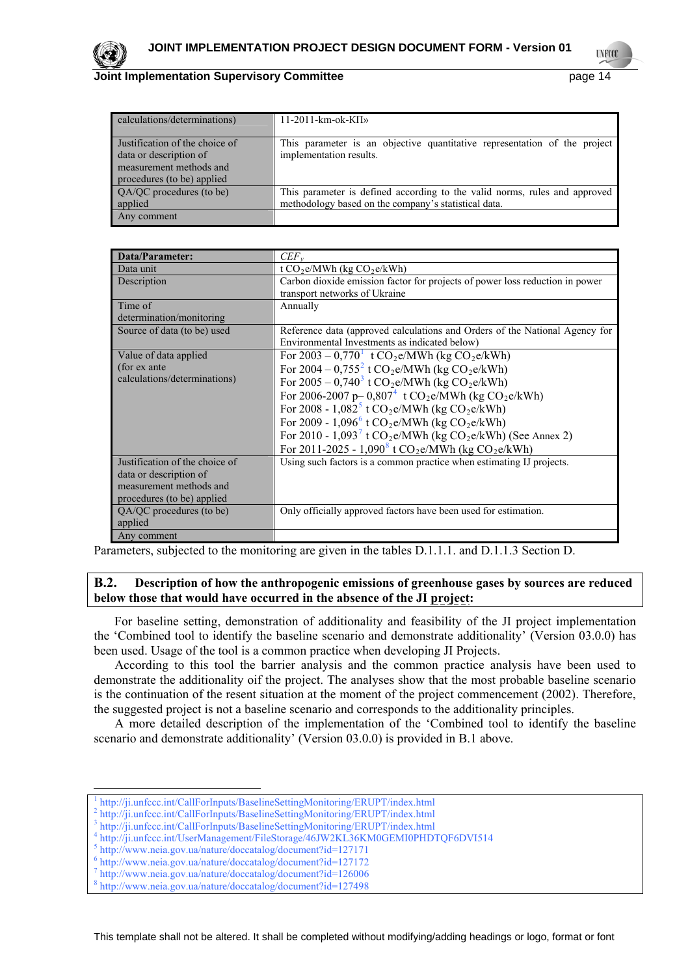

#### **Documentation Supervisory Committee According to the Committee of the Committee of the Committee Committee According to the Committee According to the Committee According to the Committee of the Committee According to the**

**TNEOD** 

| calculations/determinations)                                                                                      | 11-2011-km-ok-K $\Pi$ »                                                                                                            |
|-------------------------------------------------------------------------------------------------------------------|------------------------------------------------------------------------------------------------------------------------------------|
| Justification of the choice of<br>data or description of<br>measurement methods and<br>procedures (to be) applied | This parameter is an objective quantitative representation of the project<br>implementation results.                               |
| QA/QC procedures (to be)<br>applied                                                                               | This parameter is defined according to the valid norms, rules and approved<br>methodology based on the company's statistical data. |
| Any comment                                                                                                       |                                                                                                                                    |

| <b>Data/Parameter:</b>         | $CEF_{v}$                                                                              |
|--------------------------------|----------------------------------------------------------------------------------------|
| Data unit                      | t $CO2e/MWh$ (kg $CO2e/kWh$ )                                                          |
| Description                    | Carbon dioxide emission factor for projects of power loss reduction in power           |
|                                | transport networks of Ukraine                                                          |
| Time of                        | Annually                                                                               |
| determination/monitoring       |                                                                                        |
| Source of data (to be) used    | Reference data (approved calculations and Orders of the National Agency for            |
|                                | Environmental Investments as indicated below)                                          |
| Value of data applied          | For $2003 - 0.770$ <sup>1</sup> t CO <sub>2</sub> e/MWh (kg CO <sub>2</sub> e/kWh)     |
| (for ex ante                   | For $2004 - 0.755^2$ t CO <sub>2</sub> e/MWh (kg CO <sub>2</sub> e/kWh)                |
| calculations/determinations)   | For $2005 - 0.740^3$ t CO <sub>2</sub> e/MWh (kg CO <sub>2</sub> e/kWh)                |
|                                | For 2006-2007 p- 0,807 <sup>4</sup> t CO <sub>2</sub> e/MWh (kg CO <sub>2</sub> e/kWh) |
|                                | For 2008 - $1,082^5$ t CO <sub>2</sub> e/MWh (kg CO <sub>2</sub> e/kWh)                |
|                                | For 2009 - 1,096 <sup>6</sup> t CO <sub>2</sub> e/MWh (kg CO <sub>2</sub> e/kWh)       |
|                                | For 2010 - $1,093^7$ t CO <sub>2</sub> e/MWh (kg CO <sub>2</sub> e/kWh) (See Annex 2)  |
|                                | For 2011-2025 - 1,090 <sup>8</sup> t CO <sub>2</sub> e/MWh (kg CO <sub>2</sub> e/kWh)  |
| Justification of the choice of | Using such factors is a common practice when estimating IJ projects.                   |
| data or description of         |                                                                                        |
| measurement methods and        |                                                                                        |
| procedures (to be) applied     |                                                                                        |
| QA/QC procedures (to be)       | Only officially approved factors have been used for estimation.                        |
| applied                        |                                                                                        |
| Any comment                    |                                                                                        |

Parameters, subjected to the monitoring are given in the tables D.1.1.1. and D.1.1.3 Section D.

#### **B.2. Description of how the anthropogenic emissions of greenhouse gases by sources are reduced below those that would have occurred in the absence of the JI project:**

For baseline setting, demonstration of additionality and feasibility of the JI project implementation the 'Combined tool to identify the baseline scenario and demonstrate additionality' (Version 03.0.0) has been used. Usage of the tool is a common practice when developing JI Projects.

According to this tool the barrier analysis and the common practice analysis have been used to demonstrate the additionality oif the project. The analyses show that the most probable baseline scenario is the continuation of the resent situation at the moment of the project commencement (2002). Therefore, the suggested project is not a baseline scenario and corresponds to the additionality principles.

A more detailed description of the implementation of the 'Combined tool to identify the baseline scenario and demonstrate additionality' (Version 03.0.0) is provided in В.1 above.

-

<sup>1</sup> http://ji.unfccc.int/CallForInputs/BaselineSettingMonitoring/ERUPT/index.html 2

http://ji.unfccc.int/CallForInputs/BaselineSettingMonitoring/ERUPT/index.html 3

<span id="page-13-1"></span><span id="page-13-0"></span>http://ji.unfccc.int/CallForInputs/BaselineSettingMonitoring/ERUPT/index.html 4

<span id="page-13-2"></span>http://ji.unfccc.int/UserManagement/FileStorage/46JW2KL36KM0GEMI0PHDTQF6DVI514

<span id="page-13-3"></span><sup>&</sup>lt;sup>5</sup> http://www.neia.gov.ua/nature/doccatalog/document?id=127171

<span id="page-13-4"></span> $6$  http://www.neia.gov.ua/nature/doccatalog/document?id=127172

<span id="page-13-5"></span> $\frac{7 \text{ http://www.neia.gov.ua/nature/doccatalog/document?id=126006}}{8}$ 

<span id="page-13-6"></span>http://www.neia.gov.ua/nature/doccatalog/document?id=127498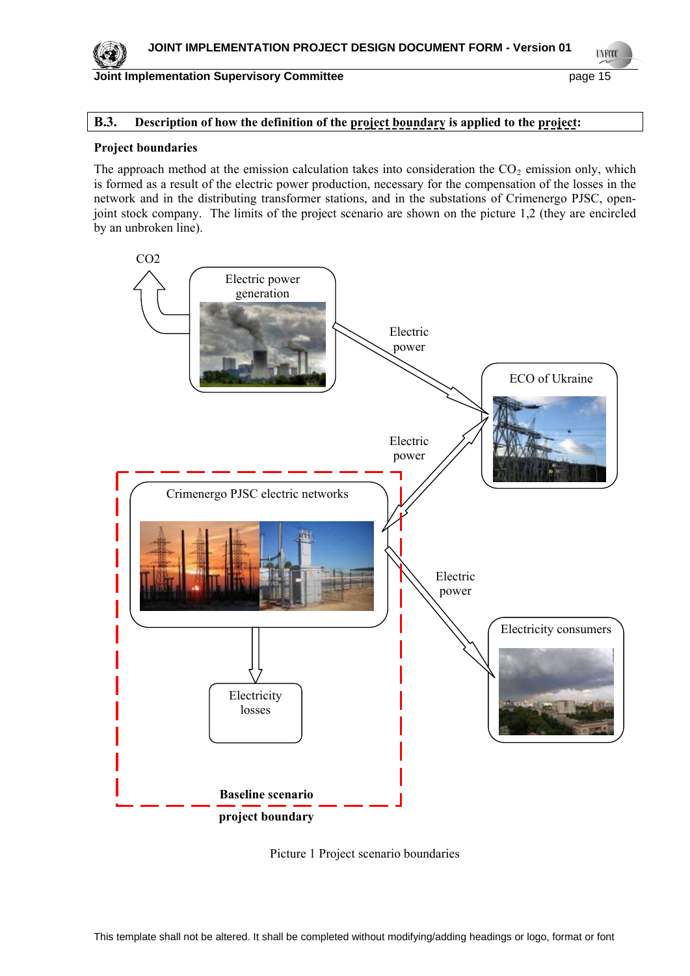

**UNFOOL** 

## **B.3.** Description of how the definition of the project boundary is applied to the project:

#### **Project boundaries**

The approach method at the emission calculation takes into consideration the  $CO<sub>2</sub>$  emission only, which is formed as a result of the electric power production, necessary for the compensation of the losses in the network and in the distributing transformer stations, and in the substations of Crimenergo PJSC, openjoint stock company. The limits of the project scenario are shown on the picture 1,2 (they are encircled by an unbroken line).



Picture 1 Project scenario boundaries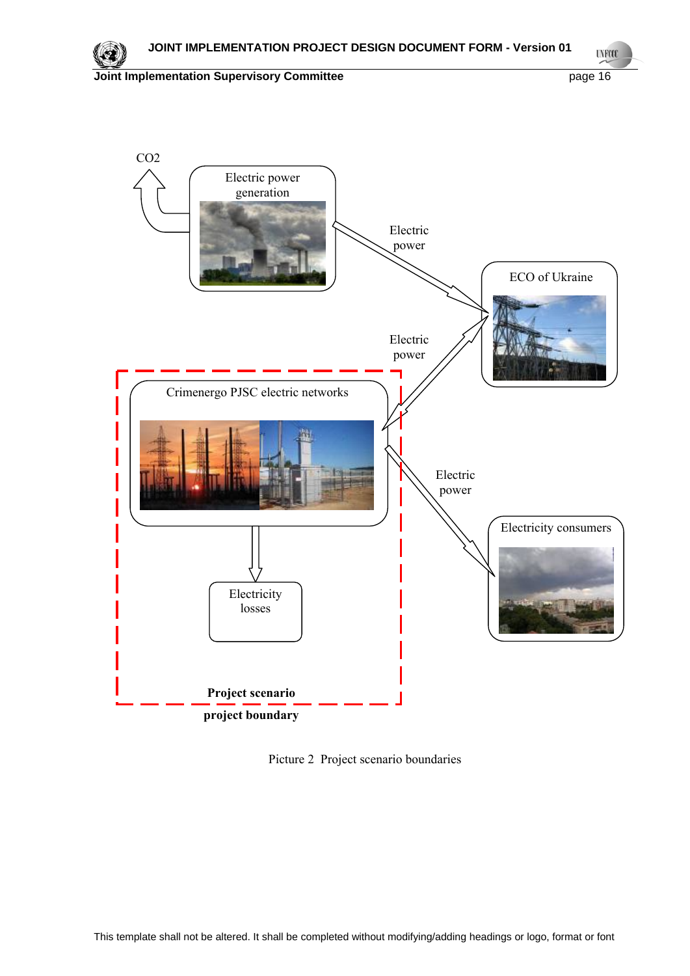





Picture 2 Project scenario boundaries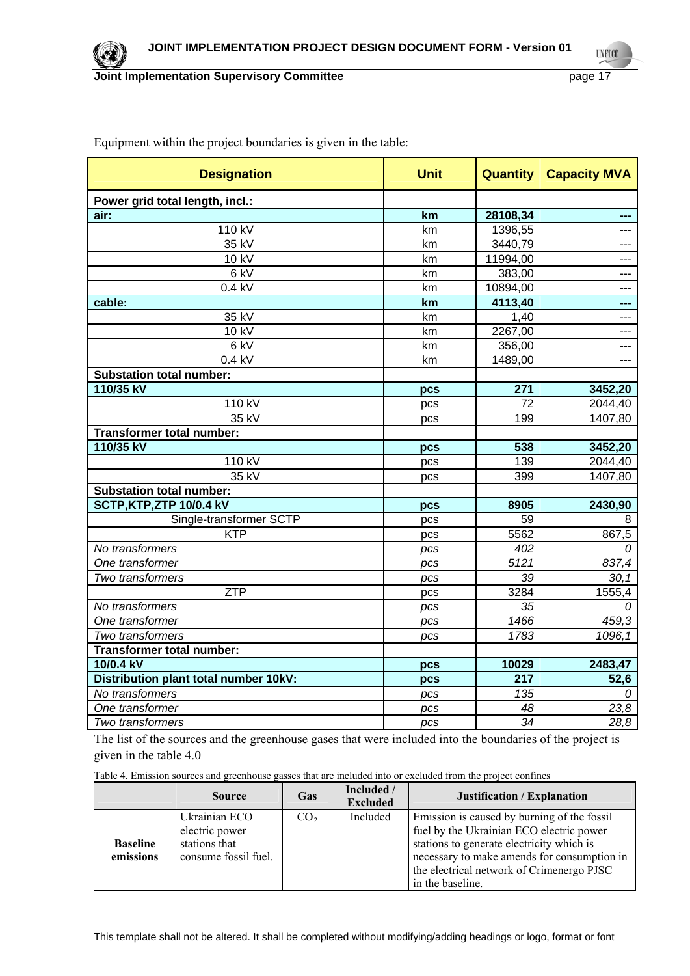| <b>Designation</b>                    | <b>Unit</b> | <b>Quantity</b> | <b>Capacity MVA</b> |
|---------------------------------------|-------------|-----------------|---------------------|
| Power grid total length, incl.:       |             |                 |                     |
| air:                                  | km          | 28108,34        | ---                 |
| 110 kV                                | km          | 1396,55         | ---                 |
| $\overline{3}5$ kV                    | km          | 3440,79         | ---                 |
| 10 kV                                 | km          | 11994,00        | ---                 |
| $6$ kV                                | km          | 383,00          | ---                 |
| 0.4 kV                                | km          | 10894,00        | ---                 |
| cable:                                | km          | 4113,40         | ---                 |
| 35 kV                                 | km          | 1,40            | ---                 |
| 10 kV                                 | km          | 2267,00         | $\overline{a}$      |
| $6$ kV                                | km          | 356,00          | ---                 |
| $0.4$ kV                              | km          | 1489,00         | $---$               |
| <b>Substation total number:</b>       |             |                 |                     |
| 110/35 kV                             | pcs         | 271             | 3452,20             |
| 110 kV                                | pcs         | 72              | 2044,40             |
| 35 kV                                 | pcs         | 199             | 1407,80             |
| <b>Transformer total number:</b>      |             |                 |                     |
| 110/35 kV                             | pcs         | 538             | 3452,20             |
| 110 kV                                | pcs         | 139             | 2044,40             |
| $35$ kV                               | pcs         | 399             | 1407,80             |
| <b>Substation total number:</b>       |             |                 |                     |
| SCTP, KTP, ZTP 10/0.4 kV              | pcs         | 8905            | 2430,90             |
| Single-transformer SCTP               | pcs         | 59              | 8                   |
| <b>KTP</b>                            | pcs         | 5562            | 867,5               |
| No transformers                       | pcs         | 402             | 0                   |
| One transformer                       | pcs         | 5121            | 837,4               |
| Two transformers                      | pcs         | 39              | 30, 1               |
| <b>ZTP</b>                            | pcs         | 3284            | 1555,4              |
| No transformers                       | pcs         | 35              |                     |
| One transformer                       | pcs         | 1466            | 459,3               |
| Two transformers                      | pcs         | 1783            | 1096,1              |
| <b>Transformer total number:</b>      |             |                 |                     |
| 10/0.4 kV                             | pcs         | 10029           | 2483,47             |
| Distribution plant total number 10kV: | pcs         | 217             | 52,6                |
| No transformers                       | pcs         | 135             | 0                   |
| One transformer                       | pcs         | 48              | 23,8                |
| Two transformers                      | pcs         | $\overline{34}$ | 28,8                |

Equipment within the project boundaries is given in the table:

The list of the sources and the greenhouse gases that were included into the boundaries of the project is given in the table 4.0

Table 4. Emission sources and greenhouse gasses that are included into or excluded from the project confines

|                              | <b>Source</b>                                                            | <b>Gas</b>      | Included /<br><b>Excluded</b> | Justification / Explanation                                                                                                                                                                                                                          |
|------------------------------|--------------------------------------------------------------------------|-----------------|-------------------------------|------------------------------------------------------------------------------------------------------------------------------------------------------------------------------------------------------------------------------------------------------|
| <b>Baseline</b><br>emissions | Ukrainian ECO<br>electric power<br>stations that<br>consume fossil fuel. | CO <sub>2</sub> | Included                      | Emission is caused by burning of the fossil<br>fuel by the Ukrainian ECO electric power<br>stations to generate electricity which is<br>necessary to make amends for consumption in<br>the electrical network of Crimenergo PJSC<br>in the baseline. |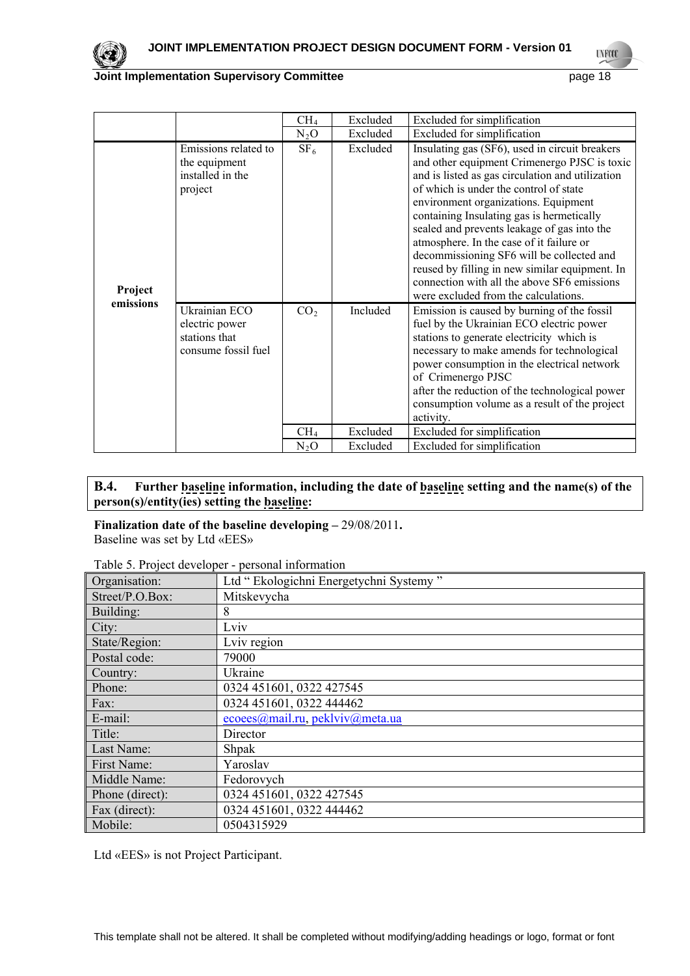

|                      |                                                                         | CH <sub>4</sub> | Excluded | Excluded for simplification                                                                                                                                                                                                                                                                                                                                                                                                                                                                                                                                        |
|----------------------|-------------------------------------------------------------------------|-----------------|----------|--------------------------------------------------------------------------------------------------------------------------------------------------------------------------------------------------------------------------------------------------------------------------------------------------------------------------------------------------------------------------------------------------------------------------------------------------------------------------------------------------------------------------------------------------------------------|
|                      |                                                                         | $N_2O$          | Excluded | Excluded for simplification                                                                                                                                                                                                                                                                                                                                                                                                                                                                                                                                        |
| Project<br>emissions | Emissions related to<br>the equipment<br>installed in the<br>project    | SF <sub>6</sub> | Excluded | Insulating gas (SF6), used in circuit breakers<br>and other equipment Crimenergo PJSC is toxic<br>and is listed as gas circulation and utilization<br>of which is under the control of state<br>environment organizations. Equipment<br>containing Insulating gas is hermetically<br>sealed and prevents leakage of gas into the<br>atmosphere. In the case of it failure or<br>decommissioning SF6 will be collected and<br>reused by filling in new similar equipment. In<br>connection with all the above SF6 emissions<br>were excluded from the calculations. |
|                      | Ukrainian ECO<br>electric power<br>stations that<br>consume fossil fuel | CO <sub>2</sub> | Included | Emission is caused by burning of the fossil<br>fuel by the Ukrainian ECO electric power<br>stations to generate electricity which is<br>necessary to make amends for technological<br>power consumption in the electrical network<br>of Crimenergo PJSC<br>after the reduction of the technological power<br>consumption volume as a result of the project<br>activity.                                                                                                                                                                                            |
|                      |                                                                         | CH <sub>4</sub> | Excluded | Excluded for simplification                                                                                                                                                                                                                                                                                                                                                                                                                                                                                                                                        |
|                      |                                                                         | $N_2O$          | Excluded | Excluded for simplification                                                                                                                                                                                                                                                                                                                                                                                                                                                                                                                                        |

## **B.4. Further baseline information, including the date of baseline setting and the name(s) of the person(s)/entity(ies) setting the baseline:**

#### **Finalization date of the baseline developing –** 29/08/2011**.**  Baseline was set by Ltd «ЕЕS»

|  |  | Table 5. Project developer - personal information |
|--|--|---------------------------------------------------|
|  |  |                                                   |

| Organisation:   | Ltd " Ekologichni Energetychni Systemy " |
|-----------------|------------------------------------------|
|                 |                                          |
| Street/P.O.Box: | Mitskevycha                              |
| Building:       | 8                                        |
| City:           | Lviv                                     |
| State/Region:   | Lviv region                              |
| Postal code:    | 79000                                    |
| Country:        | Ukraine                                  |
| Phone:          | 0324 451601, 0322 427545                 |
| Fax:            | 0324 451601, 0322 444462                 |
| E-mail:         | ecoees@mail.ru, peklviv@meta.ua          |
| Title:          | Director                                 |
| Last Name:      | <b>Shpak</b>                             |
| First Name:     | Yaroslav                                 |
| Middle Name:    | Fedorovych                               |
| Phone (direct): | 0324 451601, 0322 427545                 |
| Fax (direct):   | 0324 451601, 0322 444462                 |
| Mobile:         | 0504315929                               |

Ltd «ЕЕS» is not Project Participant.

**UNFOOL**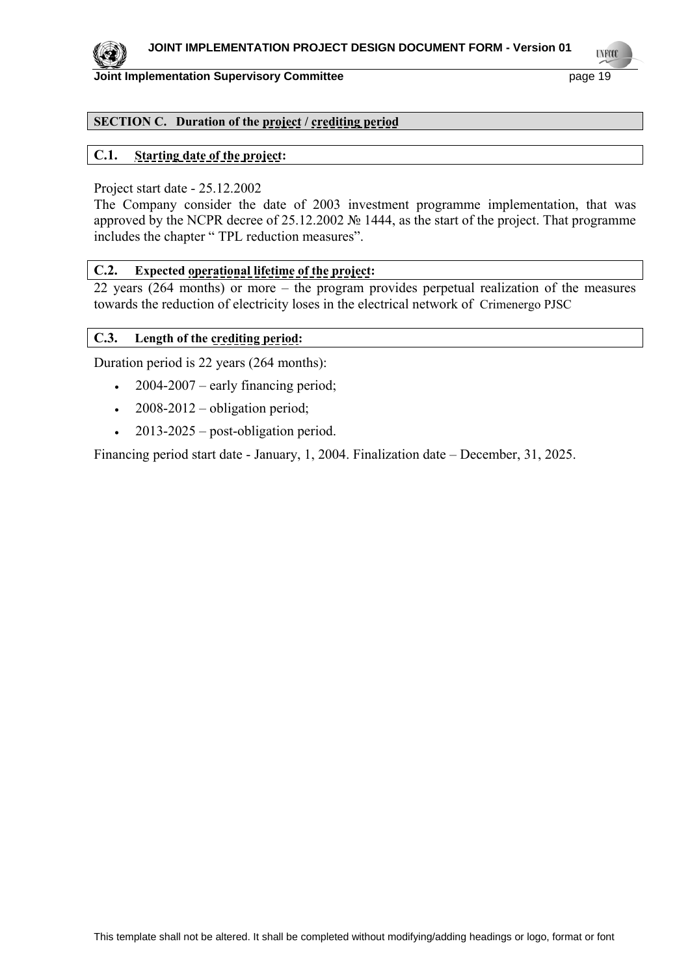

## **TNETS**

#### **Joint Implementation Supervisory Committee** page 19

## **SECTION C. Duration of the project / crediting period**

## **C.1. Starting date of the project:**

#### Project start date - 25.12.2002

The Company consider the date of 2003 investment programme implementation, that was approved by the NCPR decree of 25.12.2002 № 1444, as the start of the project. That programme includes the chapter " TPL reduction measures".

#### **C.2. Expected operational lifetime of the project:**

22 years (264 months) or more – the program provides perpetual realization of the measures towards the reduction of electricity loses in the electrical network of Crimenergo PJSC

## **C.3. Length of the crediting period:**

Duration period is 22 years (264 months):

- $\cdot$  2004-2007 early financing period;
- $\cdot$  2008-2012 obligation period;
- $\cdot$  2013-2025 post-obligation period.

Financing period start date - January, 1, 2004. Finalization date – December, 31, 2025.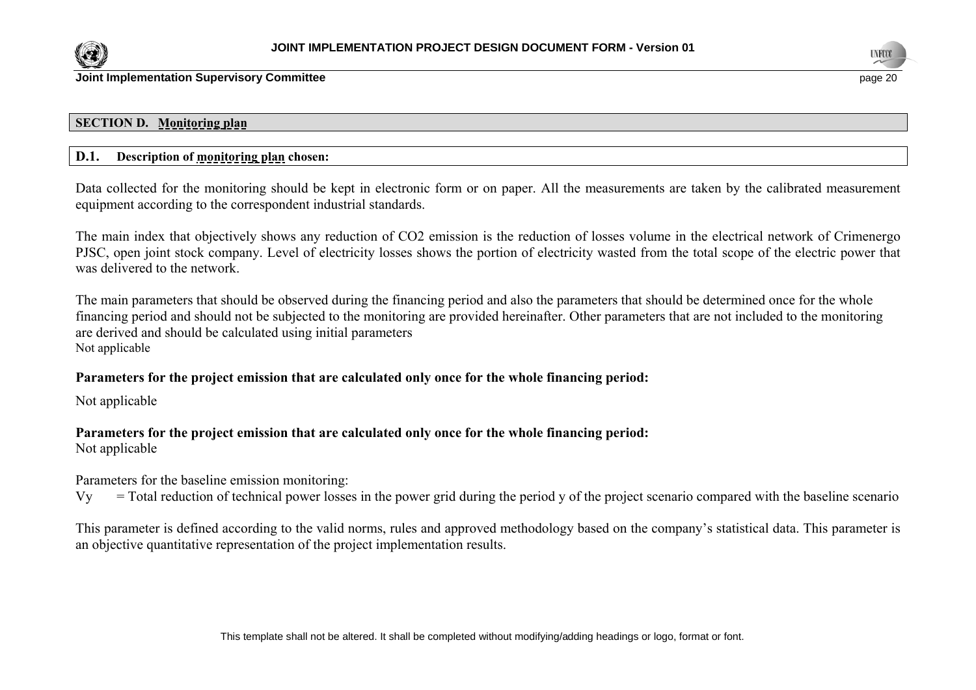



#### **SECTION D. Monitoring plan**

## **D.1. Description of monitoring plan chosen:**

Data collected for the monitoring should be kept in electronic form or on paper. All the measurements are taken by the calibrated measurement equipment according to the correspondent industrial standards.

The main index that objectively shows any reduction of СО2 emission is the reduction of losses volume in the electrical network of Crimenergo PJSC, open joint stock company. Level of electricity losses shows the portion of electricity wasted from the total scope of the electric power that was delivered to the network.

The main parameters that should be observed during the financing period and also the parameters that should be determined once for the whole financing period and should not be subjected to the monitoring are provided hereinafter. Other parameters that are not included to the monitoring are derived and should be calculated using initial parameters Not applicable

## **Parameters for the project emission that are calculated only once for the whole financing period:**

Not applicable

## **Parameters for the project emission that are calculated only once for the whole financing period:**

Not applicable

Parameters for the baseline emission monitoring:

 $V_y$  = Total reduction of technical power losses in the power grid during the period y of the project scenario compared with the baseline scenario

This parameter is defined according to the valid norms, rules and approved methodology based on the company's statistical data. This parameter is an objective quantitative representation of the project implementation results.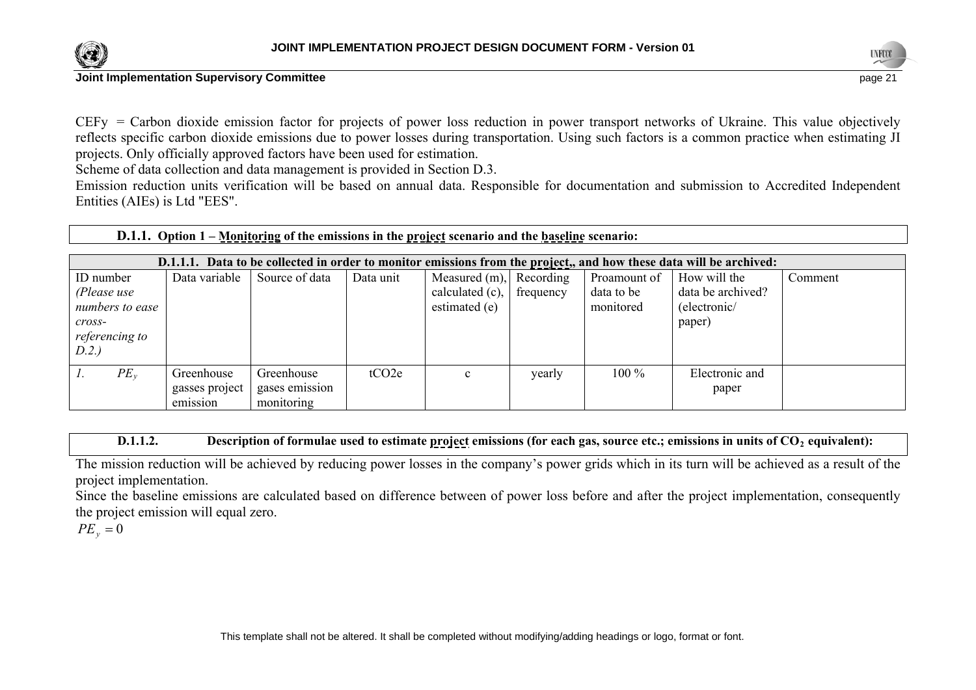



СEFy = Carbon dioxide emission factor for projects of power loss reduction in power transport networks of Ukraine. This value objectively reflects specific carbon dioxide emissions due to power losses during transportation. Using such factors is a common practice when estimating JI projects. Only officially approved factors have been used for estimation.

Scheme of data collection and data management is provided in Section D.3.

Emission reduction units verification will be based on annual data. Responsible for documentation and submission to Accredited Independent Entities (AIEs) is Ltd "EES".

| D.1.1. Option 1 – Monitoring of the emissions in the project scenario and the baseline scenario: |
|--------------------------------------------------------------------------------------------------|
|--------------------------------------------------------------------------------------------------|

| D.1.1.1. Data to be collected in order to monitor emissions from the project,, and how these data will be archived: |                              |                              |           |                            |           |              |                         |         |
|---------------------------------------------------------------------------------------------------------------------|------------------------------|------------------------------|-----------|----------------------------|-----------|--------------|-------------------------|---------|
| ID number                                                                                                           | Data variable                | Source of data               | Data unit | Measured $(m)$ , Recording |           | Proamount of | How will the            | Comment |
| (Please use                                                                                                         |                              |                              |           | calculated (c),            | frequency | data to be   | data be archived?       |         |
| numbers to ease                                                                                                     |                              |                              |           | estimated (e)              |           | monitored    | (electronic/            |         |
| $\mathit{cross}$ -                                                                                                  |                              |                              |           |                            |           |              | paper)                  |         |
| referencing to                                                                                                      |                              |                              |           |                            |           |              |                         |         |
| D.2.)                                                                                                               |                              |                              |           |                            |           |              |                         |         |
| $PE_{v}$                                                                                                            | Greenhouse<br>gasses project | Greenhouse<br>gases emission | tCO2e     | $\mathbf{c}$               | yearly    | 100 %        | Electronic and<br>paper |         |
|                                                                                                                     | emission                     | monitoring                   |           |                            |           |              |                         |         |

**D.1.1.2.** Description of formulae used to estimate project emissions (for each gas, source etc.; emissions in units of CO<sub>2</sub> equivalent):

The mission reduction will be achieved by reducing power losses in the company's power grids which in its turn will be achieved as a result of the project implementation.

Since the baseline emissions are calculated based on difference between of power loss before and after the project implementation, consequently the project emission will equal zero.

 $PE_v = 0$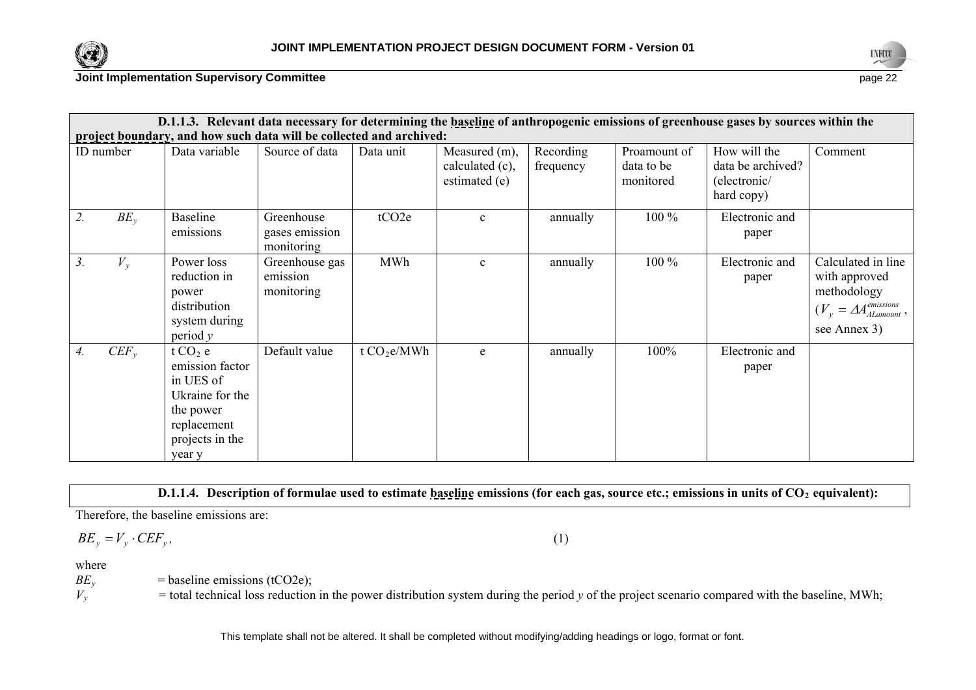



| D.1.1.3. Relevant data necessary for determining the baseline of anthropogenic emissions of greenhouse gases by sources within the |                                                                                                                       |                                            |                   |                                                   |                        |                                         |                                                                 |                                                                                                                  |  |
|------------------------------------------------------------------------------------------------------------------------------------|-----------------------------------------------------------------------------------------------------------------------|--------------------------------------------|-------------------|---------------------------------------------------|------------------------|-----------------------------------------|-----------------------------------------------------------------|------------------------------------------------------------------------------------------------------------------|--|
|                                                                                                                                    | project boundary, and how such data will be collected and archived:                                                   |                                            |                   |                                                   |                        |                                         |                                                                 |                                                                                                                  |  |
| ID number                                                                                                                          | Data variable                                                                                                         | Source of data                             | Data unit         | Measured (m),<br>calculated (c),<br>estimated (e) | Recording<br>frequency | Proamount of<br>data to be<br>monitored | How will the<br>data be archived?<br>(electronic/<br>hard copy) | Comment                                                                                                          |  |
| $BE_v$<br>2.                                                                                                                       | Baseline<br>emissions                                                                                                 | Greenhouse<br>gases emission<br>monitoring | tCO <sub>2e</sub> | $\mathbf{c}$                                      | annually               | $100\%$                                 | Electronic and<br>paper                                         |                                                                                                                  |  |
| $V_{\nu}$<br>3.                                                                                                                    | Power loss<br>reduction in<br>power<br>distribution<br>system during<br>period $y$                                    | Greenhouse gas<br>emission<br>monitoring   | <b>MWh</b>        | $\mathbf{c}$                                      | annually               | 100 %                                   | Electronic and<br>paper                                         | Calculated in line<br>with approved<br>methodology<br>$(V_y = \Delta A_{Alamount}^{emissions}$ ,<br>see Annex 3) |  |
| $CEF_{v}$<br>4.                                                                                                                    | t $CO2$ e<br>emission factor<br>in UES of<br>Ukraine for the<br>the power<br>replacement<br>projects in the<br>year y | Default value                              | t $CO2e/MWh$      | e                                                 | annually               | 100%                                    | Electronic and<br>paper                                         |                                                                                                                  |  |

**D.1.1.4.** Description of formulae used to estimate baseline emissions (for each gas, source etc.; emissions in units of CO<sub>2</sub> equivalent):

Therefore, the baseline emissions are:

$$
BE_{y} = V_{y} \cdot CEF_{y},\tag{1}
$$

where

 $BE<sub>v</sub>$  = baseline emissions (tCO2e);

 $V_y$  = total technical loss reduction in the power distribution system during the period y of the project scenario compared with the baseline, MWh;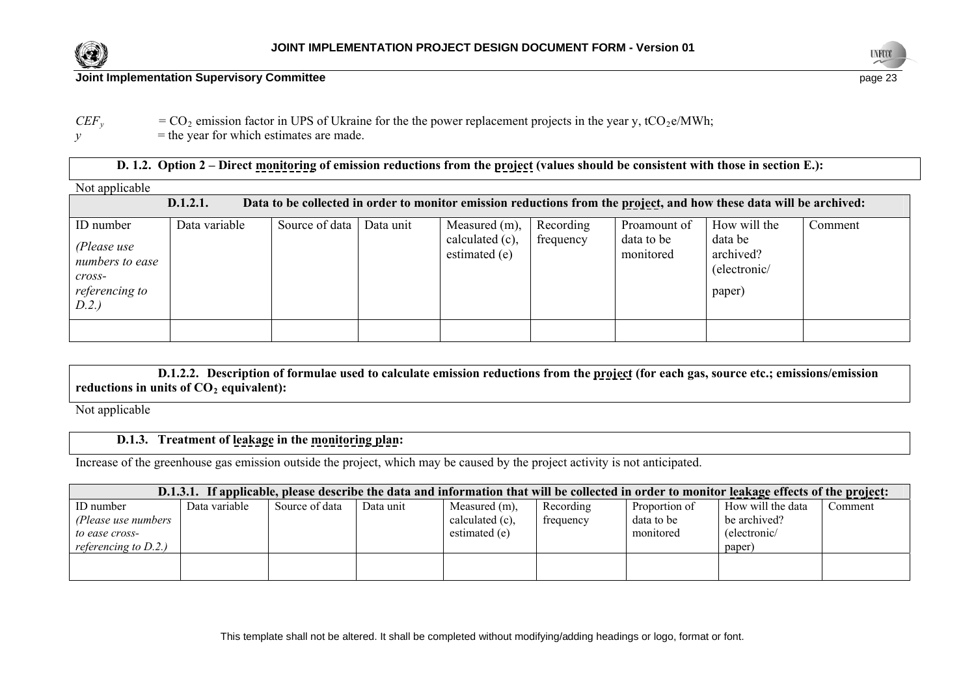





 $CEF_y$  =  $CO_2$  emission factor in UPS of Ukraine for the the power replacement projects in the year y, tCO<sub>2</sub>e/MWh;

 $y =$  the year for which estimates are made.

| D. 1.2. Option 2 – Direct monitoring of emission reductions from the project (values should be consistent with those in section E.): |               |                            |  |                            |  |              |                                                                                                                     |         |
|--------------------------------------------------------------------------------------------------------------------------------------|---------------|----------------------------|--|----------------------------|--|--------------|---------------------------------------------------------------------------------------------------------------------|---------|
| Not applicable                                                                                                                       |               |                            |  |                            |  |              |                                                                                                                     |         |
|                                                                                                                                      | D.1.2.1.      |                            |  |                            |  |              | Data to be collected in order to monitor emission reductions from the project, and how these data will be archived: |         |
| ID number                                                                                                                            | Data variable | Source of data   Data unit |  | Measured $(m)$ , Recording |  | Proamount of | How will the                                                                                                        | Comment |

| TD TRITION<br>(Please use<br>numbers to ease<br>$\mathcal{C} \mathcal{C} \mathcal{C} \mathcal{S} \mathcal{S}$ -<br>referencing to<br>D.2.) | Data variavit | DUULU UI UAIA | Data unit | $1$ vicasulcu $(111)$ , $ $<br>calculated $(c)$ ,<br>estimated (e) | <i>INCORDINA</i><br>frequency | I TUANNUMIL UI<br>data to be<br>monitored | <b>ILOW WILL LILE</b><br>data be<br>archived?<br>(electronic/<br>paper) | COMMICHE |
|--------------------------------------------------------------------------------------------------------------------------------------------|---------------|---------------|-----------|--------------------------------------------------------------------|-------------------------------|-------------------------------------------|-------------------------------------------------------------------------|----------|
|                                                                                                                                            |               |               |           |                                                                    |                               |                                           |                                                                         |          |

**D.1.2.2. Description of formulae used to calculate emission reductions from the project (for each gas, source etc.; emissions/emission**  reductions in units of  $CO<sub>2</sub>$  equivalent):

Not applicable

## **D.1.3. Treatment of leakage in the monitoring plan:**

Increase of the greenhouse gas emission outside the project, which may be caused by the project activity is not anticipated.

| D.1.3.1. If applicable, please describe the data and information that will be collected in order to monitor leakage effects of the project: |               |                |           |                    |           |               |                   |         |
|---------------------------------------------------------------------------------------------------------------------------------------------|---------------|----------------|-----------|--------------------|-----------|---------------|-------------------|---------|
| ID number                                                                                                                                   | Data variable | Source of data | Data unit | Measured (m),      | Recording | Proportion of | How will the data | Comment |
| (Please use numbers                                                                                                                         |               |                |           | calculated $(c)$ , | frequency | data to be    | be archived?      |         |
| to ease cross-                                                                                                                              |               |                |           | estimated (e)      |           | monitored     | (electronic/      |         |
| referencing to $D.2$ .)                                                                                                                     |               |                |           |                    |           |               | paper)            |         |
|                                                                                                                                             |               |                |           |                    |           |               |                   |         |
|                                                                                                                                             |               |                |           |                    |           |               |                   |         |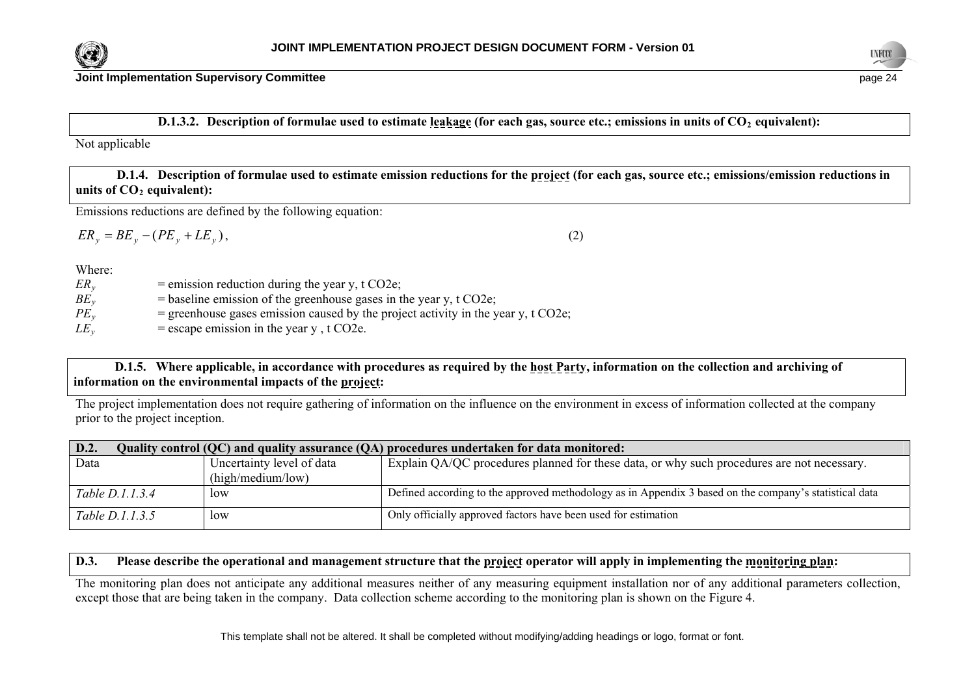



**Joint Implementation Supervisory Committee page 24 page 24 page 24 page 24 page 24 page 24** 

#### **D.1.3.2.** Description of formulae used to estimate leakage (for each gas, source etc.; emissions in units of CO<sub>2</sub> equivalent):

Not applicable

 **D.1.4. Description of formulae used to estimate emission reductions for the project (for each gas, source etc.; emissions/emission reductions in**  units of CO<sub>2</sub> equivalent):

Emissions reductions are defined by the following equation:

$$
ER_y = BE_y - (PE_y + LE_y),\tag{2}
$$

Where:

| $ER_{v}$ | $=$ emission reduction during the year y, t CO2e;                                   |
|----------|-------------------------------------------------------------------------------------|
| $BE_v$   | $=$ baseline emission of the greenhouse gases in the year y, t CO2e;                |
| $PE_v$   | $=$ greenhouse gases emission caused by the project activity in the year y, t CO2e; |
| $LE_v$   | $=$ escape emission in the year y, t CO2e.                                          |

## **D.1.5. Where applicable, in accordance with procedures as required by the host Party, information on the collection and archiving of information on the environmental impacts of the project:**

The project implementation does not require gathering of information on the influence on the environment in excess of information collected at the company prior to the project inception.

| D.2.<br>Quality control (QC) and quality assurance (QA) procedures undertaken for data monitored: |                           |                                                                                                        |  |  |
|---------------------------------------------------------------------------------------------------|---------------------------|--------------------------------------------------------------------------------------------------------|--|--|
| Data                                                                                              | Uncertainty level of data | Explain QA/QC procedures planned for these data, or why such procedures are not necessary.             |  |  |
|                                                                                                   | (high/medium/low)         |                                                                                                        |  |  |
| Table D.1.1.3.4                                                                                   | low                       | Defined according to the approved methodology as in Appendix 3 based on the company's statistical data |  |  |
| Table D.1.1.3.5                                                                                   | low                       | Only officially approved factors have been used for estimation                                         |  |  |

## **D.3. Please describe the operational and management structure that the project operator will apply in implementing the monitoring plan:**

The monitoring plan does not anticipate any additional measures neither of any measuring equipment installation nor of any additional parameters collection, except those that are being taken in the company. Data collection scheme according to the monitoring plan is shown on the Figure 4.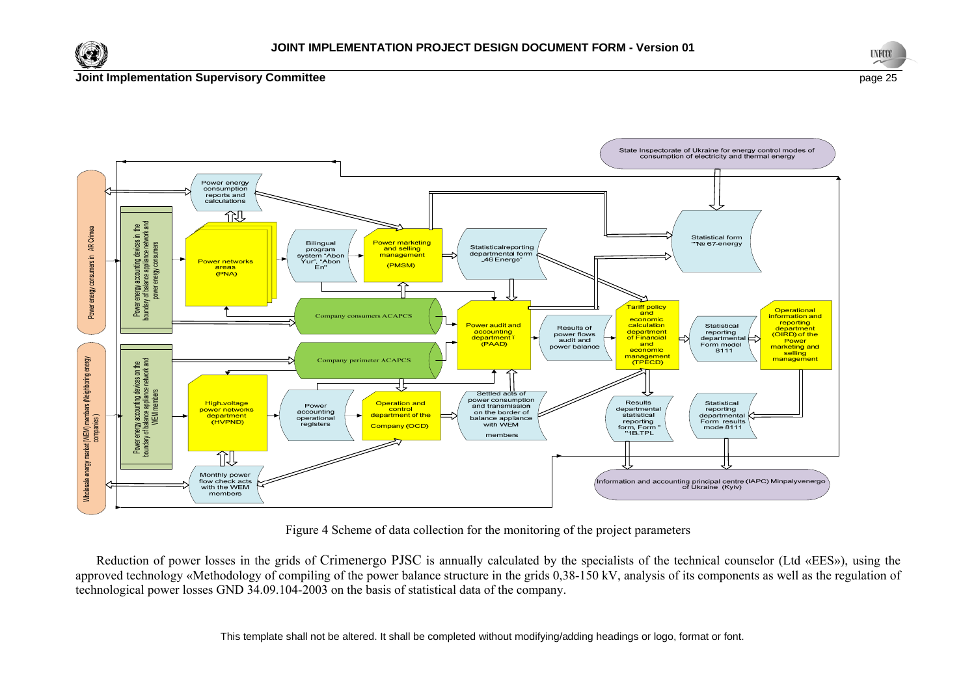





Figure 4 Scheme of data collection for the monitoring of the project parameters

Reduction of power losses in the grids of Crimenergo PJSC is annually calculated by the specialists of the technical counselor (Ltd «EES»), using the approved technology «Methodology of compiling of the power balance structure in the grids 0,38-150 kV, analysis of its components as well as the regulation of technological power losses GND 34.09.104-2003 on the basis of statistical data of the company.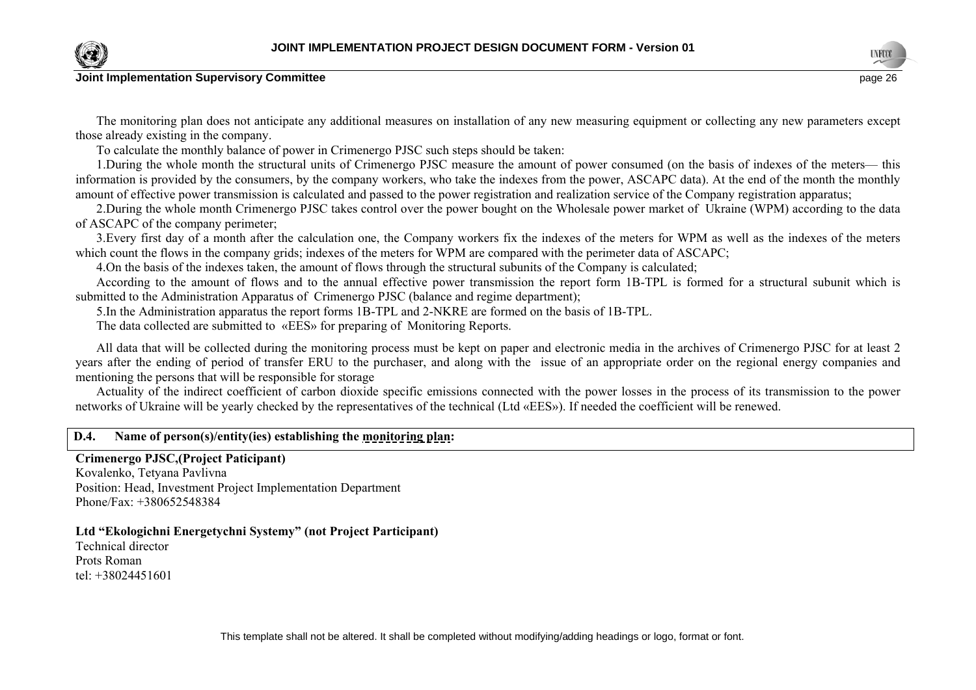

The monitoring plan does not anticipate any additional measures on installation of any new measuring equipment or collecting any new parameters except those already existing in the company.

To calculate the monthly balance of power in Crimenergo PJSC such steps should be taken:

1.During the whole month the structural units of Crimenergo PJSC measure the amount of power consumed (on the basis of indexes of the meters— this information is provided by the consumers, by the company workers, who take the indexes from the power, ASCAPC data). At the end of the month the monthly amount of effective power transmission is calculated and passed to the power registration and realization service of the Company registration apparatus;

2.During the whole month Crimenergo PJSC takes control over the power bought on the Wholesale power market of Ukraine (WPM) according to the data of ASCAPC of the company perimeter;

3.Every first day of a month after the calculation one, the Company workers fix the indexes of the meters for WPM as well as the indexes of the meters which count the flows in the company grids; indexes of the meters for WPM are compared with the perimeter data of ASCAPC;

4.On the basis of the indexes taken, the amount of flows through the structural subunits of the Company is calculated;

According to the amount of flows and to the annual effective power transmission the report form 1B-ТPL is formed for a structural subunit which is submitted to the Administration Apparatus of Crimenergo PJSC (balance and regime department);

5.In the Аdministration apparatus the report forms 1B-ТPL and 2-NKRE are formed on the basis of 1B-ТPL.

The data collected are submitted to «ЕЕS» for preparing of Monitoring Reports.

All data that will be collected during the monitoring process must be kept on paper and electronic media in the archives of Crimenergo PJSC for at least 2 years after the ending of period of transfer ERU to the purchaser, and along with the issue of an appropriate order on the regional energy companies and mentioning the persons that will be responsible for storage

Actuality of the indirect coefficient of carbon dioxide specific emissions connected with the power losses in the process of its transmission to the power networks of Ukraine will be yearly checked by the representatives of the technical (Ltd «ЕЕS»). If needed the coefficient will be renewed.

## **D.4. Name of person(s)/entity(ies) establishing the monitoring plan:**

#### **Crimenergo PJSC,(Project Paticipant)**

Kovalenko, Tetyana Pavlivna Position: Head, Investment Project Implementation Department Phone/Fax: +380652548384

#### **Ltd "Ekologichni Energetychni Systemy" (not Project Participant)**

Technical director Prots Roman tel: +38024451601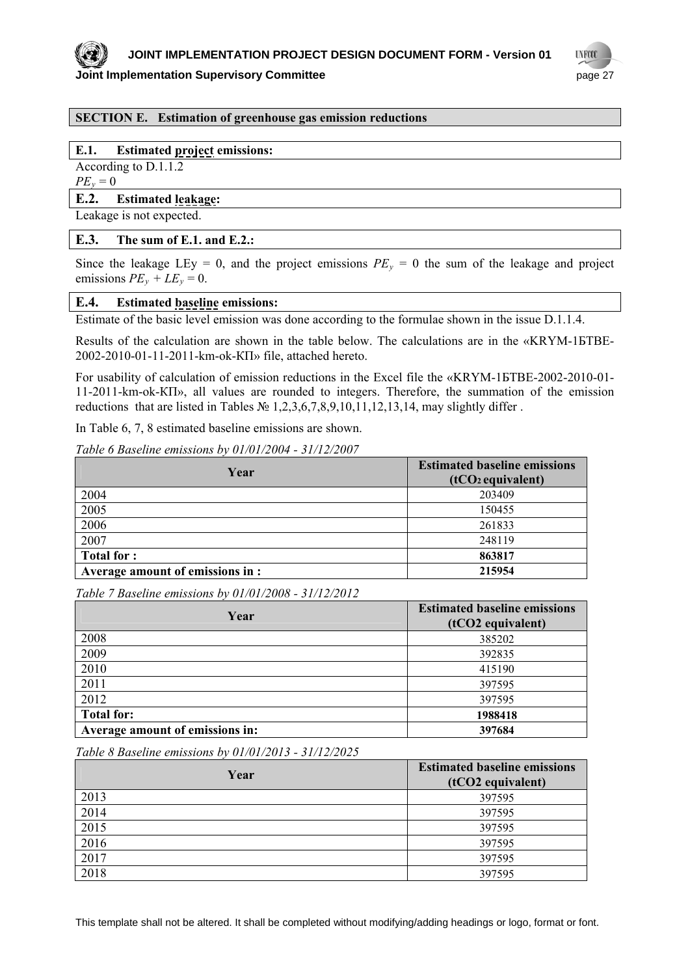

## **UNFOOL Joint Implementation Supervisory Committee** *page 27* **and the state of the state of the state of the state of the state of the state of the state of the state of the state of the state of the state of the state of the stat**

## **SECTION E. Estimation of greenhouse gas emission reductions**

#### **E.1. Estimated project emissions:**

According to D.1.1.2

 $PE_y = 0$ 

#### **E.2. Estimated leakage:**

Leakage is not expected.

#### **E.3. The sum of E.1. and E.2.:**

Since the leakage LEy = 0, and the project emissions  $PE<sub>y</sub> = 0$  the sum of the leakage and project emissions  $PE_v + LE_v = 0$ .

#### **E.4. Estimated baseline emissions:**

Estimate of the basic level emission was done according to the formulae shown in the issue D.1.1.4.

Results of the calculation are shown in the table below. The calculations are in the «KRYM-1БТВЕ-2002-2010-01-11-2011-km-ok-КП» file, attached hereto.

For usability of calculation of emission reductions in the Excel file the «KRYM-1БТВЕ-2002-2010-01- 11-2011-km-ok-КП», all values are rounded to integers. Therefore, the summation of the emission reductions that are listed in Tables  $\mathbb{N}$  1,2,3,6,7,8,9,10,11,12,13,14, may slightly differ.

In Table 6, 7, 8 estimated baseline emissions are shown.

*Table 6 Baseline emissions by 01/01/2004 - 31/12/2007* 

| Year                             | <b>Estimated baseline emissions</b><br>$(tCO2$ equivalent) |
|----------------------------------|------------------------------------------------------------|
| 2004                             | 203409                                                     |
| 2005                             | 150455                                                     |
| 2006                             | 261833                                                     |
| 2007                             | 248119                                                     |
| <b>Total for:</b>                | 863817                                                     |
| Average amount of emissions in : | 215954                                                     |

*Table 7 Baseline emissions by 01/01/2008 - 31/12/2012* 

| Year                            | <b>Estimated baseline emissions</b><br>(tCO2 equivalent) |
|---------------------------------|----------------------------------------------------------|
| 2008                            | 385202                                                   |
| 2009                            | 392835                                                   |
| 2010                            | 415190                                                   |
| 2011                            | 397595                                                   |
| 2012                            | 397595                                                   |
| <b>Total for:</b>               | 1988418                                                  |
| Average amount of emissions in: | 397684                                                   |

*Table 8 Baseline emissions by 01/01/2013 - 31/12/2025* 

| Year | <b>Estimated baseline emissions</b><br>(tCO2 equivalent) |
|------|----------------------------------------------------------|
| 2013 | 397595                                                   |
| 2014 | 397595                                                   |
| 2015 | 397595                                                   |
| 2016 | 397595                                                   |
| 2017 | 397595                                                   |
| 2018 | 397595                                                   |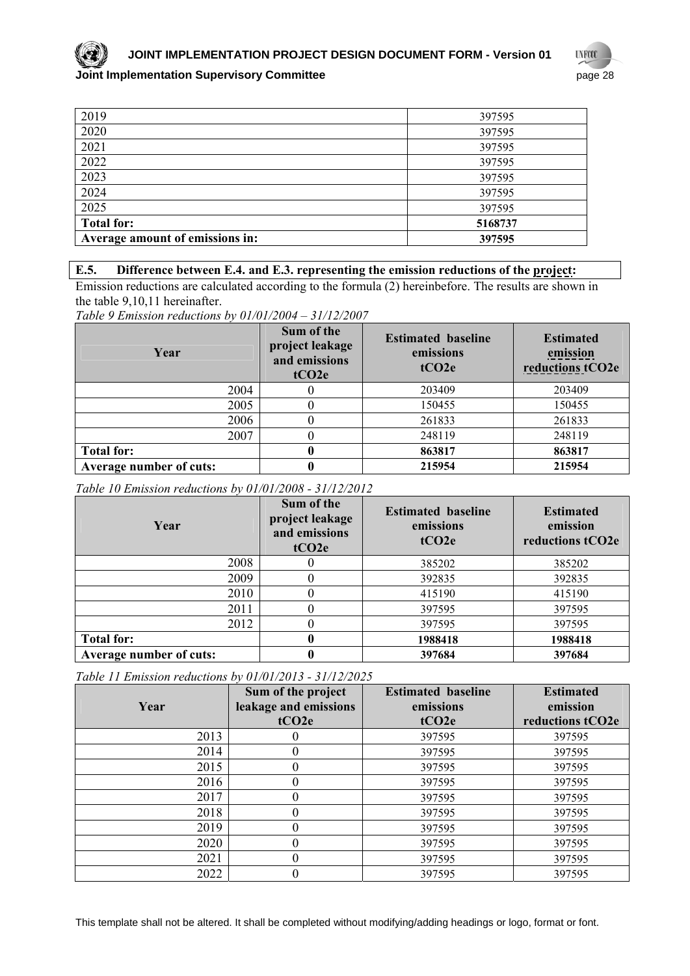

**JOINT IMPLEMENTATION PROJECT DESIGN DOCUMENT FORM - Version 01**

#### **Joint Implementation Supervisory Committee** <br> **Joint Implementation Supervisory Committee**

**UYFOO** 

| 2019                            | 397595  |
|---------------------------------|---------|
| 2020                            | 397595  |
| 2021                            | 397595  |
| 2022                            | 397595  |
| 2023                            | 397595  |
| 2024                            | 397595  |
| 2025                            | 397595  |
| <b>Total for:</b>               | 5168737 |
| Average amount of emissions in: | 397595  |

## **E.5. Difference between E.4. and E.3. representing the emission reductions of the project:**

Emission reductions are calculated according to the formula (2) hereinbefore. The results are shown in the table 9,10,11 hereinafter.

*Table 9 Emission reductions by 01/01/2004 – 31/12/2007* 

| Year                           | Sum of the<br>project leakage<br>and emissions<br>tCO2e | <b>Estimated baseline</b><br>emissions<br>tCO2e | <b>Estimated</b><br>emission<br>reductions tCO2e |
|--------------------------------|---------------------------------------------------------|-------------------------------------------------|--------------------------------------------------|
| 2004                           |                                                         | 203409                                          | 203409                                           |
| 2005                           |                                                         | 150455                                          | 150455                                           |
| 2006                           |                                                         | 261833                                          | 261833                                           |
| 2007                           |                                                         | 248119                                          | 248119                                           |
| <b>Total for:</b>              |                                                         | 863817                                          | 863817                                           |
| <b>Average number of cuts:</b> |                                                         | 215954                                          | 215954                                           |

#### *Table 10 Emission reductions by 01/01/2008 - 31/12/2012*

| Year                           | Sum of the<br>project leakage<br>and emissions<br>tCO2e | <b>Estimated baseline</b><br>emissions<br>tCO2e | <b>Estimated</b><br>emission<br>reductions tCO2e |
|--------------------------------|---------------------------------------------------------|-------------------------------------------------|--------------------------------------------------|
| 2008                           |                                                         | 385202                                          | 385202                                           |
| 2009                           |                                                         | 392835                                          | 392835                                           |
| 2010                           |                                                         | 415190                                          | 415190                                           |
| 2011                           |                                                         | 397595                                          | 397595                                           |
| 2012                           |                                                         | 397595                                          | 397595                                           |
| <b>Total for:</b>              |                                                         | 1988418                                         | 1988418                                          |
| <b>Average number of cuts:</b> |                                                         | 397684                                          | 397684                                           |

*Table 11 Emission reductions by 01/01/2013 - 31/12/2025* 

| Year | Sum of the project<br>leakage and emissions<br>tCO <sub>2</sub> e | <b>Estimated baseline</b><br>emissions<br>tCO <sub>2e</sub> | <b>Estimated</b><br>emission<br>reductions tCO2e |
|------|-------------------------------------------------------------------|-------------------------------------------------------------|--------------------------------------------------|
| 2013 |                                                                   | 397595                                                      | 397595                                           |
| 2014 |                                                                   | 397595                                                      | 397595                                           |
| 2015 |                                                                   | 397595                                                      | 397595                                           |
| 2016 |                                                                   | 397595                                                      | 397595                                           |
| 2017 |                                                                   | 397595                                                      | 397595                                           |
| 2018 |                                                                   | 397595                                                      | 397595                                           |
| 2019 |                                                                   | 397595                                                      | 397595                                           |
| 2020 |                                                                   | 397595                                                      | 397595                                           |
| 2021 |                                                                   | 397595                                                      | 397595                                           |
| 2022 |                                                                   | 397595                                                      | 397595                                           |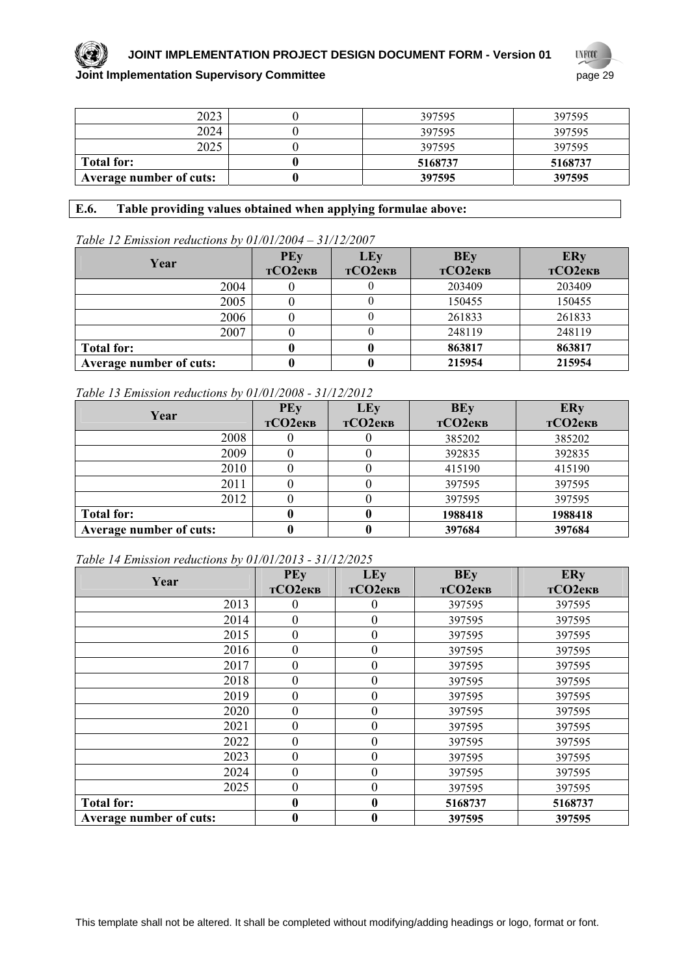

## **JOINT IMPLEMENTATION PROJECT DESIGN DOCUMENT FORM - Version 01**

## **UNFOOT Joint Implementation Supervisory Committee page 29** page 29

| 2023                    | 397595  | 397595  |
|-------------------------|---------|---------|
| 2024                    | 397595  | 397595  |
| 2025                    | 397595  | 397595  |
| <b>Total for:</b>       | 5168737 | 5168737 |
| Average number of cuts: | 397595  | 397595  |

## **E.6. Table providing values obtained when applying formulae above:**

#### *Table 12 Emission reductions by 01/01/2004 – 31/12/2007*

| Year                    | PEy<br>тСО2екв | LEy<br>тСО2екв | <b>BEy</b><br>тСО2екв | <b>ERy</b><br>тСО2екв |
|-------------------------|----------------|----------------|-----------------------|-----------------------|
| 2004                    |                |                | 203409                | 203409                |
| 2005                    |                |                | 150455                | 150455                |
| 2006                    |                |                | 261833                | 261833                |
| 2007                    |                |                | 248119                | 248119                |
| <b>Total for:</b>       |                |                | 863817                | 863817                |
| Average number of cuts: |                |                | 215954                | 215954                |

## *Table 13 Emission reductions by 01/01/2008 - 31/12/2012*

| Year                    | PEy<br>тСО2екв | LEy<br>тСО2екв | <b>BEy</b><br>тСО2екв | <b>ERy</b><br>тСО2екв |
|-------------------------|----------------|----------------|-----------------------|-----------------------|
| 2008                    |                |                | 385202                | 385202                |
| 2009                    |                |                | 392835                | 392835                |
| 2010                    |                |                | 415190                | 415190                |
| 2011                    |                |                | 397595                | 397595                |
| 2012                    |                |                | 397595                | 397595                |
| <b>Total for:</b>       |                |                | 1988418               | 1988418               |
| Average number of cuts: |                |                | 397684                | 397684                |

#### *Table 14 Emission reductions by 01/01/2013 - 31/12/2025*

|                         | <b>PEy</b>     | LEy              | <b>BEy</b> | <b>ERy</b> |
|-------------------------|----------------|------------------|------------|------------|
| Year                    | тСО2екв        | тСО2екв          | тСО2екв    | тСО2екв    |
| 2013                    | $^{(1)}$       | $\theta$         | 397595     | 397595     |
| 2014                    | $\overline{0}$ | $\boldsymbol{0}$ | 397595     | 397595     |
| 2015                    | $\mathbf{0}$   | $\boldsymbol{0}$ | 397595     | 397595     |
| 2016                    | $\overline{0}$ | $\boldsymbol{0}$ | 397595     | 397595     |
| 2017                    | $\Omega$       | $\boldsymbol{0}$ | 397595     | 397595     |
| 2018                    | $\overline{0}$ | $\boldsymbol{0}$ | 397595     | 397595     |
| 2019                    | $\overline{0}$ | $\boldsymbol{0}$ | 397595     | 397595     |
| 2020                    | $\overline{0}$ | $\boldsymbol{0}$ | 397595     | 397595     |
| 2021                    | $\overline{0}$ | $\boldsymbol{0}$ | 397595     | 397595     |
| 2022                    | $\overline{0}$ | $\boldsymbol{0}$ | 397595     | 397595     |
| 2023                    | $\overline{0}$ | $\mathbf{0}$     | 397595     | 397595     |
| 2024                    | $\mathbf{0}$   | $\boldsymbol{0}$ | 397595     | 397595     |
| 2025                    | $\Omega$       | $\boldsymbol{0}$ | 397595     | 397595     |
| <b>Total for:</b>       | $\mathbf{0}$   | $\boldsymbol{0}$ | 5168737    | 5168737    |
| Average number of cuts: | 0              | $\boldsymbol{0}$ | 397595     | 397595     |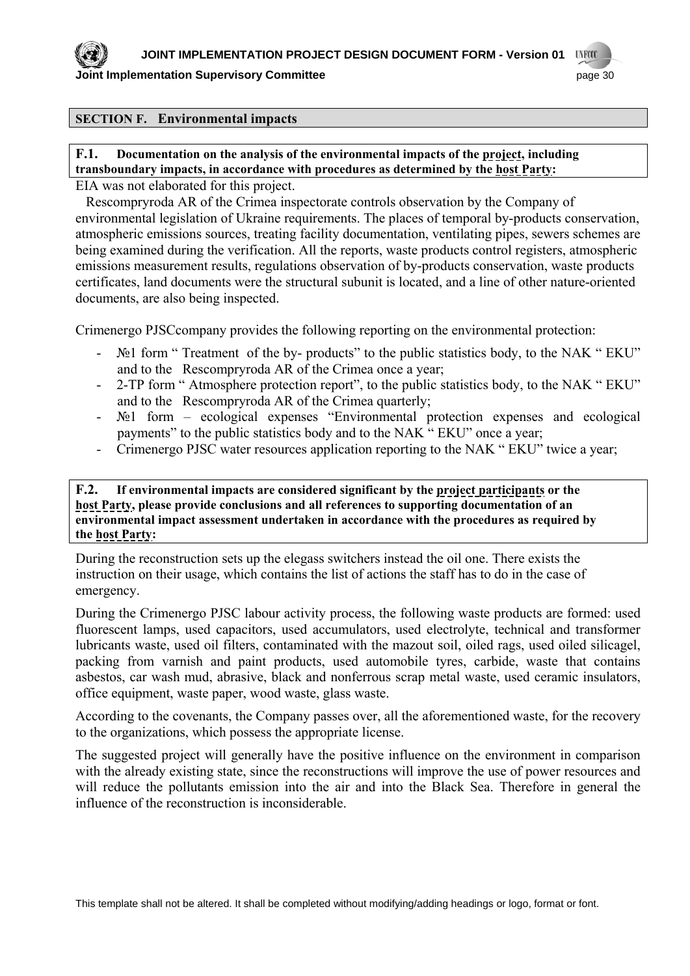

**Joint Implementation Supervisory Committee** *page* **30 and the state of the state of the state of the state of the state of the state of the state of the state of the state of the state of the state of the state of the stat** 

### **SECTION F. Environmental impacts**

## **F.1. Documentation on the analysis of the environmental impacts of the project, including transboundary impacts, in accordance with procedures as determined by the host Party:**

EIA was not elaborated for this project.

 Rescompryroda AR of the Crimea inspectorate controls observation by the Company of environmental legislation of Ukraine requirements. The places of temporal by-products conservation, atmospheric emissions sources, treating facility documentation, ventilating pipes, sewers schemes are being examined during the verification. All the reports, waste products control registers, atmospheric emissions measurement results, regulations observation of by-products conservation, waste products certificates, land documents were the structural subunit is located, and a line of other nature-oriented documents, are also being inspected.

Crimenergo PJSCcompany provides the following reporting on the environmental protection:

- №1 form " Treatment of the by- products" to the public statistics body, to the NAK " EKU" and to the Rescompryroda AR of the Crimea once a year;
- 2-TP form " Atmosphere protection report", to the public statistics body, to the NAK " EKU" and to the Rescompryroda AR of the Crimea quarterly;
- №1 form ecological expenses "Environmental protection expenses and ecological payments" to the public statistics body and to the NAK " EKU" once a year;
- Crimenergo PJSC water resources application reporting to the NAK " EKU" twice a year;

## **F.2. If environmental impacts are considered significant by the project participants or the host Party, please provide conclusions and all references to supporting documentation of an environmental impact assessment undertaken in accordance with the procedures as required by the host Party:**

During the reconstruction sets up the elegass switchers instead the oil one. There exists the instruction on their usage, which contains the list of actions the staff has to do in the case of emergency.

During the Crimenergo PJSC labour activity process, the following waste products are formed: used fluorescent lamps, used capacitors, used accumulators, used electrolyte, technical and transformer lubricants waste, used oil filters, contaminated with the mazout soil, oiled rags, used oiled silicagel, packing from varnish and paint products, used automobile tyres, carbide, waste that contains asbestos, car wash mud, abrasive, black and nonferrous scrap metal waste, used ceramic insulators, office equipment, waste paper, wood waste, glass waste.

According to the covenants, the Company passes over, all the aforementioned waste, for the recovery to the organizations, which possess the appropriate license.

The suggested project will generally have the positive influence on the environment in comparison with the already existing state, since the reconstructions will improve the use of power resources and will reduce the pollutants emission into the air and into the Black Sea. Therefore in general the influence of the reconstruction is inconsiderable.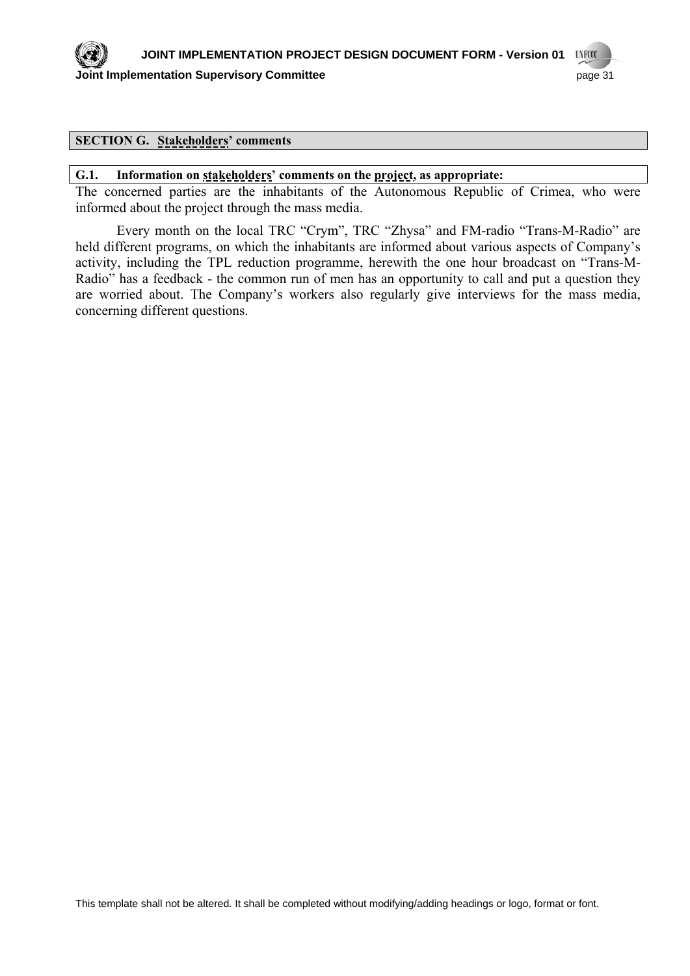

## **SECTION G. Stakeholders' comments**

#### **G.1. Information on stakeholders' comments on the project, as appropriate:**

The concerned parties are the inhabitants of the Autonomous Republic of Crimea, who were informed about the project through the mass media.

Every month on the local TRC "Crym", TRC "Zhysa" and FM-radio "Trans-M-Radio" are held different programs, on which the inhabitants are informed about various aspects of Company's activity, including the TPL reduction programme, herewith the one hour broadcast on "Trans-M-Radio" has a feedback - the common run of men has an opportunity to call and put a question they are worried about. The Company's workers also regularly give interviews for the mass media, concerning different questions.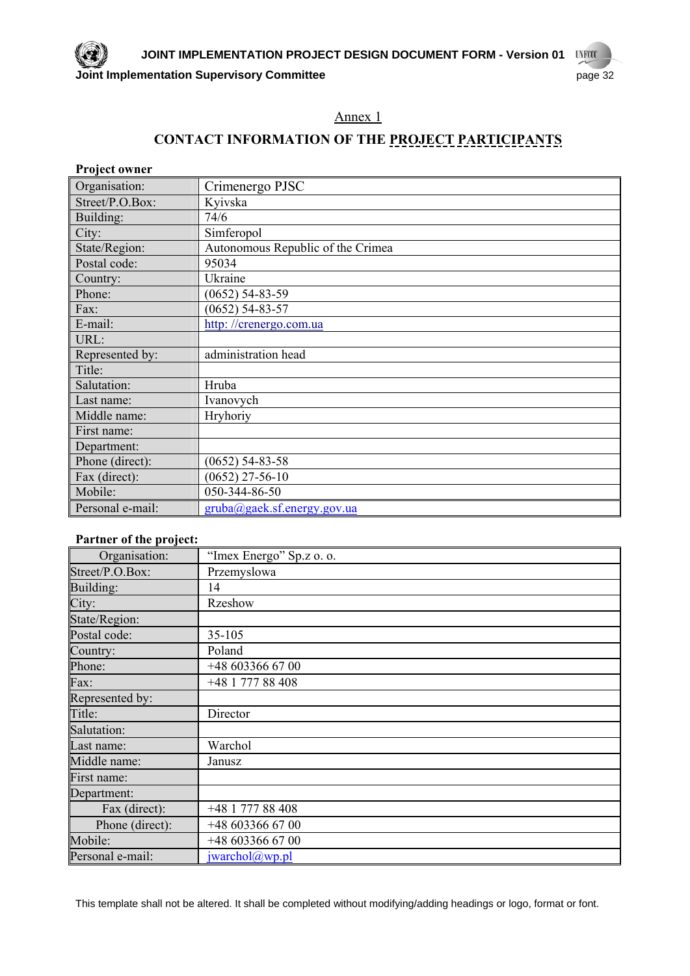## Annex 1

## **CONTACT INFORMATION OF THE PROJECT PARTICIPANTS**

| <b>Project owner</b> |                                   |
|----------------------|-----------------------------------|
| Organisation:        | Crimenergo PJSC                   |
| Street/P.O.Box:      | Kyivska                           |
| Building:            | 74/6                              |
| City:                | Simferopol                        |
| State/Region:        | Autonomous Republic of the Crimea |
| Postal code:         | 95034                             |
| Country:             | Ukraine                           |
| Phone:               | $(0652)$ 54-83-59                 |
| Fax:                 | $(0652) 54-83-57$                 |
| E-mail:              | http://crenergo.com.ua            |
| URL:                 |                                   |
| Represented by:      | administration head               |
| Title:               |                                   |
| Salutation:          | Hruba                             |
| Last name:           | Ivanovych                         |
| Middle name:         | Hryhoriy                          |
| First name:          |                                   |
| Department:          |                                   |
| Phone (direct):      | $(0652) 54-83-58$                 |
| Fax (direct):        | $(0652)$ 27-56-10                 |
| Mobile:              | 050-344-86-50                     |
| Personal e-mail:     | gruba@gaek.sf.energy.gov.ua       |

## **Partner of the project:**

| Organisation:    | "Imex Energo" Sp.z o. o. |
|------------------|--------------------------|
| Street/P.O.Box:  | Przemyslowa              |
| Building:        | 14                       |
| City:            | Rzeshow                  |
| State/Region:    |                          |
| Postal code:     | 35-105                   |
| Country:         | Poland                   |
| Phone:           | +48 603366 67 00         |
| Fax:             | +48 1 777 88 408         |
| Represented by:  |                          |
| Title:           | Director                 |
| Salutation:      |                          |
| Last name:       | Warchol                  |
| Middle name:     | Janusz                   |
| First name:      |                          |
| Department:      |                          |
| Fax (direct):    | +48 1 777 88 408         |
| Phone (direct):  | +48 603366 67 00         |
| Mobile:          | +48 603366 67 00         |
| Personal e-mail: | jwarehol@wp.pl           |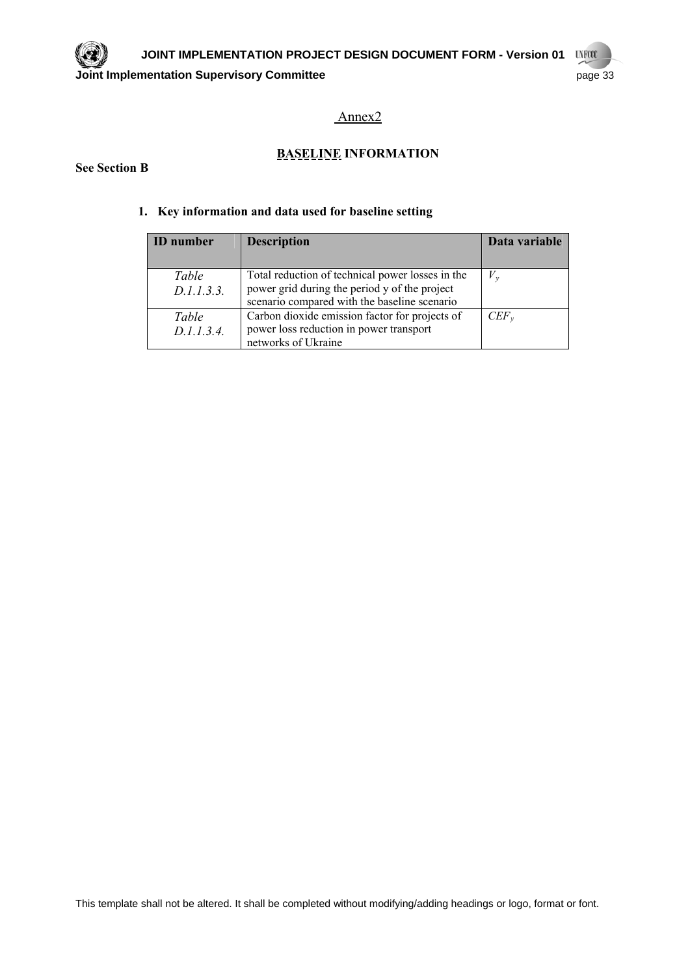## Annex2

## **BASELINE INFORMATION**

#### **See Section B**

## **1. Key information and data used for baseline setting**

| <b>ID</b> number    | <b>Description</b>                                                                                                                                | Data variable |
|---------------------|---------------------------------------------------------------------------------------------------------------------------------------------------|---------------|
| Table<br>D.1.1.3.3. | Total reduction of technical power losses in the<br>power grid during the period y of the project<br>scenario compared with the baseline scenario | $V_{\nu}$     |
| Table<br>D.1.1.3.4. | Carbon dioxide emission factor for projects of<br>power loss reduction in power transport<br>networks of Ukraine                                  | $CEF_{v}$     |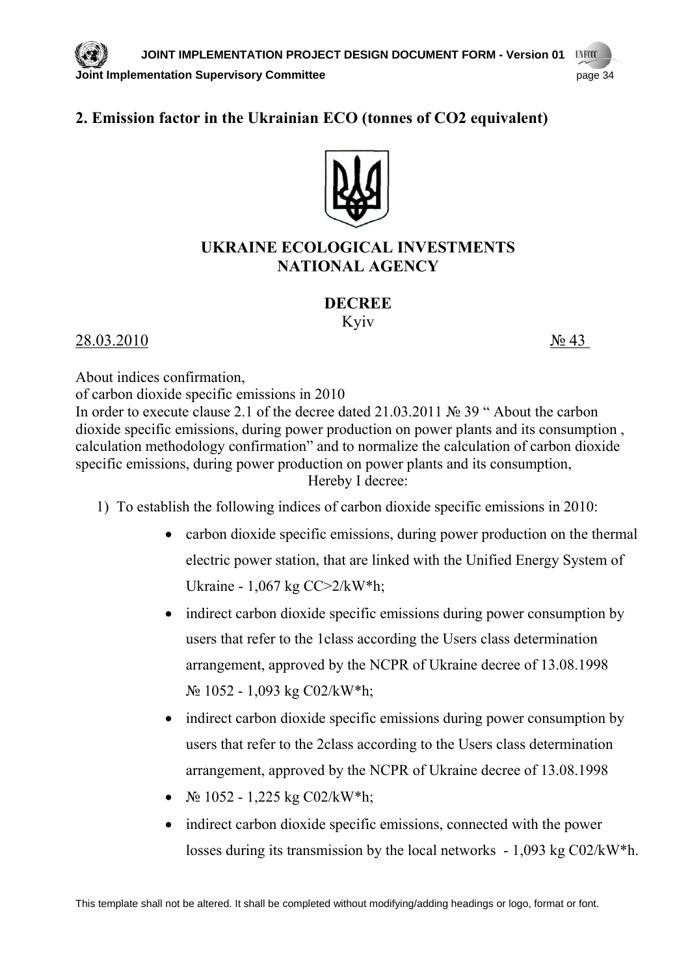## **2. Emission factor in the Ukrainian ЕСO (tonnes of CO2 equivalent)**



## **UKRAINE ECOLOGICAL INVESTMENTS NATIONAL AGENCY**

## **DECREE**

Kyiv

28.03.2010 № 43

About indices confirmation,

of carbon dioxide specific emissions in 2010

In order to execute clause 2.1 of the decree dated 21.03.2011 № 39 " About the carbon dioxide specific emissions, during power production on power plants and its consumption , calculation methodology confirmation" and to normalize the calculation of carbon dioxide specific emissions, during power production on power plants and its consumption, Hereby I decree:

- 1) To establish the following indices of carbon dioxide specific emissions in 2010:
	- carbon dioxide specific emissions, during power production on the thermal electric power station, that are linked with the Unified Energy System of Ukraine - 1,067 kg СС>2/kW\*h;
	- indirect carbon dioxide specific emissions during power consumption by users that refer to the 1class according the Users class determination arrangement, approved by the NCPR of Ukraine decree of 13.08.1998 № 1052 - 1,093 kg С02/kW\*h;
	- indirect carbon dioxide specific emissions during power consumption by users that refer to the 2class according to the Users class determination arrangement, approved by the NCPR of Ukraine decree of 13.08.1998
	- $\mathcal{N}_2$  1052 1,225 kg C02/kW\*h;
	- indirect carbon dioxide specific emissions, connected with the power losses during its transmission by the local networks - 1,093 kg С02/kW\*h.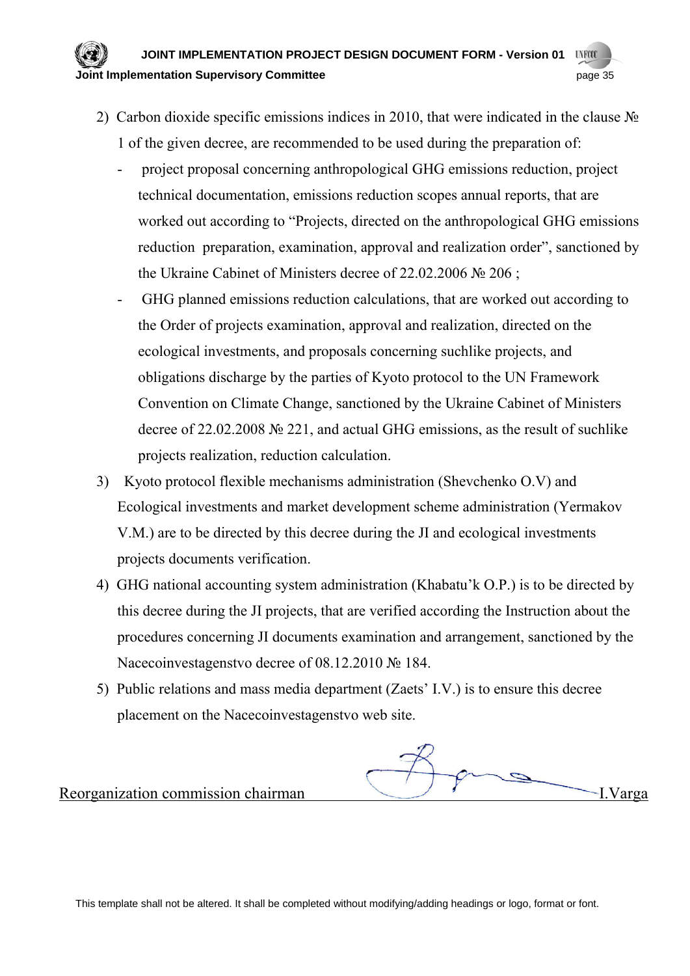#### **JOINT IMPLEMENTATION PROJECT DESIGN DOCUMENT FORM - Version 01 UVFCO Drivial implementation Supervisory Committee** *page* **35**

- 2) Carbon dioxide specific emissions indices in 2010, that were indicated in the clause № 1 of the given decree, are recommended to be used during the preparation of:
	- project proposal concerning anthropological GHG emissions reduction, project technical documentation, emissions reduction scopes annual reports, that are worked out according to "Projects, directed on the anthropological GHG emissions reduction preparation, examination, approval and realization order", sanctioned by the Ukraine Cabinet of Ministers decree of 22.02.2006 № 206 ;
	- GHG planned emissions reduction calculations, that are worked out according to the Order of projects examination, approval and realization, directed on the ecological investments, and proposals concerning suchlike projects, and obligations discharge by the parties of Kyoto protocol to the UN Framework Convention on Climate Change, sanctioned by the Ukraine Cabinet of Ministers decree of 22.02.2008 № 221, and actual GHG emissions, as the result of suchlike projects realization, reduction calculation.
- 3) Kyoto protocol flexible mechanisms administration (Shevchenko O.V) and Ecological investments and market development scheme administration (Yermakov V.M.) are to be directed by this decree during the JI and ecological investments projects documents verification.
- 4) GHG national accounting system administration (Khabatu'k O.P.) is to be directed by this decree during the JI projects, that are verified according the Instruction about the procedures concerning JI documents examination and arrangement, sanctioned by the Nacecoinvestagenstvo decree of 08.12.2010 № 184.
- 5) Public relations and mass media department (Zaets' I.V.) is to ensure this decree placement on the Nacecoinvestagenstvo web site.

Reorganization commission chairman I.Varga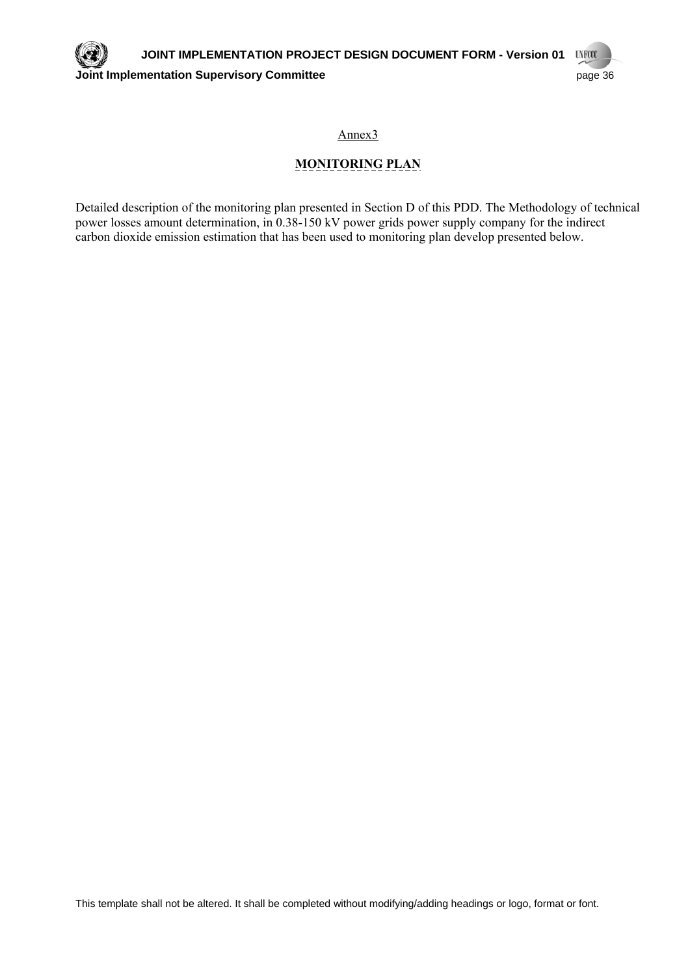Annex3

## **MONITORING PLAN**

Detailed description of the monitoring plan presented in Section D of this PDD. The Methodology of technical power losses amount determination, in 0.38-150 kV power grids power supply company for the indirect carbon dioxide emission estimation that has been used to monitoring plan develop presented below.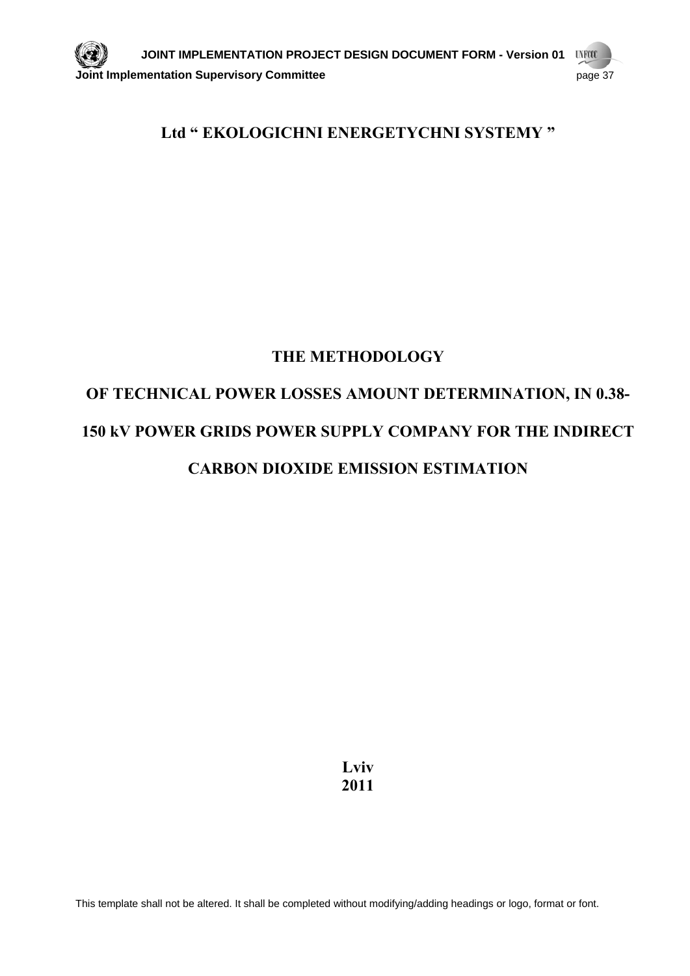## **Ltd " EKOLOGICHNI ENERGETYCHNI SYSTEMY "**

## **THE METHODOLOGY**

## **OF TECHNICAL POWER LOSSES AMOUNT DETERMINATION, IN 0.38- 150 kV POWER GRIDS POWER SUPPLY COMPANY FOR THE INDIRECT CARBON DIOXIDE EMISSION ESTIMATION**

**Lviv 2011**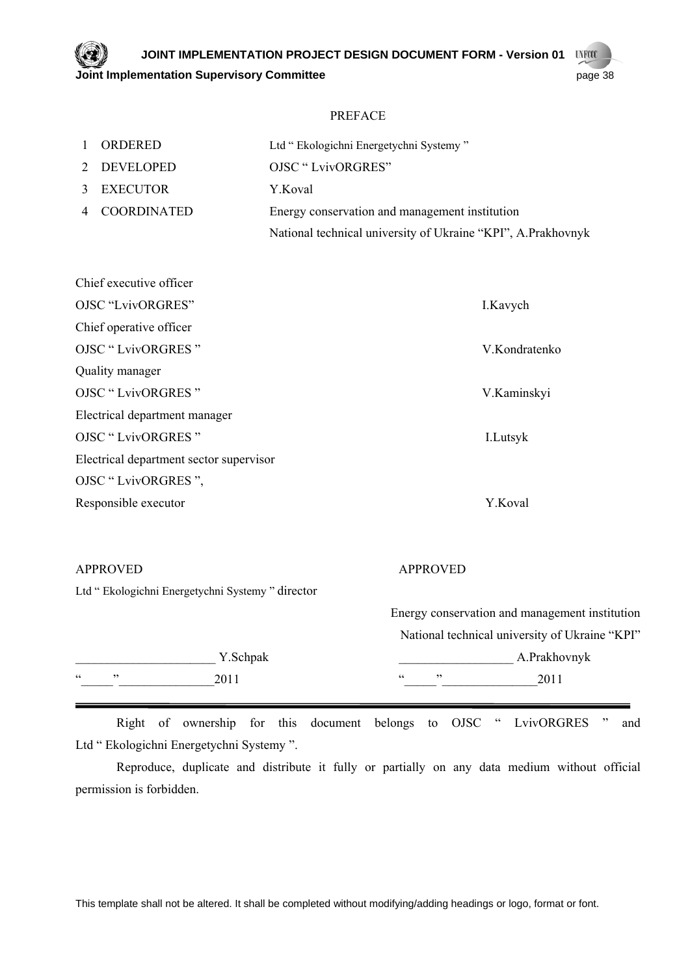**JOINT IMPLEMENTATION PROJECT DESIGN DOCUMENT FORM - Version 01 UNFOCO Joint Implementation Supervisory Committee** <br> **Joint Implementation Supervisory Committee** 

#### PREFACE

| 1 ORDERED     | Ltd "Ekologichni Energetychni Systemy"                       |
|---------------|--------------------------------------------------------------|
| 2 DEVELOPED   | <b>OJSC "LvivORGRES"</b>                                     |
| 3 EXECUTOR    | Y.Koval                                                      |
| 4 COORDINATED | Energy conservation and management institution               |
|               | National technical university of Ukraine "KPI", A.Prakhovnyk |

| I.Kavych      |
|---------------|
|               |
| V.Kondratenko |
|               |
| V.Kaminskyi   |
|               |
| I.Lutsyk      |
|               |
|               |
| Y.Koval       |
|               |

#### APPROVED APPROVED

| Ltd " Ekologichni Energetychni Systemy " director |  |  |  |
|---------------------------------------------------|--|--|--|
|---------------------------------------------------|--|--|--|

|           |          |                                        | Energy conservation and management institution |  |  |
|-----------|----------|----------------------------------------|------------------------------------------------|--|--|
|           |          |                                        | National technical university of Ukraine "KPI" |  |  |
|           | Y.Schpak |                                        | A.Prakhovnyk                                   |  |  |
| C C<br>,, | 2011     | $\overline{\phantom{a}}$<br>$\epsilon$ | 2011                                           |  |  |

Right of ownership for this document belongs to OJSC " LvivORGRES " and Ltd " Ekologichni Energetychni Systemy ".

Reproduce, duplicate and distribute it fully or partially on any data medium without official permission is forbidden.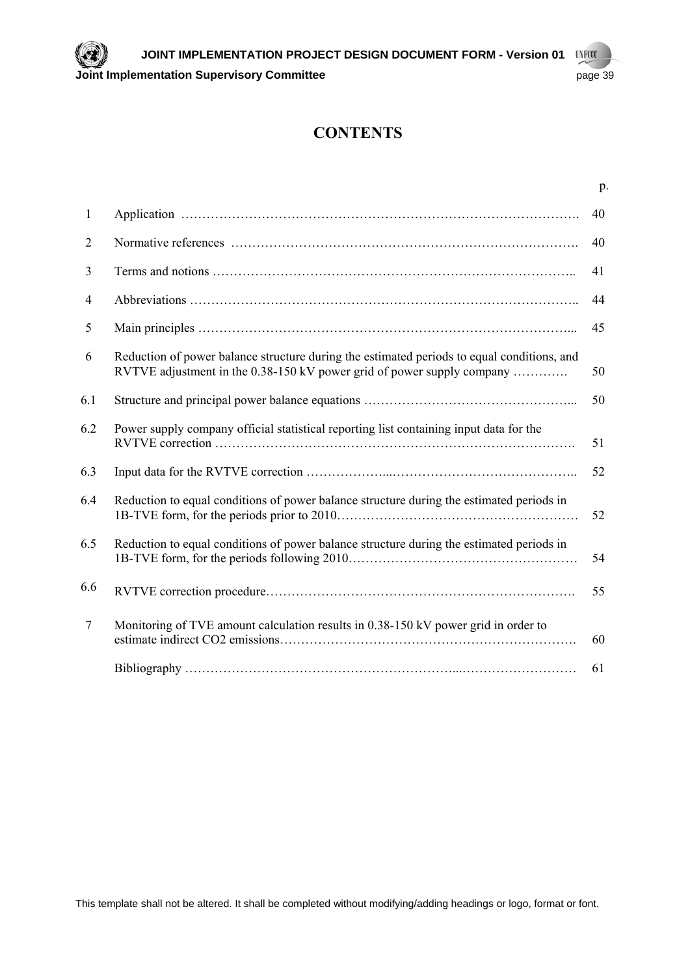## **CONTENTS**

|                |                                                                                                                                                                      | p. |
|----------------|----------------------------------------------------------------------------------------------------------------------------------------------------------------------|----|
| $\mathbf{1}$   |                                                                                                                                                                      | 40 |
| $\overline{2}$ |                                                                                                                                                                      | 40 |
| 3              |                                                                                                                                                                      | 41 |
| $\overline{4}$ |                                                                                                                                                                      | 44 |
| 5              |                                                                                                                                                                      | 45 |
| 6              | Reduction of power balance structure during the estimated periods to equal conditions, and<br>RVTVE adjustment in the 0.38-150 kV power grid of power supply company | 50 |
| 6.1            |                                                                                                                                                                      | 50 |
| 6.2            | Power supply company official statistical reporting list containing input data for the                                                                               | 51 |
| 6.3            |                                                                                                                                                                      | 52 |
| 6.4            | Reduction to equal conditions of power balance structure during the estimated periods in                                                                             | 52 |
| 6.5            | Reduction to equal conditions of power balance structure during the estimated periods in                                                                             | 54 |
| 6.6            |                                                                                                                                                                      | 55 |
| $\tau$         | Monitoring of TVE amount calculation results in 0.38-150 kV power grid in order to                                                                                   | 60 |
|                |                                                                                                                                                                      | 61 |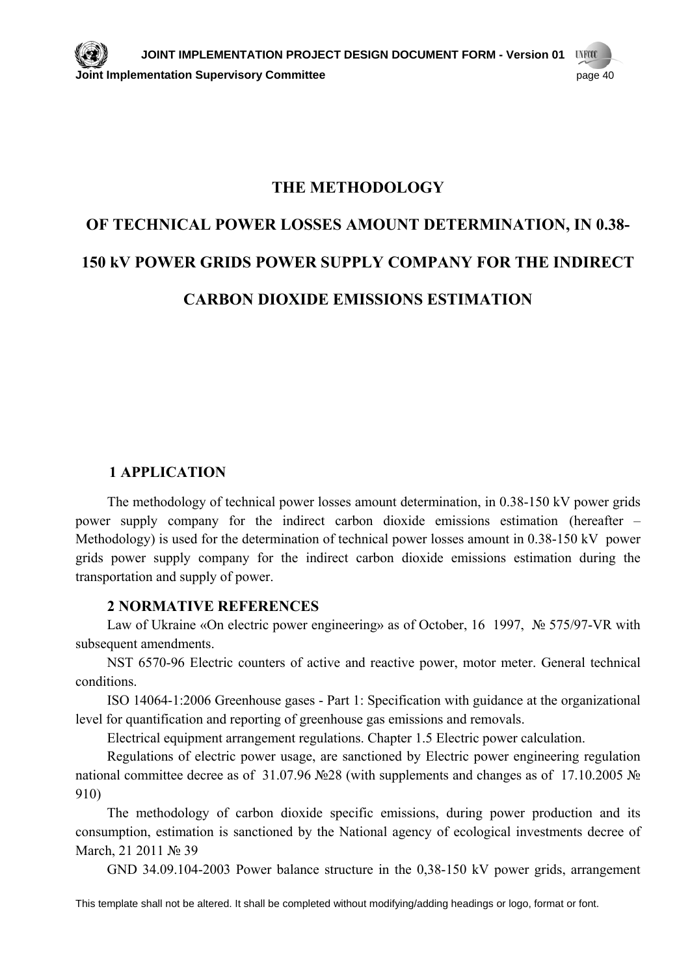## **THE METHODOLOGY**

## **OF TECHNICAL POWER LOSSES AMOUNT DETERMINATION, IN 0.38- 150 kV POWER GRIDS POWER SUPPLY COMPANY FOR THE INDIRECT CARBON DIOXIDE EMISSIONS ESTIMATION**

## **1 APPLICATION**

The methodology of technical power losses amount determination, in 0.38-150 kV power grids power supply company for the indirect carbon dioxide emissions estimation (hereafter – Methodology) is used for the determination of technical power losses amount in 0.38-150 kV power grids power supply company for the indirect carbon dioxide emissions estimation during the transportation and supply of power.

## **2 NORMATIVE REFERENCES**

Law of Ukraine «On electric power engineering» as of October, 16 1997, № 575/97-VR with subsequent amendments.

NST 6570-96 Electric counters of active and reactive power, motor meter. General technical conditions.

ISO 14064-1:2006 Greenhouse gases - Part 1: Specification with guidance at the organizational level for quantification and reporting of greenhouse gas emissions and removals.

Electrical equipment arrangement regulations. Chapter 1.5 Electric power calculation.

Regulations of electric power usage, are sanctioned by Electric power engineering regulation national committee decree as of 31.07.96 №28 (with supplements and changes as of 17.10.2005 № 910)

The methodology of carbon dioxide specific emissions, during power production and its consumption, estimation is sanctioned by the National agency of ecological investments decree of March, 21 2011 № 39

GND 34.09.104-2003 Power balance structure in the 0,38-150 kV power grids, arrangement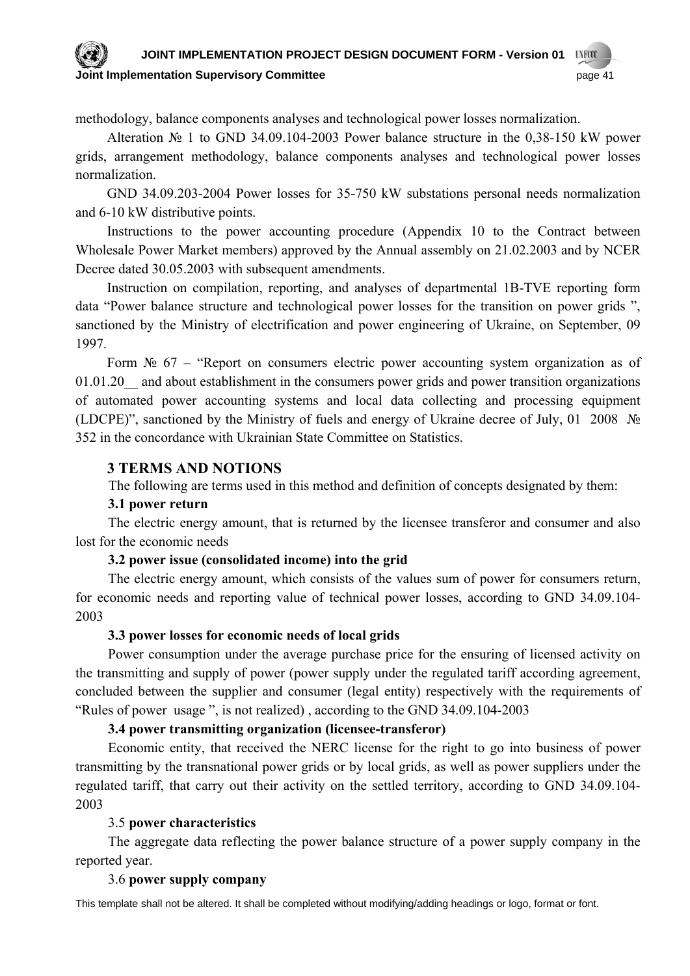#### **JOINT IMPLEMENTATION PROJECT DESIGN DOCUMENT FORM - Version 01 UNFCCC Joint Implementation Supervisory Committee** page 41

methodology, balance components analyses and technological power losses normalization.

Alteration № 1 to GND 34.09.104-2003 Power balance structure in the 0,38-150 kW power grids, arrangement methodology, balance components analyses and technological power losses normalization.

GND 34.09.203-2004 Power losses for 35-750 kW substations personal needs normalization and 6-10 kW distributive points.

Instructions to the power accounting procedure (Appendix 10 to the Contract between Wholesale Power Market members) approved by the Annual assembly on 21.02.2003 and by NCER Decree dated 30.05.2003 with subsequent amendments.

Instruction on compilation, reporting, and analyses of departmental 1B-ТVE reporting form data "Power balance structure and technological power losses for the transition on power grids ", sanctioned by the Ministry of electrification and power engineering of Ukraine, on September, 09 1997.

Form  $\mathcal{N}_2$  67 – "Report on consumers electric power accounting system organization as of 01.01.20 and about establishment in the consumers power grids and power transition organizations of automated power accounting systems and local data collecting and processing equipment (LDCPE)", sanctioned by the Ministry of fuels and energy of Ukraine decree of July, 01 2008 № 352 in the concordance with Ukrainian State Committee on Statistics.

## **3 TERMS AND NOTIONS**

The following are terms used in this method and definition of concepts designated by them:

## **3.1 power return**

The electric energy amount, that is returned by the licensee transferor and consumer and also lost for the economic needs

## **3.2 power issue (consolidated income) into the grid**

The electric energy amount, which consists of the values sum of power for consumers return, for economic needs and reporting value of technical power losses, according to GND 34.09.104- 2003

## **3.3 power losses for economic needs of local grids**

Power consumption under the average purchase price for the ensuring of licensed activity on the transmitting and supply of power (power supply under the regulated tariff according agreement, concluded between the supplier and consumer (legal entity) respectively with the requirements of "Rules of power usage ", is not realized) , according to the GND 34.09.104-2003

## **3.4 power transmitting organization (licensee-transferor)**

Economic entity, that received the NERC license for the right to go into business of power transmitting by the transnational power grids or by local grids, as well as power suppliers under the regulated tariff, that carry out their activity on the settled territory, according to GND 34.09.104- 2003

## 3.5 **power characteristics**

The aggregate data reflecting the power balance structure of a power supply company in the reported year.

## 3.6 **power supply company**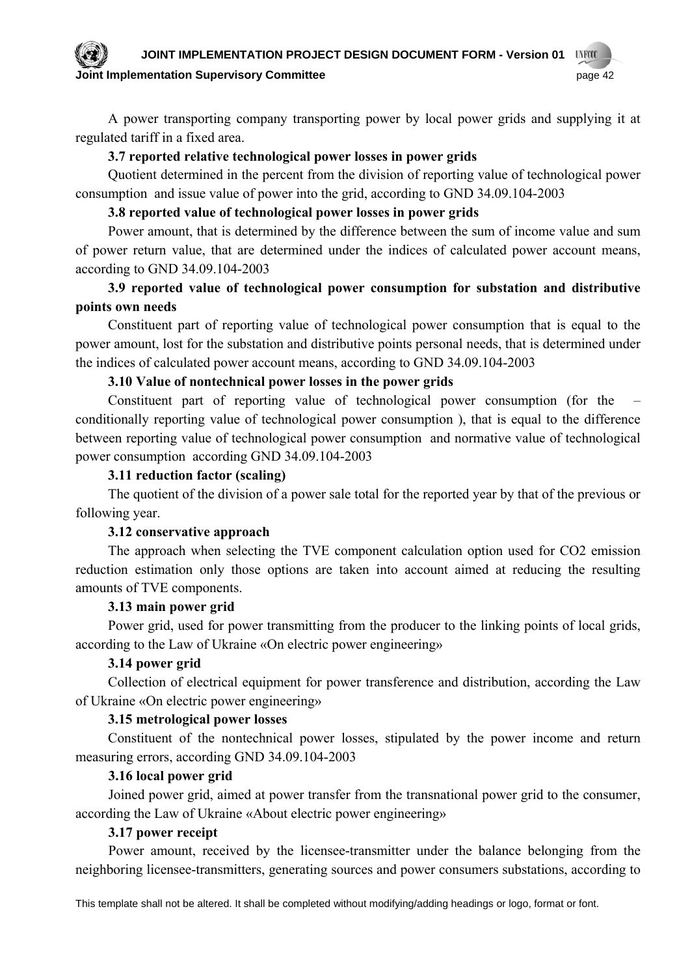#### **JOINT IMPLEMENTATION PROJECT DESIGN DOCUMENT FORM - Version 01 UNFCCC**

### **Dint Implementation Supervisory Committee page 42** page 42

A power transporting company transporting power by local power grids and supplying it at regulated tariff in a fixed area.

## **3.7 reported relative technological power losses in power grids**

Quotient determined in the percent from the division of reporting value of technological power consumption and issue value of power into the grid, according to GND 34.09.104-2003

## **3.8 reported value of technological power losses in power grids**

Power amount, that is determined by the difference between the sum of income value and sum of power return value, that are determined under the indices of calculated power account means, according to GND 34.09.104-2003

## **3.9 reported value of technological power consumption for substation and distributive points own needs**

Constituent part of reporting value of technological power consumption that is equal to the power amount, lost for the substation and distributive points personal needs, that is determined under the indices of calculated power account means, according to GND 34.09.104-2003

## **3.10 Value of nontechnical power losses in the power grids**

Constituent part of reporting value of technological power consumption (for the – conditionally reporting value of technological power consumption ), that is equal to the difference between reporting value of technological power consumption and normative value of technological power consumption according GND 34.09.104-2003

## **3.11 reduction factor (scaling)**

The quotient of the division of a power sale total for the reported year by that of the previous or following year.

## **3.12 conservative approach**

The approach when selecting the TVE component calculation option used for CO2 emission reduction estimation only those options are taken into account aimed at reducing the resulting amounts of TVE components.

## **3.13 main power grid**

Power grid, used for power transmitting from the producer to the linking points of local grids, according to the Law of Ukraine «On electric power engineering»

## **3.14 power grid**

Collection of electrical equipment for power transference and distribution, according the Law of Ukraine «On electric power engineering»

## **3.15 metrological power losses**

Constituent of the nontechnical power losses, stipulated by the power income and return measuring errors, according GND 34.09.104-2003

## **3.16 local power grid**

Joined power grid, aimed at power transfer from the transnational power grid to the consumer, according the Law of Ukraine «About electric power engineering»

## **3.17 power receipt**

Power amount, received by the licensee-transmitter under the balance belonging from the neighboring licensee-transmitters, generating sources and power consumers substations, according to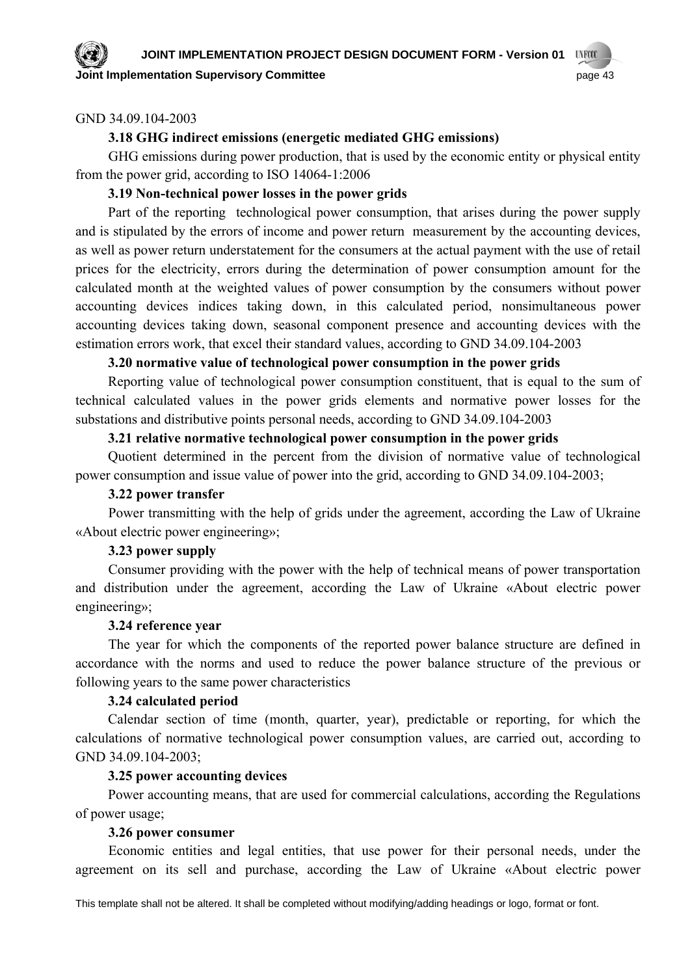**Point Implementation Supervisory Committee page 43** page 43

# **UNFCCC**

## GND 34.09.104-2003

## **3.18 GHG indirect emissions (energetic mediated GHG emissions)**

GHG emissions during power production, that is used by the economic entity or physical entity from the power grid, according to ISO 14064-1:2006

## **3.19 Non-technical power losses in the power grids**

Part of the reporting technological power consumption, that arises during the power supply and is stipulated by the errors of income and power return measurement by the accounting devices, as well as power return understatement for the consumers at the actual payment with the use of retail prices for the electricity, errors during the determination of power consumption amount for the calculated month at the weighted values of power consumption by the consumers without power accounting devices indices taking down, in this calculated period, nonsimultaneous power accounting devices taking down, seasonal component presence and accounting devices with the estimation errors work, that excel their standard values, according to GND 34.09.104-2003

## **3.20 normative value of technological power consumption in the power grids**

Reporting value of technological power consumption constituent, that is equal to the sum of technical calculated values in the power grids elements and normative power losses for the substations and distributive points personal needs, according to GND 34.09.104-2003

## **3.21 relative normative technological power consumption in the power grids**

Quotient determined in the percent from the division of normative value of technological power consumption and issue value of power into the grid, according to GND 34.09.104-2003;

## **3.22 power transfer**

Power transmitting with the help of grids under the agreement, according the Law of Ukraine «About electric power engineering»;

## **3.23 power supply**

Consumer providing with the power with the help of technical means of power transportation and distribution under the agreement, according the Law of Ukraine «About electric power engineering»;

## **3.24 reference year**

The year for which the components of the reported power balance structure are defined in accordance with the norms and used to reduce the power balance structure of the previous or following years to the same power characteristics

## **3.24 calculated period**

Calendar section of time (month, quarter, year), predictable or reporting, for which the calculations of normative technological power consumption values, are carried out, according to GND 34.09.104-2003;

## **3.25 power accounting devices**

Power accounting means, that are used for commercial calculations, according the Regulations of power usage;

## **3.26 power consumer**

Economic entities and legal entities, that use power for their personal needs, under the agreement on its sell and purchase, according the Law of Ukraine «About electric power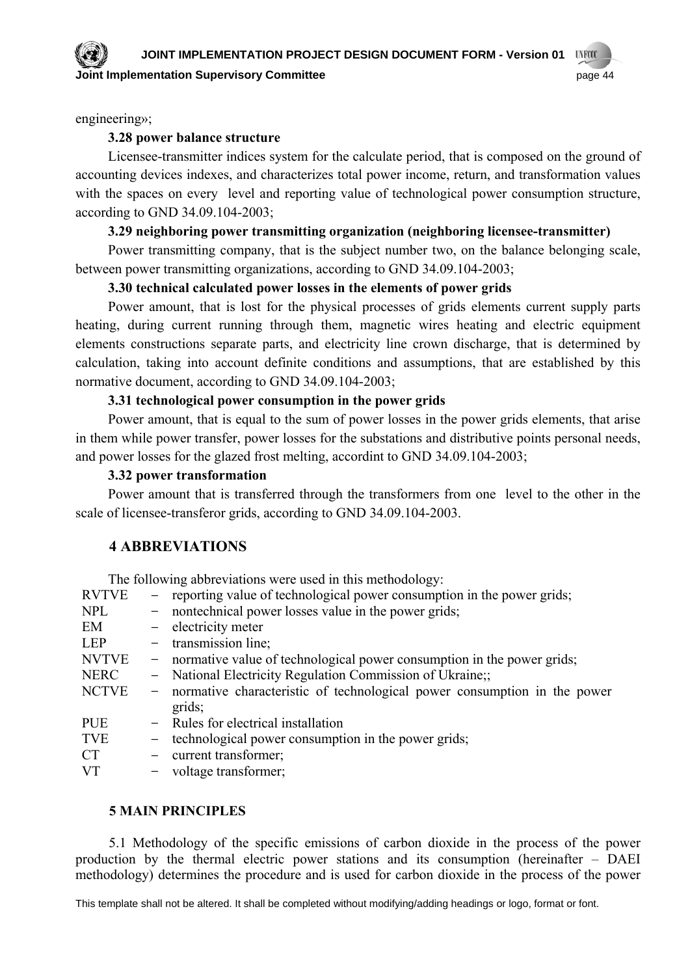**UNFCCC** 

engineering»;

## **3.28 power balance structure**

Licensee-transmitter indices system for the calculate period, that is composed on the ground of accounting devices indexes, and characterizes total power income, return, and transformation values with the spaces on every level and reporting value of technological power consumption structure, according to GND 34.09.104-2003;

## **3.29 neighboring power transmitting organization (neighboring licensee-transmitter)**

Power transmitting company, that is the subject number two, on the balance belonging scale, between power transmitting organizations, according to GND 34.09.104-2003;

## **3.30 technical calculated power losses in the elements of power grids**

Power amount, that is lost for the physical processes of grids elements current supply parts heating, during current running through them, magnetic wires heating and electric equipment elements constructions separate parts, and electricity line crown discharge, that is determined by calculation, taking into account definite conditions and assumptions, that are established by this normative document, according to GND 34.09.104-2003;

## **3.31 technological power consumption in the power grids**

Power amount, that is equal to the sum of power losses in the power grids elements, that arise in them while power transfer, power losses for the substations and distributive points personal needs, and power losses for the glazed frost melting, accordint to GND 34.09.104-2003;

## **3.32 power transformation**

Power amount that is transferred through the transformers from one level to the other in the scale of licensee-transferor grids, according to GND 34.09.104-2003.

## **4 ABBREVIATIONS**

The following abbreviations were used in this methodology: RVTVE – reporting value of technological power consumption in the power grids; NPL – nontechnical power losses value in the power grids; EM **–** electricity meter LEP – transmission line: NVTVE – normative value of technological power consumption in the power grids; NERC **–** National Electricity Regulation Commission of Ukraine;; NCТVE **–** normative characteristic of technological power consumption in the power grids; PUE **–** Rules for electrical installation TVE – technological power consumption in the power grids; CT **–** current transformer; VT **–** voltage transformer;

## **5 MAIN PRINCIPLES**

5.1 Methodology of the specific emissions of carbon dioxide in the process of the power production by the thermal electric power stations and its consumption (hereinafter – DAEI methodology) determines the procedure and is used for carbon dioxide in the process of the power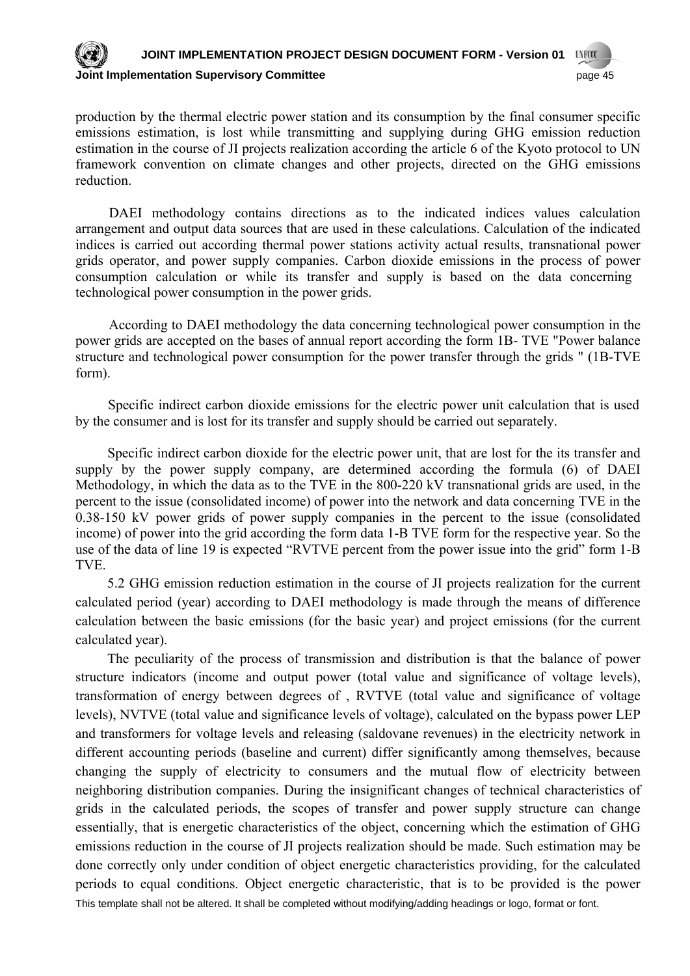#### **JOINT IMPLEMENTATION PROJECT DESIGN DOCUMENT FORM - Version 01 UNFCCC Joint Implementation Supervisory Committee** page 45

production by the thermal electric power station and its consumption by the final consumer specific emissions estimation, is lost while transmitting and supplying during GHG emission reduction estimation in the course of JI projects realization according the article 6 of the Kyoto protocol to UN framework convention on climate changes and other projects, directed on the GHG emissions reduction.

DAEI methodology contains directions as to the indicated indices values calculation arrangement and output data sources that are used in these calculations. Calculation of the indicated indices is carried out according thermal power stations activity actual results, transnational power grids operator, and power supply companies. Carbon dioxide emissions in the process of power consumption calculation or while its transfer and supply is based on the data concerning technological power consumption in the power grids.

According to DAEI methodology the data concerning technological power consumption in the power grids are accepted on the bases of annual report according the form 1B- ТVE "Power balance structure and technological power consumption for the power transfer through the grids " (1B-TVE form).

Specific indirect carbon dioxide emissions for the electric power unit calculation that is used by the consumer and is lost for its transfer and supply should be carried out separately.

Specific indirect carbon dioxide for the electric power unit, that are lost for the its transfer and supply by the power supply company, are determined according the formula (6) of DAEI Methodology, in which the data as to the TVE in the 800-220 kV transnational grids are used, in the percent to the issue (consolidated income) of power into the network and data concerning ТVE in the 0.38-150 kV power grids of power supply companies in the percent to the issue (consolidated income) of power into the grid according the form data 1-B ТVE form for the respective year. So the use of the data of line 19 is expected "RVТVE percent from the power issue into the grid" form 1-B ТVE.

5.2 GHG emission reduction estimation in the course of JI projects realization for the current calculated period (year) according to DAEI methodology is made through the means of difference calculation between the basic emissions (for the basic year) and project emissions (for the current calculated year).

This template shall not be altered. It shall be completed without modifying/adding headings or logo, format or font. The peculiarity of the process of transmission and distribution is that the balance of power structure indicators (income and output power (total value and significance of voltage levels), transformation of energy between degrees of , RVТVE (total value and significance of voltage levels), NVТVE (total value and significance levels of voltage), calculated on the bypass power LEP and transformers for voltage levels and releasing (saldovane revenues) in the electricity network in different accounting periods (baseline and current) differ significantly among themselves, because changing the supply of electricity to consumers and the mutual flow of electricity between neighboring distribution companies. During the insignificant changes of technical characteristics of grids in the calculated periods, the scopes of transfer and power supply structure can change essentially, that is energetic characteristics of the object, concerning which the estimation of GHG emissions reduction in the course of JI projects realization should be made. Such estimation may be done correctly only under condition of object energetic characteristics providing, for the calculated periods to equal conditions. Object energetic characteristic, that is to be provided is the power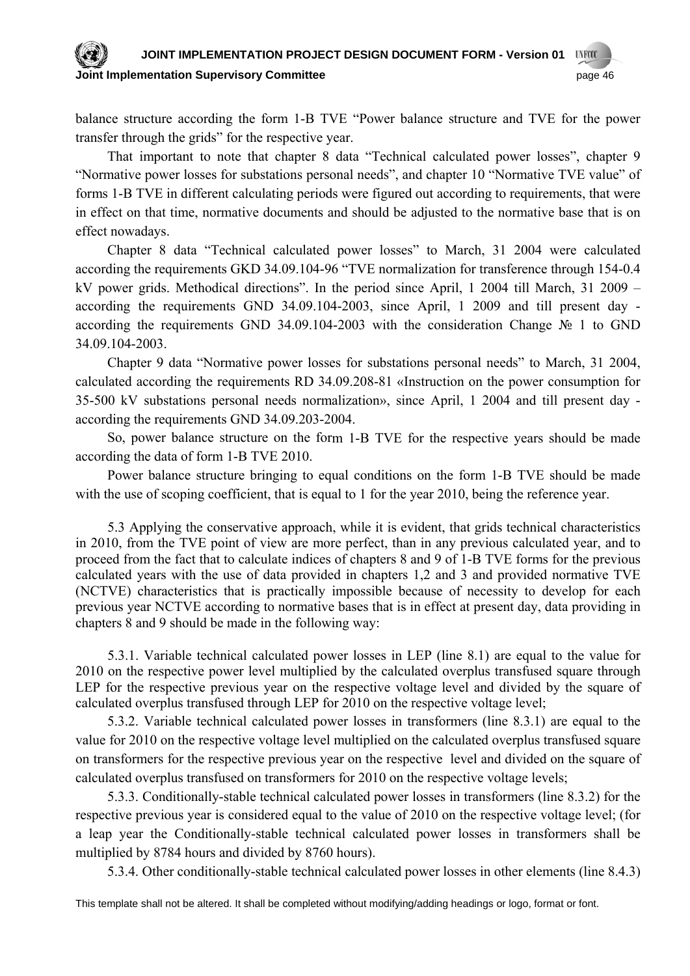#### **JOINT IMPLEMENTATION PROJECT DESIGN DOCUMENT FORM - Version 01 UNFCCC Committee 3 Applementation Supervisory Committee 3 Apple 10 Apple 10 Applementation Supervisory Committee 3 Apple 10 Apple 16 Apple 16 Apple 16 Apple 16 Apple 16 Apple 16 Apple 16 Apple 16 Apple 16 Apple 16 Apple 16 Apple**

balance structure according the form 1-B ТVE "Power balance structure and ТVE for the power transfer through the grids" for the respective year.

That important to note that chapter 8 data "Technical calculated power losses", chapter 9 "Normative power losses for substations personal needs", and chapter 10 "Normative ТVE value" of forms 1-B ТVE in different calculating periods were figured out according to requirements, that were in effect on that time, normative documents and should be adjusted to the normative base that is on effect nowadays.

Chapter 8 data "Technical calculated power losses" to March, 31 2004 were calculated according the requirements GKD 34.09.104-96 "ТVE normalization for transference through 154-0.4 kV power grids. Methodical directions". In the period since April, 1 2004 till March, 31 2009 – according the requirements GND 34.09.104-2003, since April, 1 2009 and till present day according the requirements GND 34.09.104-2003 with the consideration Change № 1 to GND 34.09.104-2003.

Chapter 9 data "Normative power losses for substations personal needs" to March, 31 2004, calculated according the requirements RD 34.09.208-81 «Instruction on the power consumption for 35-500 kV substations personal needs normalization», since April, 1 2004 and till present day according the requirements GND 34.09.203-2004.

So, power balance structure on the form 1-B ТVE for the respective years should be made according the data of form 1-B ТVE 2010.

Power balance structure bringing to equal conditions on the form 1-B ТVE should be made with the use of scoping coefficient, that is equal to 1 for the year 2010, being the reference year.

5.3 Applying the conservative approach, while it is evident, that grids technical characteristics in 2010, from the ТVE point of view are more perfect, than in any previous calculated year, and to proceed from the fact that to calculate indices of chapters 8 and 9 of 1-B ТVE forms for the previous calculated years with the use of data provided in chapters 1,2 and 3 and provided normative ТVE (NCТVE) characteristics that is practically impossible because of necessity to develop for each previous year NCТVE according to normative bases that is in effect at present day, data providing in chapters 8 and 9 should be made in the following way:

5.3.1. Variable technical calculated power losses in LEP (line 8.1) are equal to the value for 2010 on the respective power level multiplied by the calculated overplus transfused square through LEP for the respective previous year on the respective voltage level and divided by the square of calculated overplus transfused through LEP for 2010 on the respective voltage level;

5.3.2. Variable technical calculated power losses in transformers (line 8.3.1) are equal to the value for 2010 on the respective voltage level multiplied on the calculated overplus transfused square on transformers for the respective previous year on the respective level and divided on the square of calculated overplus transfused on transformers for 2010 on the respective voltage levels;

5.3.3. Conditionally-stable technical calculated power losses in transformers (line 8.3.2) for the respective previous year is considered equal to the value of 2010 on the respective voltage level; (for a leap year the Conditionally-stable technical calculated power losses in transformers shall be multiplied by 8784 hours and divided by 8760 hours).

5.3.4. Other conditionally-stable technical calculated power losses in other elements (line 8.4.3)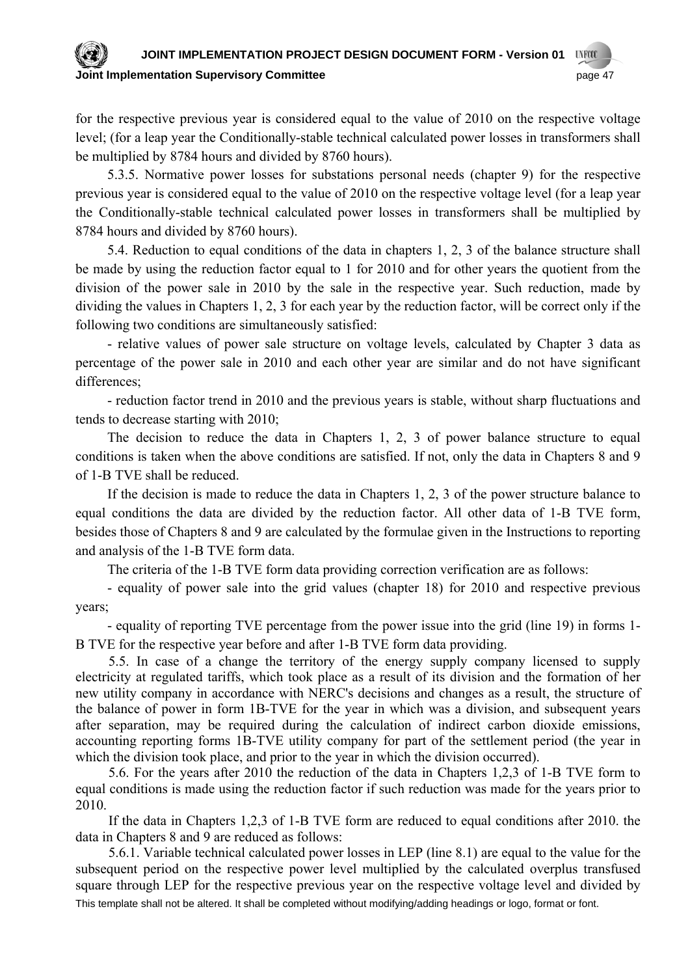#### **JOINT IMPLEMENTATION PROJECT DESIGN DOCUMENT FORM - Version 01 UNFCCC**

**Joint Implementation Supervisory Committee** page 47

for the respective previous year is considered equal to the value of 2010 on the respective voltage level; (for a leap year the Conditionally-stable technical calculated power losses in transformers shall be multiplied by 8784 hours and divided by 8760 hours).

5.3.5. Normative power losses for substations personal needs (chapter 9) for the respective previous year is considered equal to the value of 2010 on the respective voltage level (for a leap year the Conditionally-stable technical calculated power losses in transformers shall be multiplied by 8784 hours and divided by 8760 hours).

5.4. Reduction to equal conditions of the data in chapters 1, 2, 3 of the balance structure shall be made by using the reduction factor equal to 1 for 2010 and for other years the quotient from the division of the power sale in 2010 by the sale in the respective year. Such reduction, made by dividing the values in Chapters 1, 2, 3 for each year by the reduction factor, will be correct only if the following two conditions are simultaneously satisfied:

- relative values of power sale structure on voltage levels, calculated by Chapter 3 data as percentage of the power sale in 2010 and each other year are similar and do not have significant differences;

- reduction factor trend in 2010 and the previous years is stable, without sharp fluctuations and tends to decrease starting with 2010;

The decision to reduce the data in Chapters 1, 2, 3 of power balance structure to equal conditions is taken when the above conditions are satisfied. If not, only the data in Chapters 8 and 9 of 1-B TVE shall be reduced.

If the decision is made to reduce the data in Chapters 1, 2, 3 of the power structure balance to equal conditions the data are divided by the reduction factor. All other data of 1-B TVE form, besides those of Chapters 8 and 9 are calculated by the formulae given in the Instructions to reporting and analysis of the 1-B TVE form data.

The criteria of the 1-B ТVE form data providing correction verification are as follows:

- equality of power sale into the grid values (chapter 18) for 2010 and respective previous years;

- equality of reporting ТVE percentage from the power issue into the grid (line 19) in forms 1- B ТVE for the respective year before and after 1-B ТVE form data providing.

5.5. In case of a change the territory of the energy supply company licensed to supply electricity at regulated tariffs, which took place as a result of its division and the formation of her new utility company in accordance with NERC's decisions and changes as a result, the structure of the balance of power in form 1B-TVE for the year in which was a division, and subsequent years after separation, may be required during the calculation of indirect carbon dioxide emissions, accounting reporting forms 1B-TVE utility company for part of the settlement period (the year in which the division took place, and prior to the year in which the division occurred).

5.6. For the years after 2010 the reduction of the data in Chapters 1,2,3 of 1-B TVE form to equal conditions is made using the reduction factor if such reduction was made for the years prior to 2010.

If the data in Chapters 1,2,3 of 1-B TVE form are reduced to equal conditions after 2010. the data in Chapters 8 and 9 are reduced as follows:

This template shall not be altered. It shall be completed without modifying/adding headings or logo, format or font. 5.6.1. Variable technical calculated power losses in LEP (line 8.1) are equal to the value for the subsequent period on the respective power level multiplied by the calculated overplus transfused square through LEP for the respective previous year on the respective voltage level and divided by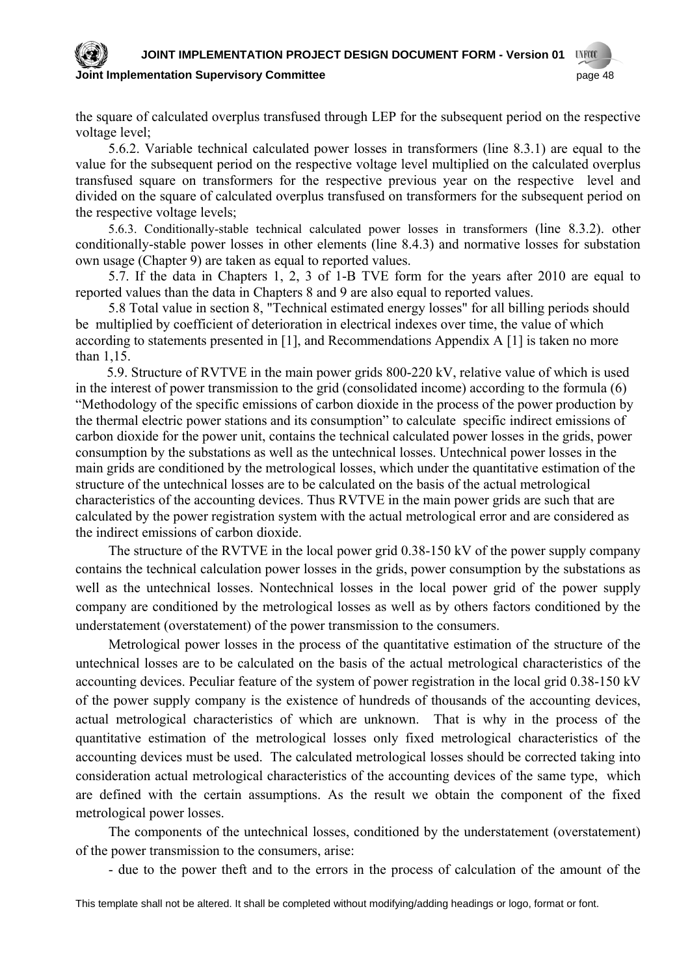## **JOINT IMPLEMENTATION PROJECT DESIGN DOCUMENT FORM - Version 01**

#### **Committee 3 Applementation Supervisory Committee 3 Apple 10 Apple 10 Applementation Supervisory Committee 3 Apple 48**



the square of calculated overplus transfused through LEP for the subsequent period on the respective voltage level;

5.6.2. Variable technical calculated power losses in transformers (line 8.3.1) are equal to the value for the subsequent period on the respective voltage level multiplied on the calculated overplus transfused square on transformers for the respective previous year on the respective level and divided on the square of calculated overplus transfused on transformers for the subsequent period on the respective voltage levels;

5.6.3. Conditionally-stable technical calculated power losses in transformers (line 8.3.2). other conditionally-stable power losses in other elements (line 8.4.3) and normative losses for substation own usage (Chapter 9) are taken as equal to reported values.

5.7. If the data in Chapters 1, 2, 3 of 1-B TVE form for the years after 2010 are equal to reported values than the data in Chapters 8 and 9 are also equal to reported values.

5.8 Total value in section 8, "Technical estimated energy losses" for all billing periods should be multiplied by coefficient of deterioration in electrical indexes over time, the value of which according to statements presented in [1], and Recommendations Appendix A [1] is taken no more than 1,15.

5.9. Structure of RVТVE in the main power grids 800-220 kV, relative value of which is used in the interest of power transmission to the grid (consolidated income) according to the formula (6) "Methodology of the specific emissions of carbon dioxide in the process of the power production by the thermal electric power stations and its consumption" to calculate specific indirect emissions of carbon dioxide for the power unit, contains the technical calculated power losses in the grids, power consumption by the substations as well as the untechnical losses. Untechnical power losses in the main grids are conditioned by the metrological losses, which under the quantitative estimation of the structure of the untechnical losses are to be calculated on the basis of the actual metrological characteristics of the accounting devices. Thus RVТVE in the main power grids are such that are calculated by the power registration system with the actual metrological error and are considered as the indirect emissions of carbon dioxide.

The structure of the RVTVE in the local power grid 0.38-150 kV of the power supply company contains the technical calculation power losses in the grids, power consumption by the substations as well as the untechnical losses. Nontechnical losses in the local power grid of the power supply company are conditioned by the metrological losses as well as by others factors conditioned by the understatement (overstatement) of the power transmission to the consumers.

Metrological power losses in the process of the quantitative estimation of the structure of the untechnical losses are to be calculated on the basis of the actual metrological characteristics of the accounting devices. Peculiar feature of the system of power registration in the local grid 0.38-150 kV of the power supply company is the existence of hundreds of thousands of the accounting devices, actual metrological characteristics of which are unknown. That is why in the process of the quantitative estimation of the metrological losses only fixed metrological characteristics of the accounting devices must be used. The calculated metrological losses should be corrected taking into consideration actual metrological characteristics of the accounting devices of the same type, which are defined with the certain assumptions. As the result we obtain the component of the fixed metrological power losses.

The components of the untechnical losses, conditioned by the understatement (overstatement) of the power transmission to the consumers, arise:

- due to the power theft and to the errors in the process of calculation of the amount of the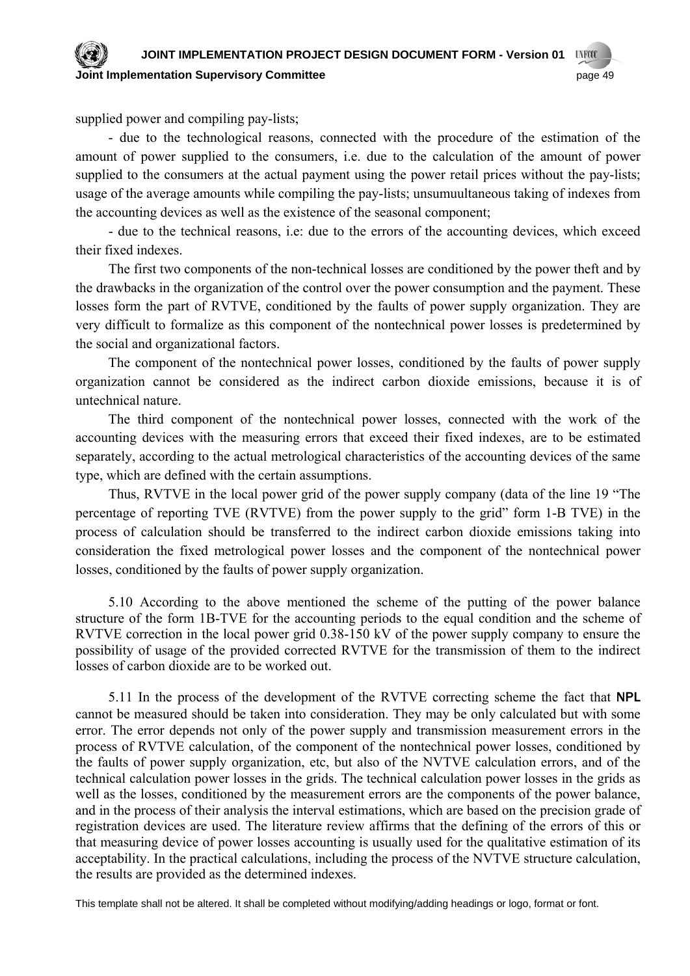#### **JOINT IMPLEMENTATION PROJECT DESIGN DOCUMENT FORM - Version 01 UNFCCC Committee 3 and 10 and 10 and 10 and 10 and 10 and 10 and 10 and 10 and 10 and 10 and 10 and 10 and 10 and 10 and 10 and 10 and 10 and 10 and 10 and 10 and 10 and 10 and 10 and 10 and 10 and 10 and 10 and 10 and 10 and 10**

supplied power and compiling pay-lists;

- due to the technological reasons, connected with the procedure of the estimation of the amount of power supplied to the consumers, i.e. due to the calculation of the amount of power supplied to the consumers at the actual payment using the power retail prices without the pay-lists; usage of the average amounts while compiling the pay-lists; unsumuultaneous taking of indexes from the accounting devices as well as the existence of the seasonal component;

- due to the technical reasons, i.e: due to the errors of the accounting devices, which exceed their fixed indexes.

The first two components of the non-technical losses are conditioned by the power theft and by the drawbacks in the organization of the control over the power consumption and the payment. These losses form the part of RVТVE, conditioned by the faults of power supply organization. They are very difficult to formalize as this component of the nontechnical power losses is predetermined by the social and organizational factors.

The component of the nontechnical power losses, conditioned by the faults of power supply organization cannot be considered as the indirect carbon dioxide emissions, because it is of untechnical nature.

The third component of the nontechnical power losses, connected with the work of the accounting devices with the measuring errors that exceed their fixed indexes, are to be estimated separately, according to the actual metrological characteristics of the accounting devices of the same type, which are defined with the certain assumptions.

Thus, RVТVE in the local power grid of the power supply company (data of the line 19 "The percentage of reporting TVE (RVТVE) from the power supply to the grid" form 1-B ТVE) in the process of calculation should be transferred to the indirect carbon dioxide emissions taking into consideration the fixed metrological power losses and the component of the nontechnical power losses, conditioned by the faults of power supply organization.

5.10 According to the above mentioned the scheme of the putting of the power balance structure of the form 1B-TVE for the accounting periods to the equal condition and the scheme of RVТVE correction in the local power grid 0.38-150 kV of the power supply company to ensure the possibility of usage of the provided corrected RVТVE for the transmission of them to the indirect losses of carbon dioxide are to be worked out.

5.11 In the process of the development of the RVTVE correcting scheme the fact that **NPL** cannot be measured should be taken into consideration. They may be only calculated but with some error. The error depends not only of the power supply and transmission measurement errors in the process of RVТVE calculation, of the component of the nontechnical power losses, conditioned by the faults of power supply organization, etc, but also of the NVТVE calculation errors, and of the technical calculation power losses in the grids. The technical calculation power losses in the grids as well as the losses, conditioned by the measurement errors are the components of the power balance, and in the process of their analysis the interval estimations, which are based on the precision grade of registration devices are used. The literature review affirms that the defining of the errors of this or that measuring device of power losses accounting is usually used for the qualitative estimation of its acceptability. In the practical calculations, including the process of the NVТVE structure calculation, the results are provided as the determined indexes.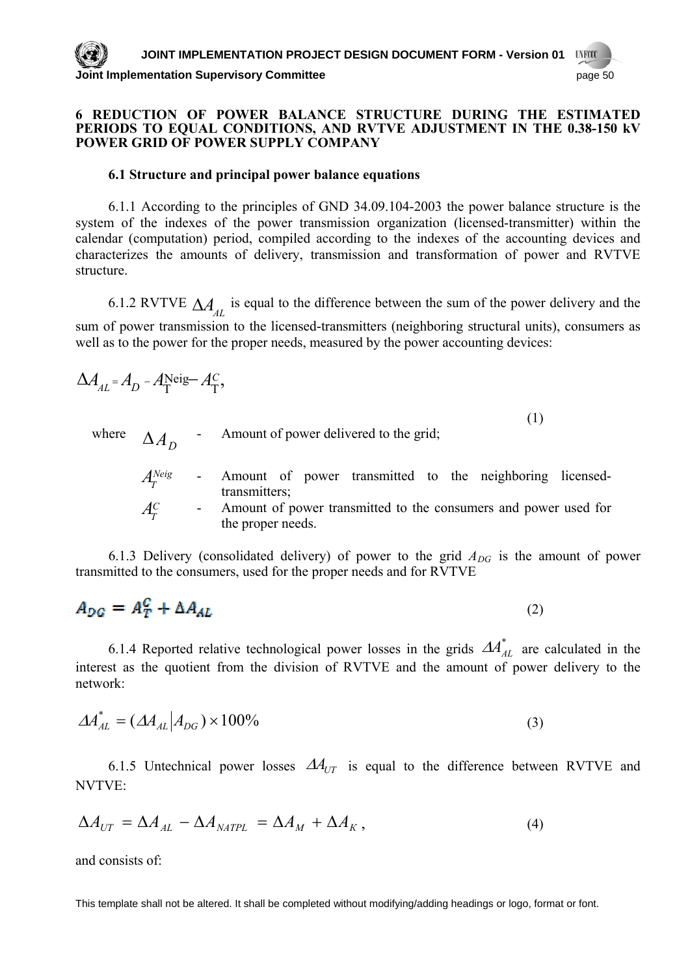#### **6 REDUCTION OF POWER BALANCE STRUCTURE DURING THE ESTIMATED PERIODS TO EQUAL CONDITIONS, AND RVTVE ADJUSTMENT IN THE 0.38-150 KV POWER GRID OF POWER SUPPLY COMPANY**

## **6.1 Structure and principal power balance equations**

6.1.1 According to the principles of GND 34.09.104-2003 the power balance structure is the system of the indexes of the power transmission organization (licensed-transmitter) within the calendar (computation) period, compiled according to the indexes of the accounting devices and characterizes the amounts of delivery, transmission and transformation of power and RVТVE structure.

6.1.2 RVTVE  $\Delta A_{\scriptscriptstyle{AL}}$  is equal to the difference between the sum of the power delivery and the sum of power transmission to the licensed-transmitters (neighboring structural units), consumers as well as to the power for the proper needs, measured by the power accounting devices:

$$
\Delta A_{AL} = A_D - A_{\overline{1}}^{\text{Neig}} - A_{\overline{1}}^C,
$$
\n(1)

where  $\Delta A_D$  - Amount of power delivered to the grid;

*Neig* **-** Amount of power transmitted to the neighboring licensedtransmitters;  $A_r^C$ Amount of power transmitted to the consumers and power used for the proper needs.

6.1.3 Delivery (consolidated delivery) of power to the grid  $A_{DG}$  is the amount of power transmitted to the consumers, used for the proper needs and for RVТVE

$$
A_{DG} = A_T^C + \Delta A_{AL} \tag{2}
$$

6.1.4 Reported relative technological power losses in the grids  $AA^*_{AL}$  are calculated in the interest as the quotient from the division of RVТVE and the amount of power delivery to the network:

$$
\Delta A_{AL}^* = (\Delta A_{AL} | A_{DG}) \times 100\% \tag{3}
$$

6.1.5 Untechnical power losses  $\Delta A_{UT}$  is equal to the difference between RVTVE and NVТVE:

$$
\Delta A_{UT} = \Delta A_{AL} - \Delta A_{MATE} = \Delta A_M + \Delta A_K, \qquad (4)
$$

and consists of: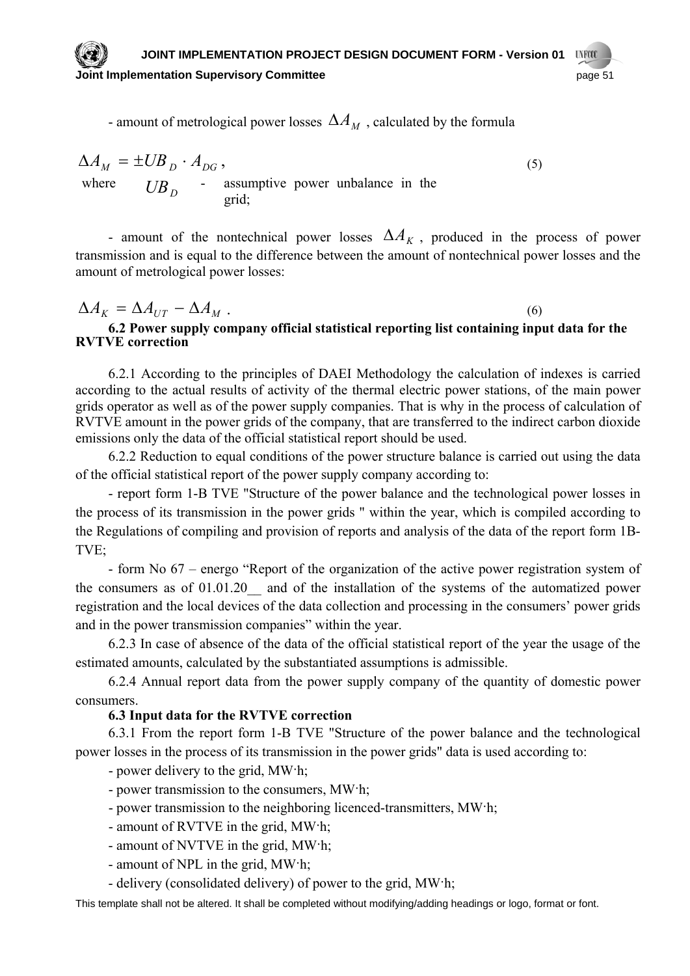- amount of metrological power losses  $\Delta A_M$ , calculated by the formula

 $\Delta A_M = \pm U B_D \cdot A_{DG}$ , (5) where  $UB_D$  - assumptive power unbalance in the grid;

- amount of the nontechnical power losses  $\Delta A_K$ , produced in the process of power transmission and is equal to the difference between the amount of nontechnical power losses and the amount of metrological po wer losses:

$$
\Delta A_K = \Delta A_{UT} - \Delta A_M \tag{6}
$$

**6.2 Power supply company official statistical reporting list containing input data for the RVТVE correction**

RVТV E amount in the power grids of the company, that are transferred to the indirect carbon dioxide 6.2.1 According to the principles of DAEI Methodology the calculation of indexes is carried according to the actual results of activity of the thermal electric power stations, of the main power grids operator as well as of the power supply companies. That is why in the process of calculation of emissions only the data of the official statistical report should be used.

6.2.2 Reduction to equal conditions of the power structure balance is carried out using the data of the official statistical report of the power supply company according to:

the process of its transmission in the power grids " within the year, which is compiled according to the R egulations of compiling and provision of reports and analysis of the data of the report form 1B-- report form 1-B TVE "Structure of the power balance and the technological power losses in ТVE;

the consumers as of  $01.01.20$  and of the installation of the systems of the automatized power regist ration and the local devices of the data collection and processing in the consumers' power grids - form No 67 – energo "Report of the organization of the active power registration system of and in the power transmission companies" within the year.

estimated amounts, calculated by the substantiated assumptions is admissible. 6.2.3 In case of absence of the data of the official statistical report of the year the usage of the

6.2.4 Annual report data from the power supply company of the quantity of domestic power consumers.

## **6.3 Input data for the RVТVE correction**

6.3.1 From the report form 1-B TVE "Structure of the power balance and the technological power losses in the process of its transmission in the power grids" data is used according to:

- power delivery to the grid, МW·h;

- power transmission to the consumers, MW·h;
- power transmission to the neighboring licenced-transmitters, MW·h;
- amount of RVTVE in the grid, MW·h;
- amount of NVТVE in the grid, МW·h;
- amount of NPL in the grid, МW·h;
- delivery (consolidated delivery) of power to the grid, MW·h;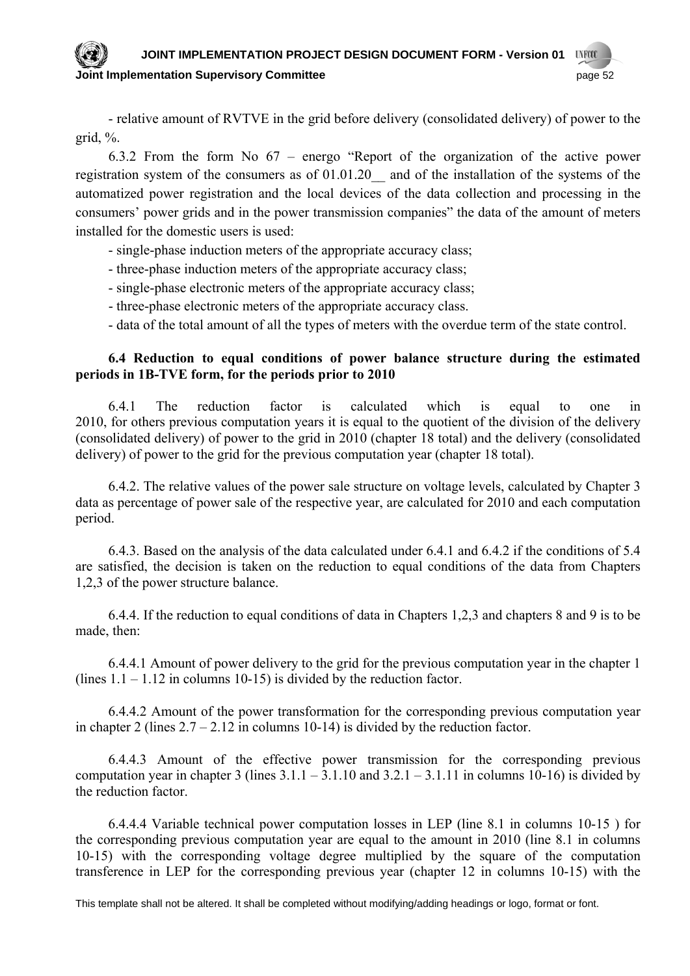#### **JOINT IMPLEMENTATION PROJECT DESIGN DOCUMENT FORM - Version 01 UNFOOT Joint Implementation Supervisory Committee** *page 52* **page 52**

- relative amount of RVТVE in the grid before delivery (consolidated delivery) of power to the grid, %.

6.3.2 From the form No 67 – energo "Report of the organization of the active power registration system of the consumers as of 01.01.20\_\_ and of the installation of the systems of the automatized power registration and the local devices of the data collection and processing in the consumers' power grids and in the power transmission companies" the data of the amount of meters instal led for the domestic users is used:

- single-phase induction meters of the appropriate accuracy class;

- three-phase induction meters of the appropriate accuracy class;

- single-phase electronic meters of the appropriate accuracy class;

- three-phase electronic meters of the appropriate accuracy class.

- data of the total amount of all the types of meters with the overdue term of the state control.

## **6.4 Reduction to equal conditions of power balance structure during the estimated periods in 1B-ТVE form, for the periods prior to 2010**

2010, for others previous computation years it is equal to the quotient of the division of the delivery (consolidated delivery) of power to the grid in 2010 (chapter 18 total) and the delivery (consolidated 6.4.1 The reduction factor is calculated which is equal to one in delivery) of power to the grid for the previous computation year (chapter 18 total).

.2. The relative values of the power sale structure on voltage levels, calculated by Chapter 3 6.4 data as percentage of pow er sale of the respective year, are calculated for 2010 and each computation period.

6.4.3. Based on the analysis of the data calculated under  $6.4.1$  and  $6.4.2$  if the conditions of  $5.4$ are satisfied, the decision is ta ken on the reduction to equal conditions of the data from Chapters 1,2,3 of the power structure balance.

6.4.4. If the reduction to equal conditions of data in Chapters 1,2,3 and chapters 8 and 9 is to be made, then:

6.4.4.1 Amount of power delivery to the grid for the previous computation year in the chapter 1 (lines  $1.1 - 1.12$  in columns 10-15) is divided by the reduction factor.

6.4.4.2 Amount of the power transformation for the corresponding previous computation year in chapter 2 (lines  $2.7 - 2.12$  in columns 10-14) is divided by the reduction factor.

 $6.4.4.3$  Amount of the effective power transmission for the corresponding previous computation year in chapter 3 (lines  $3.1.1 - 3.1.10$  and  $3.2.1 - 3.1.11$  in columns 10-16) is divided by the reduction factor.

transference in LEP for the corresponding previous year (chapter 12 in columns 10-15) with the 6.4.4.4 Variable technical power computation losses in LEP (line 8.1 in columns 10-15 ) for the corresponding previous computation year are equal to the amount in 2010 (line 8.1 in columns 10-15) with the corresponding voltage degree multiplied by the square of the computation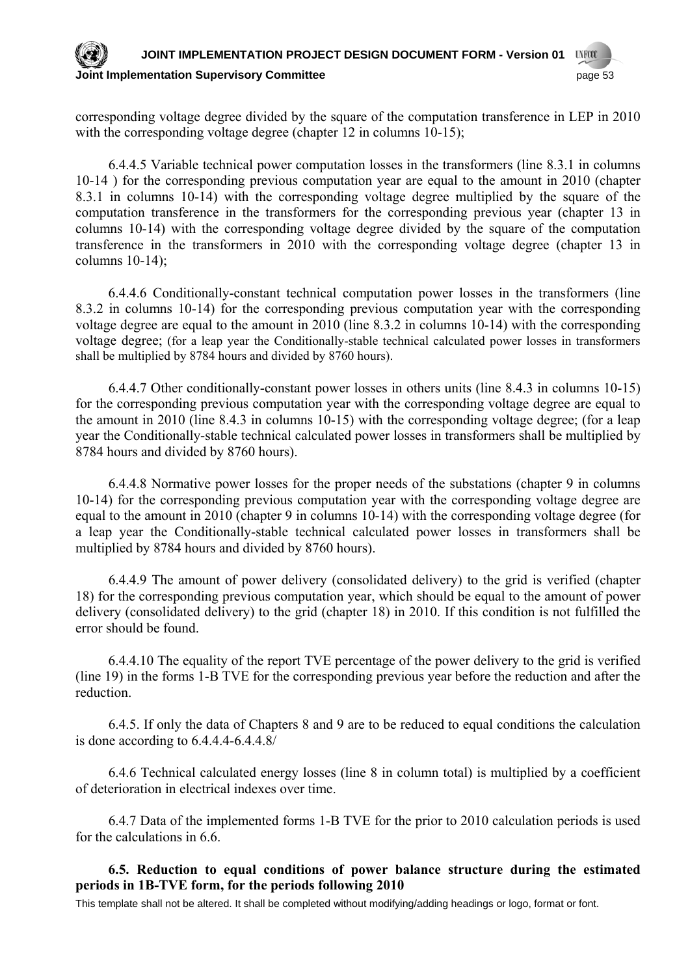#### **JOINT IMPLEMENTATION PROJECT DESIGN DOCUMENT FORM - Version 01 UNFCCC Joint Implementation Supervisory Committee** page 53

corres ponding voltage degree divided by the square of the computation transference in LEP in 2010 with the corresponding voltage degree (chapter 12 in columns 10-15);

computation transference in the transformers for the corresponding previous year (chapter 13 in columns 10-14) with the corresponding voltage degree divided by the square of the computation transf erence in the transformers in 2010 with the corresponding voltage degree (chapter 13 in 6.4.4.5 Variable technical power computation losses in the transformers (line 8.3.1 in columns 10-14 ) for the corresponding previous computation year are equal to the amount in 2010 (chapter 8.3.1 in columns 10-14) with the corresponding voltage degree multiplied by the square of the columns 10-14);

8.3.2 in columns 10-14) for the corresponding previous computation year with the corresponding voltage degree are equal to the amount in 2010 (line 8.3.2 in columns 10-14) with the corresponding voltag e degree; (for a leap year the Conditionally-stable technical calculated power losses in transformers 6.4.4.6 Conditionally-constant technical computation power losses in the transformers (line shall be multiplied by 8784 hours and divided by 8760 hours).

for the corresponding previous computation year with the corresponding voltage degree are equal to the amount in 2010 (line 8.4.3 in columns 10-15) with the corresponding voltage degree; (for a leap year t he Conditionally-stable technical calculated power losses in transformers shall be multiplied by 6.4.4.7 Other conditionally-constant power losses in others units (line 8.4.3 in columns 10-15) 8784 hours and divided by 8760 hours).

10-14) for the corresponding previous computation year with the corresponding voltage degree are equal to the amount in 2010 (chapter 9 in columns 10-14) with the corresponding voltage degree (for a lea p year the Conditionally-stable technical calculated power losses in transformers shall be 6.4.4.8 Normative power losses for the proper needs of the substations (chapter 9 in columns multiplied by 8784 hours and divided by 8760 hours).

6.4.4.9 The amount of power delivery (consolidated delivery) to the grid is verified (chapter 18) for the corresponding previous computation year, which should be equal to the amount of power delive ry (consolidated delivery) to the grid (chapter 18) in 2010. If this condition is not fulfilled the error should be found.

6.4.4.10 The equality of the report ТVE percentage of the power delivery to the grid is verified (line 19) in the forms 1-B ТVE for the corresponding previous year before the reduction and after the reduction.

6.4.5. If only the data of Chapters 8 and 9 are to be reduced to equal conditions the calculation is done according to 6.4.4.4-6.4.4.8/

of deterioration in electrical indexes over time. 6.4.6 Technical calculated energy losses (line 8 in column total) is multiplied by a coefficient

6.4.7 Data of the implemented forms 1-B ТVE for the prior to 2010 calculation periods is used for the calculations in 6.6.

## **6.5. Reduction to equal conditions of power balance structure during the estimated periods in 1B-ТVE form, for the periods following 2010**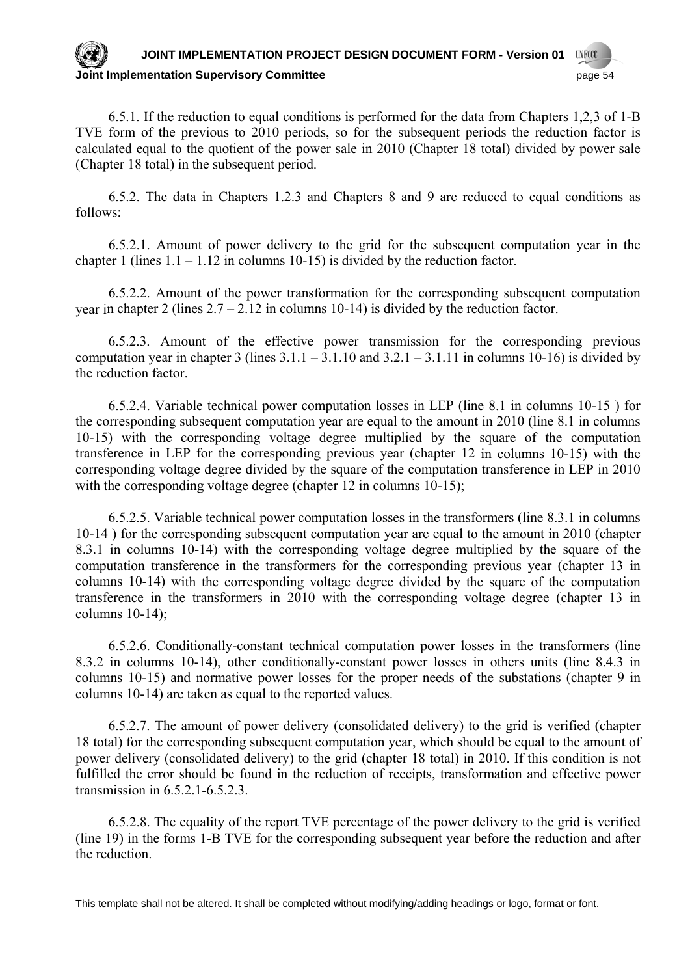#### **JOINT IMPLEMENTATION PROJECT DESIGN DOCUMENT FORM - Version 01 UNFCCC Joint Implementation Supervisory Committee** *page 54* **page 54**

6.5.1. If the reduction to equal conditions is performed for the data from Chapters 1,2,3 of 1-B TVE form of the previous to 2010 periods, so for the subsequent periods the reduction factor is calculated equal to the quotient of the power sale in 2010 (Chapter 18 total) divided by power sale (Chap ter 18 total) in the subsequent period.

6.5.2. The data in Chapters 1.2.3 and Chapters 8 and 9 are reduced to equal conditions as follow s:

6.5.2.1. Amount of power delivery to the grid for the subsequent computation year in the chapter 1 (lines  $1.1 - 1.12$  in columns 10-15) is divided by the reduction factor.

6.5.2.2. Amount of the power transformation for the corresponding subsequent computation year in chapter 2 (lines  $2.7 - 2.12$  in columns 10-14) is divided by the reduction factor.

 $6.5.2.3$ . Amount of the effective power transmission for the corresponding previous computation year in chapter 3 (lines  $3.1.1 - 3.1.10$  and  $3.2.1 - 3.1.11$  in columns 10-16) is divided by the re duction factor.

transference in LEP for the corresponding previous year (chapter 12 in columns 10-15) with the corresponding voltage degree divided by the square of the computation transference in LEP in 2010 with the corresponding voltage degree (chapter 12 in columns 10-15); 6.5.2.4. Variable technical power computation losses in LEP (line 8.1 in columns 10-15 ) for the corresponding subsequent computation year are equal to the amount in 2010 (line 8.1 in columns 10-15) with the corresponding voltage degree multiplied by the square of the computation

columns 10-14) with the corresponding voltage degree divided by the square of the computation transference in the transformers in 2010 with the corresponding voltage degree (chapter 13 in colum ns 10-14); 6.5.2.5. Variable technical power computation losses in the transformers (line 8.3.1 in columns 10-14 ) for the corresponding subsequent computation year are equal to the amount in 2010 (chapter 8.3.1 in columns 10-14) with the corresponding voltage degree multiplied by the square of the computation transference in the transformers for the corresponding previous year (chapter 13 in

8.3.2 in columns 10-14), other conditionally-constant power losses in others units (line 8.4.3 in columns 10-15) and normative power losses for the proper needs of the substations (chapter 9 in colum ns 10-14) are taken as equal to the reported values. 6.5.2.6. Conditionally-constant technical computation power losses in the transformers (line

power delivery (consolidated delivery) to the grid (chapter 18 total) in 2010. If this condition is not fulfilled the error should be found in the reduction of receipts, transformation and effective power transm ission in 6.5.2.1-6.5.2.3. 6.5.2.7. The amount of power delivery (consolidated delivery) to the grid is verified (chapter 18 total) for the corresponding subsequent computation year, which should be equal to the amount of

6.5.2.8. The equality of the report TVE percentage of the power delivery to the grid is verified (line 19) in the forms 1-B ТVE for the corresponding subsequent year before the reduction and after the reduction.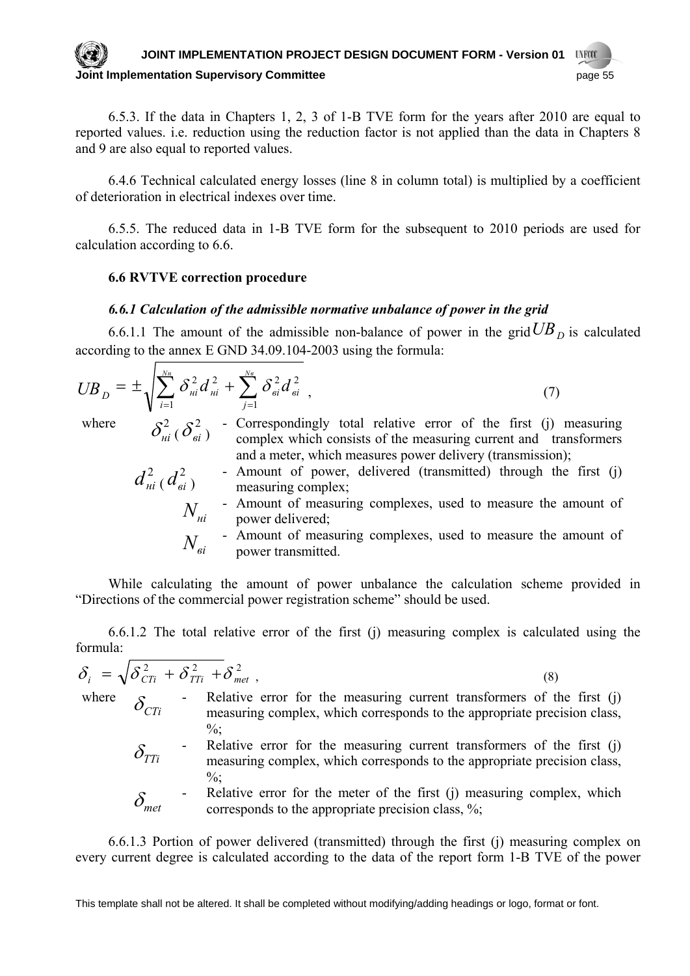#### **JOINT IMPLEMENTATION PROJECT DESIGN DOCUMENT FORM - Version 01 UNFCCC Joint Implementation Supervisory Committee** *page 15* **and the page 55**

6.5.3. If the data in Chapters 1, 2, 3 of 1-B TVE form for the years after 2010 are equal to reported values. i.e. reduction using the reduction factor is not applied than the data in Chapters 8 and 9 are also equal to reported values.

6.4.6 Technical calculated energy losses (line 8 in column total) is multiplied by a coefficient of deterioration in electrical indexes over time.

6.5.5. The reduced data in 1-B TVE form for the subsequent to 2010 periods are used for calculation according to 6.6.

## **6.6 RVТVE correction procedure**

#### *6.6.1 Calculation of the admissible normative unbalance of power in the grid*

6.6.1.1 The amount of the admissible non-balance of power in the grid  $UB<sub>D</sub>$  is calculated according to the annex Е GND 34.09.104-2003 using the formula:

$$
UB_{D} = \pm \sqrt{\sum_{i=1}^{N_H} \delta_{ni}^{2} d_{ni}^{2} + \sum_{j=1}^{N_e} \delta_{ei}^{2} d_{ei}^{2}},
$$
\n(7)

where  $\delta_{ni}^2$   $\delta_{ei}^2$   $\delta_{\text{e}i}$   $\delta_{\text{c}i}$   $\delta_{\text{c}i}$   $\delta_{\text{c}i}$   $\delta_{\text{c}i}$   $\delta_{\text{c}i}$   $\delta_{\text{c}i}$   $\delta_{\text{c}i}$   $\delta_{\text{c}i}$   $\delta_{\text{c}i}$   $\delta_{\text{c}i}$   $\delta_{\text{c}i}$   $\delta_{\text{c}i}$   $\delta_{\text{c}i}$   $\delta_{\text{c}i}$ 

and a meter, which measures power delivery (transmission);  $d_{ni}^2$  ( $d_{ei}^2$ ) - Amount of power, delivered (transmitted) through the first (j) measuring complex; measuring complex;  $N_{\mu i}$ - Amount of measuring complexes, used to measure the amount of power delivered;  $N_{\mathfrak{s}i}$ - Amount of measuring complexes, used to measure the amount of power transmitted.

complex which consists of the measuring current and transformers

While calculating the amount of power unbalance the calculation scheme provided in "Directions of the commercial power registration scheme" should be used.

6.6.1.2 The total relative error of the first (j) measuring complex is calculated using the formula:

$$
\delta_i = \sqrt{\delta_{CTi}^2 + \delta_{TTi}^2 + \delta_{met}^2}
$$
\nwhere\n
$$
\delta_{CTi} - \text{Relative error for the measuring current transforms of the first (j)}
$$
\n
$$
\delta_{CTi} - \text{Relative error for the measuring current transforms of the first (j)}
$$
\n
$$
\delta_{TTi} - \text{Relative error for the measuring current transforms of the first (j)}
$$
\n
$$
\delta_{TTi} - \text{Relative error for the measuring current transforms of the first (j)}
$$
\n
$$
\delta_{net} - \text{Relative error for the meter of the first (j) measuring complex, which corresponds to the appropriate precision class, \n
$$
\delta_{met}
$$
\n
$$
\delta_{met}
$$
\n
$$
\delta_{met}
$$
\n
$$
\delta_{met}
$$
\n
$$
\delta_{met}
$$
$$

6.6.1.3 Portion of power delivered (transmitted) through the first (j) measuring complex on every current degree is calculated according to the data of the report form 1-B ТVE of the power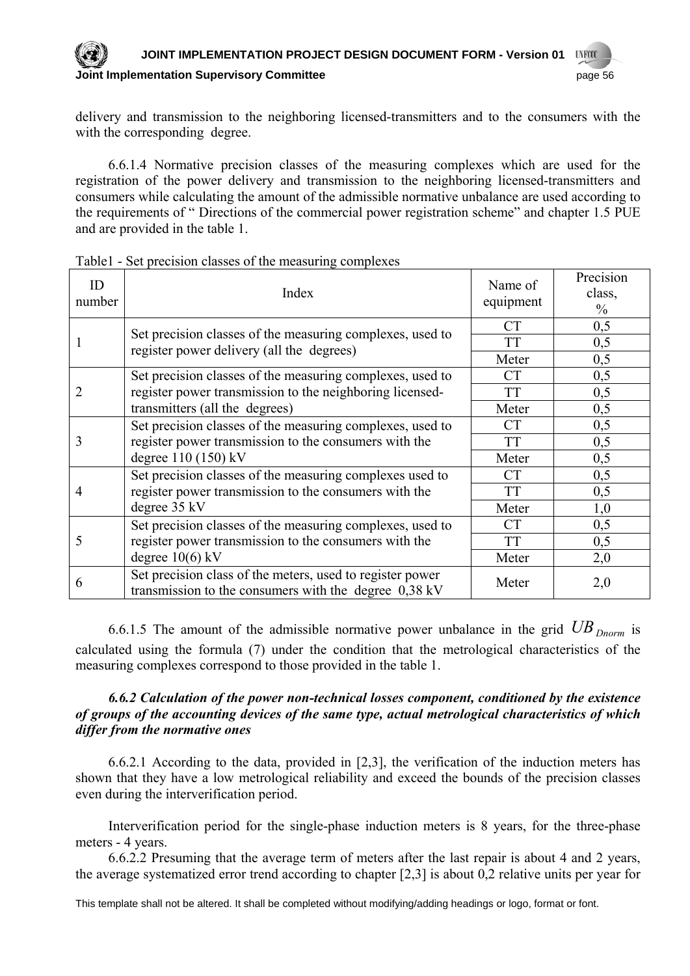#### **JOINT IMPLEMENTATION PROJECT DESIGN DOCUMENT FORM - Version 01 UNFOOT**

## **Committee 3 And Transform Supervisory Committee 3 And Transform Committee 3 And Transform Committee 3 And Transform Committee 3 And Transform Committee 3 And Transform Committee 3 And Transform Committee 3 And Transform C**

delivery and transmission to the neighboring licensed-transmitters and to the consumers with the with the corresponding degree.

6.6.1.4 Normative precision classes of the measuring complexes which are used for the registration of the power delivery and transmission to the neighboring licensed-transmitters and consumers while calculating the amount of the admissible normative unbalance are used according to the requirements of " Directions of the commercial power registration scheme" and chapter 1.5 PUE and are provided in the table 1.

| ID<br>number | Index                                                                                                                                                   | Name of<br>equipment | Precision<br>class,<br>$\frac{0}{0}$ |
|--------------|---------------------------------------------------------------------------------------------------------------------------------------------------------|----------------------|--------------------------------------|
|              | Set precision classes of the measuring complexes, used to<br>register power delivery (all the degrees)                                                  | <b>CT</b>            | 0,5                                  |
|              |                                                                                                                                                         | TT                   | 0,5                                  |
|              |                                                                                                                                                         | Meter                | 0,5                                  |
|              | Set precision classes of the measuring complexes, used to<br>register power transmission to the neighboring licensed-<br>transmitters (all the degrees) | <b>CT</b>            | 0,5                                  |
|              |                                                                                                                                                         | TT                   | 0,5                                  |
|              |                                                                                                                                                         | Meter                | 0,5                                  |
| 3            | Set precision classes of the measuring complexes, used to<br>register power transmission to the consumers with the<br>degree 110 (150) kV               | <b>CT</b>            | 0,5                                  |
|              |                                                                                                                                                         | TT                   | 0,5                                  |
|              |                                                                                                                                                         | Meter                | 0,5                                  |
| 4            | Set precision classes of the measuring complexes used to<br>register power transmission to the consumers with the<br>degree 35 kV                       | <b>CT</b>            | 0,5                                  |
|              |                                                                                                                                                         | <b>TT</b>            | 0,5                                  |
|              |                                                                                                                                                         | Meter                | 1,0                                  |
| 5            | Set precision classes of the measuring complexes, used to<br>register power transmission to the consumers with the                                      | <b>CT</b>            | 0,5                                  |
|              |                                                                                                                                                         | TT                   | 0,5                                  |
|              | degree $10(6)$ kV                                                                                                                                       | Meter                | 2,0                                  |
| 6            | Set precision class of the meters, used to register power<br>transmission to the consumers with the degree $0.38 \text{ kV}$                            | Meter                | 2,0                                  |

Table1 - Set precision classes of the measuring complexes

6.6.1.5 The amount of the admissible normative power unbalance in the grid  $UB_{Dnorm}$  is calculated using the formula (7) under the condition that the metrological characteristics of the measuring complexes correspond to those provided in the table 1.

## *6.6.2 Calculation of the power non-technical losses component, conditioned by the existence of groups of the accounting devices of the same type, actual metrological characteristics of which differ from the normative ones*

6.6.2.1 According to the data, provided in [2,3], the verification of the induction meters has shown that they have a low metrological reliability and exceed the bounds of the precision classes even during the interverification period.

Interverification period for the single-phase induction meters is 8 years, for the three-phase meters - 4 years.

6.6.2.2 Presuming that the average term of meters after the last repair is about 4 and 2 years, the average systematized error trend according to chapter [2,3] is about 0,2 relative units per year for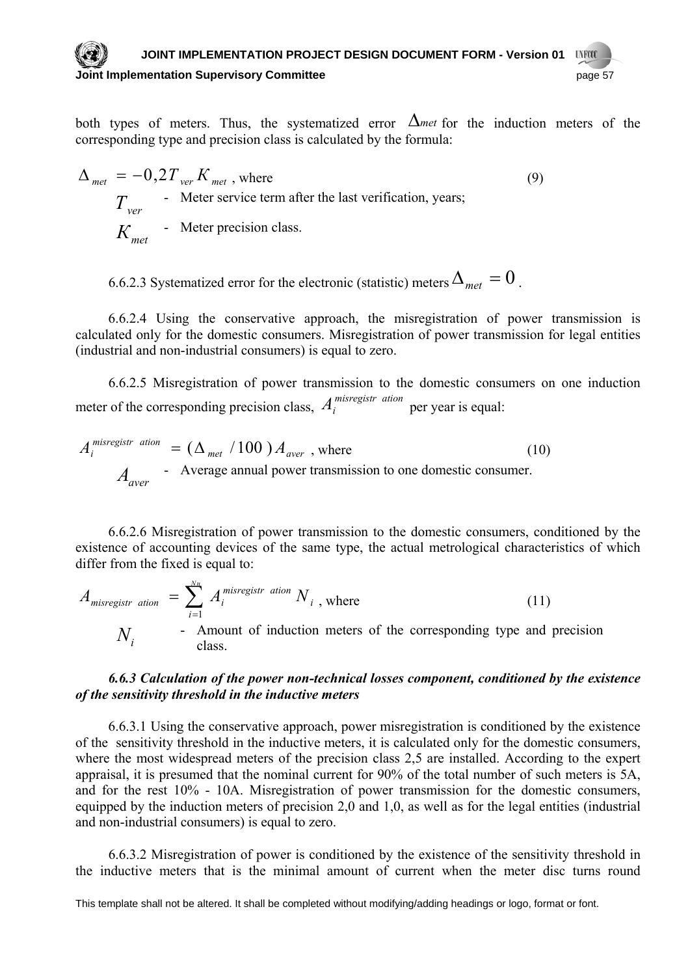#### **JOINT IMPLEMENTATION PROJECT DESIGN DOCUMENT FORM - Version 01 UVFCO Dubber 19 The Supervisory Committee** *page 57* **The United States and States and States and States and States and States and States and States and States and States and States and States and States and States and States and**

both types of meters. Thus, the systematized error  $\Delta$ *met* for the induction meters of the corresponding type and precision class is calculated by the formula:

 $\Delta_{\textit{met}} = -0.2 T_{\textit{ver}} K_{\textit{met}}$ , where (9) *Тver* - Meter service term after the last verification, years; *Кmet* - Meter precision class.

6.6.2.3 Systematized error for the electronic (statistic) meters  $\Delta_{met} = 0$ .

6.6.2.4 Using the conservative approach, the misregistration of power transmission is calculated only for the domestic consumers. Misregistration of power transmission for legal entities (industrial and non-industrial consumers) is equal to zero.

6.6.2.5 Misregistration of power transmission to the domestic consumers on one induction meter of the corresponding precision class,  $A_i^{m is register \text{ }ation}$  per year is equal:

$$
A_i^{\text{misregister ation}} = (\Delta_{\text{met}} / 100) A_{\text{aver}}
$$
, where  

$$
A_{\text{aver}} - \text{Average annual power transmission to one domestic consumer.}
$$
 (10)

6.6.2.6 Misregistration of power transmission to the domestic consumers, conditioned by the existence of accounting devices of the same type, the actual metrological characteristics of which differ from the fixed is equal to:

$$
A_{misegistr\ ation} = \sum_{i=1}^{N_H} A_i^{misegistr\ ation} N_i
$$
, where  
\n
$$
N_i
$$
 - Amount of induction meters of the corresponding type and precision class. (11)

## *6.6.3 Calculation of the power non-technical losses component, conditioned by the existence of the sensitivity threshold in the inductive meters*

6.6.3.1 Using the conservative approach, power misregistration is conditioned by the existence of the sensitivity threshold in the inductive meters, it is calculated only for the domestic consumers, where the most widespread meters of the precision class 2,5 are installed. According to the expert appraisal, it is presumed that the nominal current for 90% of the total number of such meters is 5А, and for the rest 10% - 10А. Misregistration of power transmission for the domestic consumers, equipped by the induction meters of precision 2,0 and 1,0, as well as for the legal entities (industrial and non-industrial consumers) is equal to zero.

6.6.3.2 Misregistration of power is conditioned by the existence of the sensitivity threshold in the inductive meters that is the minimal amount of current when the meter disc turns round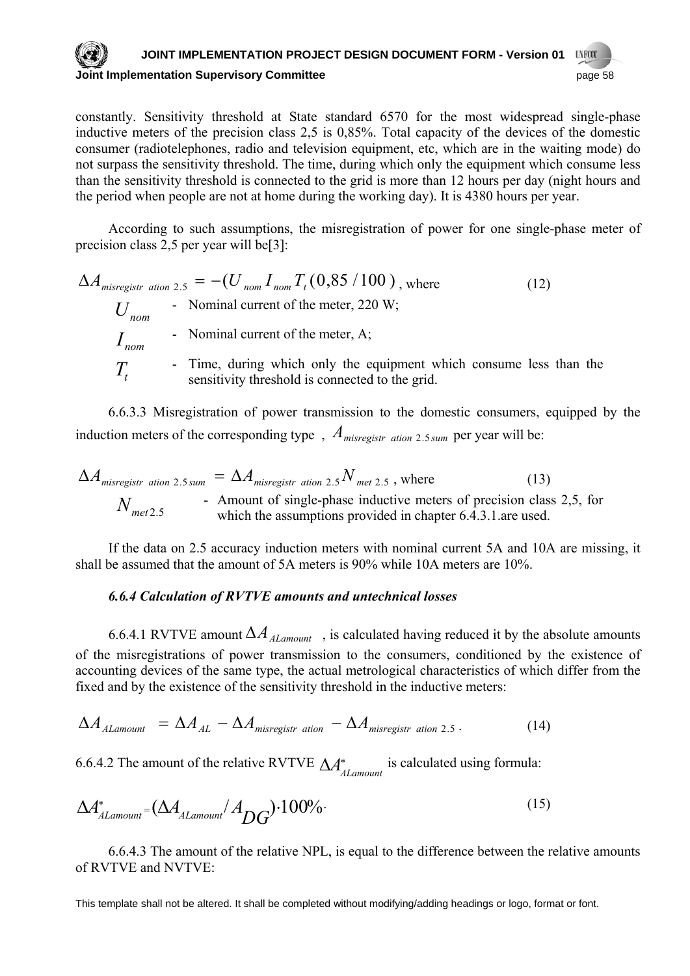#### **JOINT IMPLEMENTATION PROJECT DESIGN DOCUMENT FORM - Version 01 UNFCCC Joint Implementation Supervisory Committee** page 58

constantly. Sensitivity threshold at State standard 6570 for the most widespread single-phase inductive meters of the precision class 2,5 is 0,85%. Total capacity of the devices of the domestic consumer (radiotelephones, radio and television equipment, etc, which are in the waiting mode) do not surpass the sensitivity threshold. The time, during which only the equipment which consume less than the sensitivity threshold is connected to the grid is more than 12 hours per day (night hours and the period when people are not at home during the working day). It is 4380 hours per year.

According to such assumptions, the misregistration of power for one single-phase meter of precision class 2,5 per year will be[3]:

 $\Delta A_{misregister \text{ation 2.5}} = -(U_{nom} I_{nom} T_t (0.85 / 100)$ , where (12) - Nominal current of the meter, 220 W; - Nominal current of the meter, А; - Time, during which only the equipment which consume less than the sensitivity threshold is connected to the grid. *Unom*  $I_{\text{nom}}$  $T_{t}$ 

6.6.3.3 Misregistration of power transmission to the domestic consumers, equipped by the induction meters of the corresponding type,  $A_{m \text{isregister ation 2.5 sum}}$  per year will be:

$$
\Delta A_{misregister\ ation\ 2.5\,sum} = \Delta A_{misregister\ ation\ 2.5} N_{met\ 2.5}
$$
, where (13)  
\n
$$
N_{met2.5}
$$
 - Amount of single-phase inductive meters of precision class 2.5, for which the assumptions provided in chapter 6.4.3.1 are used.

If the data on 2.5 accuracy induction meters with nominal current 5A and 10A are missing, it shall be assumed that the amount of 5A meters is 90% while 10A meters are 10%.

## *6.6.4 Calculation of RVТVE amounts and untechnical losses*

fixed and by the existence of the sensitivity threshold in the inductive meters: 6.6.4.1 RVTVE amount  $\Delta A$ <sub>ALamount</sub>, is calculated having reduced it by the absolute amounts of the misregistrations of power transmission to the consumers, conditioned by the existence of accounting devices of the same type, the actual metrological characteristics of which differ from the

$$
\Delta A_{\text{Alamount}} = \Delta A_{\text{AL}} - \Delta A_{\text{misregister ation}} - \Delta A_{\text{misregister ation 2.5}}.
$$
 (14)

6.6.4.2 The amount of the relative RVTVE  $\Delta A^*_{ALamount}$  is calculated using formula:

$$
\Delta A_{\text{Alamount}}^* = (\Delta A_{\text{Alamount}} / A_{DG}) \cdot 100\% \tag{15}
$$

6.6.4.3 The amount of the relative NPL, is equal to the difference between the relative amounts of RVТVE and NVТVE: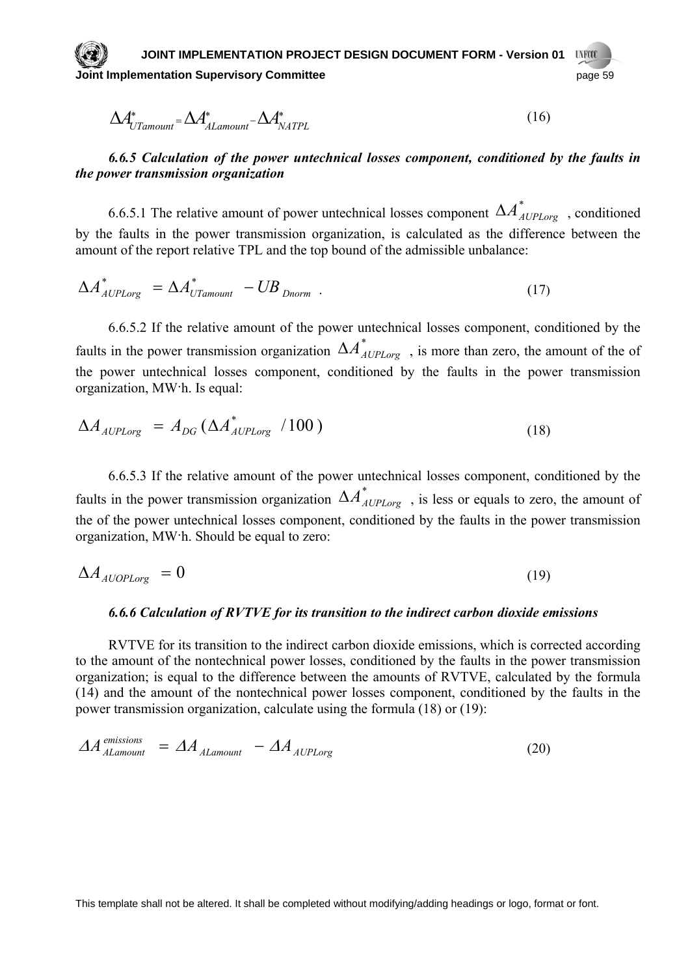**JOINT IMPLEMENTATION PROJECT DESIGN DOCUMENT FORM - Version 01 UNFOOT OINTED IMPLEMENT COMMITTEE IN THE SUPERINT STATE IN THE SET OF STATE IN THE SUPERINT COMMITTEE IN THE SUPERINT STATE OF SPAGE 59** 

$$
\Delta A^*_{UTamount} = \Delta A^*_{ALamount} - \Delta A^*_{NATPL}
$$
\n(16)

## *6.6.5 Calculation of the power untechnical losses component, conditioned by the faults in the power transmission organization*

6.6.5.1 The relative amount of power untechnical losses component  $\Delta A_{AUPLorg}^*$ , conditioned by the faults in the power transmission organization, is calculated as the difference between the amount of the report relative TPL and the top bound of the admissible unbalance:

$$
\Delta A_{\text{AUPLorg}}^* = \Delta A_{\text{UTamount}}^* - UB_{\text{Dnorm}} \tag{17}
$$

6.6.5.2 If the relative amount of the power untechnical losses component, conditioned by the faults in the power transmission organization  $\Delta A_{\text{AUPLorg}}^*$ , is more than zero, the amount of the of the power untechnical losses component, conditioned by the faults in the power transmission organization, МW·h. Is equal:

$$
\Delta A_{\text{AUPLorg}} = A_{DG} \left( \Delta A_{\text{AUPLorg}}^{*} / 100 \right) \tag{18}
$$

6.6.5.3 If the relative amount of the power untechnical losses component, conditioned by the faults in the power transmission organization  $\Delta A_{AUPLorg}^*$ , is less or equals to zero, the amount of the of the power untechnical losses component, conditioned by the faults in the power transmission organization, МW·h. Should be equal to zero:

$$
\Delta A_{\text{AUOPLorg}} = 0 \tag{19}
$$

#### *6.6.6 Calculation of RVТVE for its transition to the indirect carbon dioxide emissions*

RVТVE for its transition to the indirect carbon dioxide emissions, which is corrected according to the amount of the nontechnical power losses, conditioned by the faults in the power transmission organization; is equal to the difference between the amounts of RVТVE, calculated by the formula (14) and the amount of the nontechnical power losses component, conditioned by the faults in the power transmission organization, calculate using the formula (18) or (19):

$$
\Delta A_{ALamount}^{emissions} = \Delta A_{ALamount} - \Delta A_{AUPLorg}
$$
\n(20)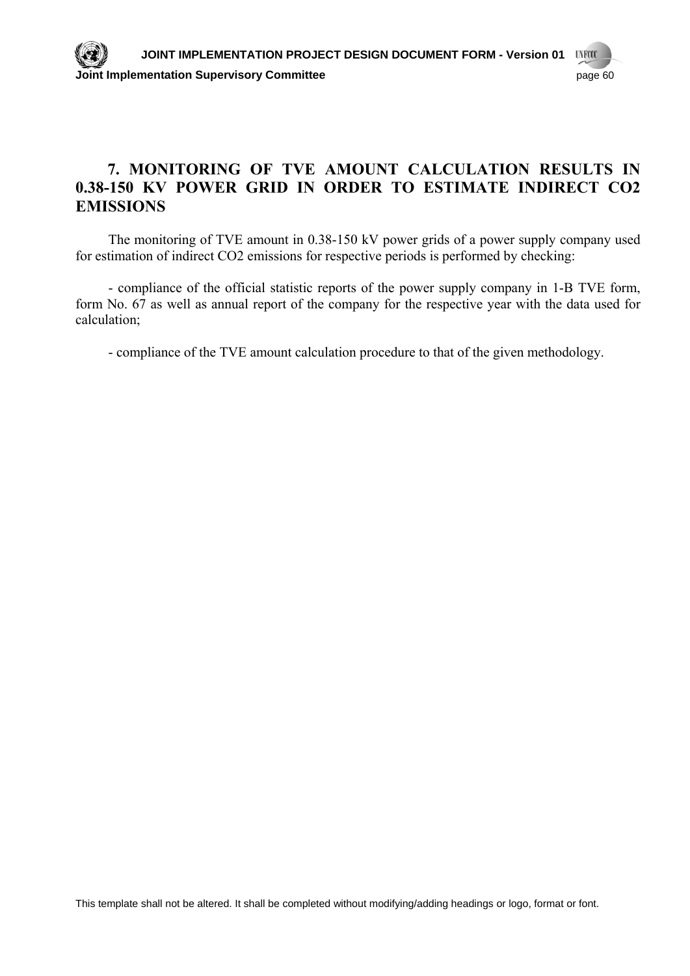## **7. MONITORING OF TVE AMOUNT CALCULATION RESULTS IN 0.38-150 KV POWER GRID IN ORDER TO ESTIMATE INDIRECT CO2 EMISSIONS**

The monitoring of TVE amount in 0.38-150 kV power grids of a power supply company used for estimation of indirect CO2 emissions for respective periods is performed by checking:

- compliance of the official statistic reports of the power supply company in 1-B TVE form, form No. 67 as well as annual report of the company for the respective year with the data used for calculation;

- compliance of the TVE amount calculation procedure to that of the given methodology.